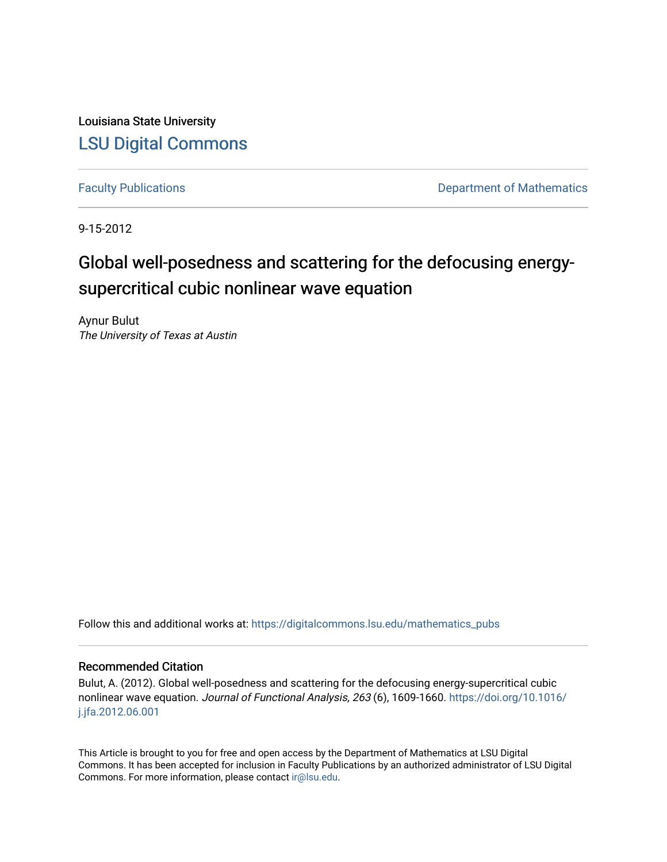Louisiana State University [LSU Digital Commons](https://digitalcommons.lsu.edu/)

[Faculty Publications](https://digitalcommons.lsu.edu/mathematics_pubs) **Exercise 2** and Table 2 and Table 2 and Department of Mathematics

9-15-2012

# Global well-posedness and scattering for the defocusing energysupercritical cubic nonlinear wave equation

Aynur Bulut The University of Texas at Austin

Follow this and additional works at: [https://digitalcommons.lsu.edu/mathematics\\_pubs](https://digitalcommons.lsu.edu/mathematics_pubs?utm_source=digitalcommons.lsu.edu%2Fmathematics_pubs%2F84&utm_medium=PDF&utm_campaign=PDFCoverPages)

### Recommended Citation

Bulut, A. (2012). Global well-posedness and scattering for the defocusing energy-supercritical cubic nonlinear wave equation. Journal of Functional Analysis, 263 (6), 1609-1660. [https://doi.org/10.1016/](https://doi.org/10.1016/j.jfa.2012.06.001) [j.jfa.2012.06.001](https://doi.org/10.1016/j.jfa.2012.06.001) 

This Article is brought to you for free and open access by the Department of Mathematics at LSU Digital Commons. It has been accepted for inclusion in Faculty Publications by an authorized administrator of LSU Digital Commons. For more information, please contact [ir@lsu.edu](mailto:ir@lsu.edu).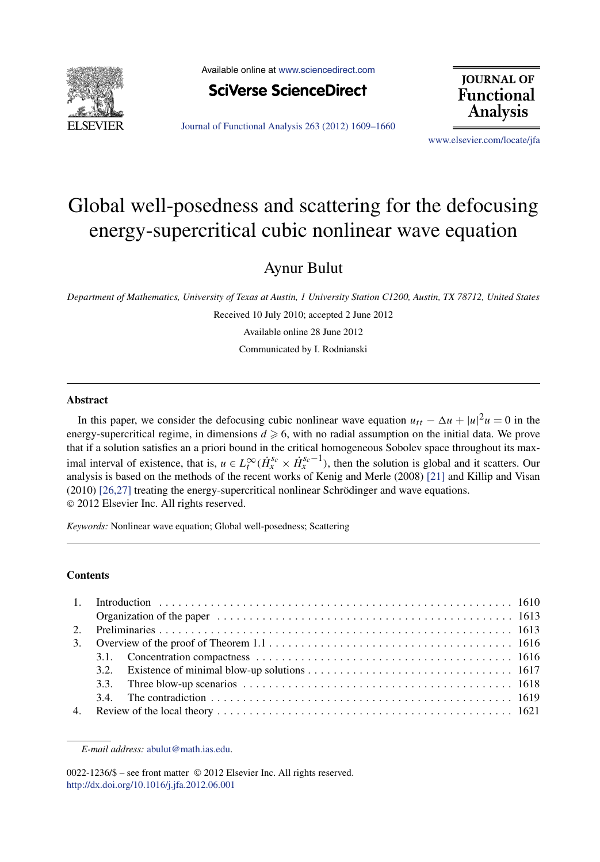

Available online at [www.sciencedirect.com](http://www.sciencedirect.com)



**JOURNAL OF Functional Analysis** 

[Journal of Functional Analysis 263 \(2012\) 1609–1660](http://dx.doi.org/10.1016/j.jfa.2012.06.001)

[www.elsevier.com/locate/jfa](http://www.elsevier.com/locate/jfa)

## Global well-posedness and scattering for the defocusing energy-supercritical cubic nonlinear wave equation

Aynur Bulut

*Department of Mathematics, University of Texas at Austin, 1 University Station C1200, Austin, TX 78712, United States*

Received 10 July 2010; accepted 2 June 2012

Available online 28 June 2012

Communicated by I. Rodnianski

#### **Abstract**

In this paper, we consider the defocusing cubic nonlinear wave equation  $u_{tt} - \Delta u + |u|^2 u = 0$  in the energy-supercritical regime, in dimensions  $d \ge 6$ , with no radial assumption on the initial data. We prove that if a solution satisfies an a priori bound in the critical homogeneous Sobolev space throughout its maximal interval of existence, that is,  $u \in L_t^{\infty}(\dot{H}_x^{s_c} \times \dot{H}_x^{s_c-1})$ , then the solution is global and it scatters. Our analysis is based on the methods of the recent works of Kenig and Merle (2008) [\[21\]](#page-52-0) and Killip and Visan (2010) [\[26,27\]](#page-52-0) treating the energy-supercritical nonlinear Schrödinger and wave equations. © 2012 Elsevier Inc. All rights reserved.

*Keywords:* Nonlinear wave equation; Global well-posedness; Scattering

#### **Contents**

| 3. Overview of the proof of Theorem $1.1 \ldots \ldots \ldots \ldots \ldots \ldots \ldots \ldots \ldots \ldots \ldots \ldots \ldots 1616$ |  |  |
|-------------------------------------------------------------------------------------------------------------------------------------------|--|--|
|                                                                                                                                           |  |  |
|                                                                                                                                           |  |  |
|                                                                                                                                           |  |  |
|                                                                                                                                           |  |  |
|                                                                                                                                           |  |  |

*E-mail address:* [abulut@math.ias.edu.](mailto:abulut@math.ias.edu)

<sup>0022-1236/\$ –</sup> see front matter © 2012 Elsevier Inc. All rights reserved. <http://dx.doi.org/10.1016/j.jfa.2012.06.001>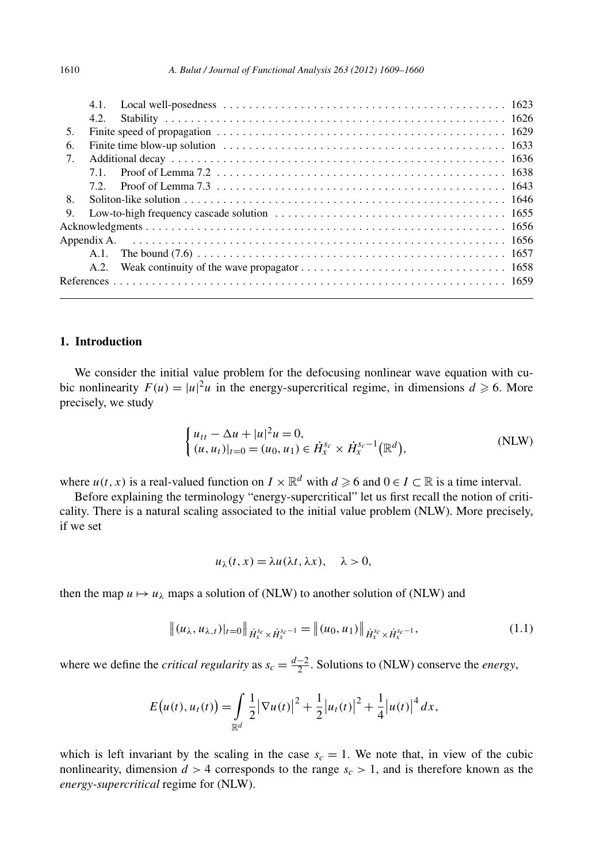<span id="page-2-0"></span>

|    | 4.1.    |                                                                                                                                                   |
|----|---------|---------------------------------------------------------------------------------------------------------------------------------------------------|
|    | 4.2.    |                                                                                                                                                   |
| 5. |         |                                                                                                                                                   |
| 6. |         |                                                                                                                                                   |
| 7. |         |                                                                                                                                                   |
|    | 71      |                                                                                                                                                   |
|    | 7.2.    | Proof of Lemma 7.3 $\dots$ , $\dots$ , $\dots$ , $\dots$ , $\dots$ , $\dots$ , $\dots$ , $\dots$ , $\dots$ , $\dots$ , $\dots$ , $\dots$ , $1643$ |
| 8. |         |                                                                                                                                                   |
| 9. |         |                                                                                                                                                   |
|    |         |                                                                                                                                                   |
|    |         |                                                                                                                                                   |
|    | $A.1$ . |                                                                                                                                                   |
|    | A.2.    |                                                                                                                                                   |
|    |         |                                                                                                                                                   |

#### **1. Introduction**

We consider the initial value problem for the defocusing nonlinear wave equation with cubic nonlinearity  $F(u) = |u|^2 u$  in the energy-supercritical regime, in dimensions  $d \ge 6$ . More precisely, we study

$$
\begin{cases} u_{tt} - \Delta u + |u|^2 u = 0, \\ (u, u_t)|_{t=0} = (u_0, u_1) \in \dot{H}_x^{s_c} \times \dot{H}_x^{s_c-1}(\mathbb{R}^d), \end{cases}
$$
 (NLW)

where  $u(t, x)$  is a real-valued function on  $I \times \mathbb{R}^d$  with  $d \ge 6$  and  $0 \in I \subset \mathbb{R}$  is a time interval.

Before explaining the terminology "energy-supercritical" let us first recall the notion of criticality. There is a natural scaling associated to the initial value problem (NLW). More precisely, if we set

$$
u_{\lambda}(t,x) = \lambda u(\lambda t, \lambda x), \quad \lambda > 0,
$$

then the map  $u \mapsto u_\lambda$  maps a solution of (NLW) to another solution of (NLW) and

$$
\|(u_{\lambda}, u_{\lambda,t})|_{t=0}\|_{\dot{H}_x^{s_c} \times \dot{H}_x^{s_c-1}} = \|(u_0, u_1)\|_{\dot{H}_x^{s_c} \times \dot{H}_x^{s_c-1}},
$$
\n(1.1)

where we define the *critical regularity* as  $s_c = \frac{d-2}{2}$ . Solutions to (NLW) conserve the *energy*,

$$
E(u(t), u_t(t)) = \int_{\mathbb{R}^d} \frac{1}{2} |\nabla u(t)|^2 + \frac{1}{2} |u_t(t)|^2 + \frac{1}{4} |u(t)|^4 dx,
$$

which is left invariant by the scaling in the case  $s_c = 1$ . We note that, in view of the cubic nonlinearity, dimension  $d > 4$  corresponds to the range  $s_c > 1$ , and is therefore known as the *energy-supercritical* regime for (NLW).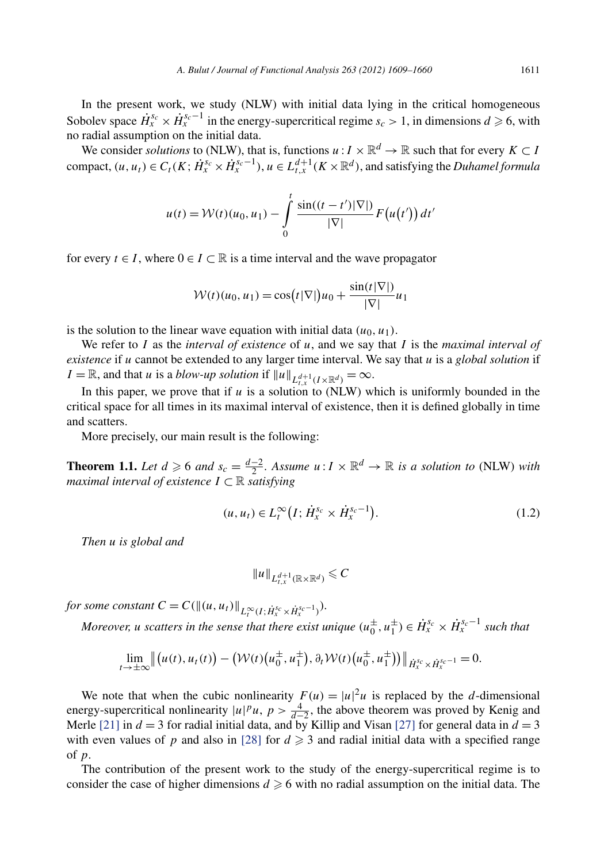<span id="page-3-0"></span>In the present work, we study (NLW) with initial data lying in the critical homogeneous Sobolev space  $\dot{H}_x^{s_c} \times \dot{H}_x^{s_c-1}$  in the energy-supercritical regime  $s_c > 1$ , in dimensions  $d \ge 6$ , with no radial assumption on the initial data.

We consider *solutions* to (NLW), that is, functions  $u : I \times \mathbb{R}^d \to \mathbb{R}$  such that for every  $K \subset I$ compact,  $(u, u_t) \in C_t(K; \dot{H}_x^{s_c} \times \dot{H}_x^{s_c-1}), u \in L_{t,x}^{d+1}(K \times \mathbb{R}^d)$ , and satisfying the *Duhamel formula* 

$$
u(t) = \mathcal{W}(t)(u_0, u_1) - \int_0^t \frac{\sin((t - t')|\nabla|)}{|\nabla|} F(u(t')) dt'
$$

for every  $t \in I$ , where  $0 \in I \subset \mathbb{R}$  is a time interval and the wave propagator

$$
\mathcal{W}(t)(u_0, u_1) = \cos(t|\nabla|)u_0 + \frac{\sin(t|\nabla|)}{|\nabla|}u_1
$$

is the solution to the linear wave equation with initial data  $(u_0, u_1)$ .

We refer to *I* as the *interval of existence* of *u*, and we say that *I* is the *maximal interval of existence* if *u* cannot be extended to any larger time interval. We say that *u* is a *global solution* if *I* =  $\mathbb{R}$ , and that *u* is a *blow-up solution* if  $||u||_{L^{d+1}_{t,x}(I \times \mathbb{R}^d)} = \infty$ .

In this paper, we prove that if  $u$  is a solution to (NLW) which is uniformly bounded in the critical space for all times in its maximal interval of existence, then it is defined globally in time and scatters.

More precisely, our main result is the following:

**Theorem 1.1.** *Let*  $d \ge 6$  *and*  $s_c = \frac{d-2}{2}$ *. Assume*  $u: I \times \mathbb{R}^d \to \mathbb{R}$  *is a solution to* (NLW) *with maximal interval of existence*  $I \subset \mathbb{R}$  *satisfying* 

$$
(u, u_t) \in L_t^{\infty} \left( I; \dot{H}_x^{s_c} \times \dot{H}_x^{s_c - 1} \right). \tag{1.2}
$$

*Then u is global and*

$$
||u||_{L^{d+1}_{t,x}(\mathbb{R}\times\mathbb{R}^d)}\leqslant C
$$

*for some constant*  $C = C(\|(u, u_t)\|_{L_t^{\infty}(I; \dot{H}_x^{s_c} \times \dot{H}_x^{s_c-1})})$ *.* 

*Moreover, u scatters in the sense that there exist unique*  $(u_0^{\pm}, u_1^{\pm}) \in \dot{H}_x^{s_c} \times \dot{H}_x^{s_c-1}$  such that

$$
\lim_{t\to\pm\infty}\left\|\big(u(t),u_t(t)\big)-\big(\mathcal{W}(t)\big(u_0^{\pm},u_1^{\pm}\big),\partial_t\mathcal{W}(t)\big(u_0^{\pm},u_1^{\pm}\big)\big)\right\|_{\dot{H}_x^{s_c}\times\dot{H}_x^{s_c-1}}=0.
$$

We note that when the cubic nonlinearity  $F(u) = |u|^2 u$  is replaced by the *d*-dimensional energy-supercritical nonlinearity  $|u|^p u$ ,  $p > \frac{4}{d-2}$ , the above theorem was proved by Kenig and Merle [\[21\]](#page-52-0) in  $d = 3$  for radial initial data, and by Killip and Visan [\[27\]](#page-52-0) for general data in  $d = 3$ with even values of p and also in [\[28\]](#page-52-0) for  $d \ge 3$  and radial initial data with a specified range of *p*.

The contribution of the present work to the study of the energy-supercritical regime is to consider the case of higher dimensions  $d \geq 6$  with no radial assumption on the initial data. The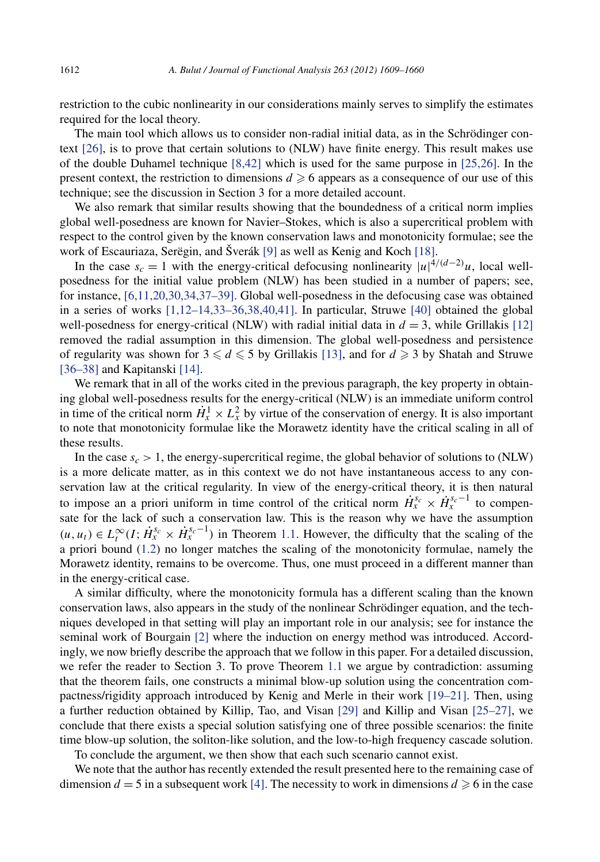restriction to the cubic nonlinearity in our considerations mainly serves to simplify the estimates required for the local theory.

The main tool which allows us to consider non-radial initial data, as in the Schrödinger context [\[26\],](#page-52-0) is to prove that certain solutions to (NLW) have finite energy. This result makes use of the double Duhamel technique [\[8,42\]](#page-51-0) which is used for the same purpose in [\[25,26\].](#page-52-0) In the present context, the restriction to dimensions  $d \geq 6$  appears as a consequence of our use of this technique; see the discussion in Section 3 for a more detailed account.

We also remark that similar results showing that the boundedness of a critical norm implies global well-posedness are known for Navier–Stokes, which is also a supercritical problem with respect to the control given by the known conservation laws and monotonicity formulae; see the work of Escauriaza, Serëgin, and Šverák [\[9\]](#page-51-0) as well as Kenig and Koch [\[18\].](#page-52-0)

In the case  $s_c = 1$  with the energy-critical defocusing nonlinearity  $|u|^{4/(d-2)}u$ , local wellposedness for the initial value problem (NLW) has been studied in a number of papers; see, for instance, [\[6,11,20,30,34,37–39\].](#page-51-0) Global well-posedness in the defocusing case was obtained in a series of works  $[1,12-14,33-36,38,40,41]$ . In particular, Struwe  $[40]$  obtained the global well-posedness for energy-critical (NLW) with radial initial data in  $d = 3$ , while Grillakis [\[12\]](#page-51-0) removed the radial assumption in this dimension. The global well-posedness and persistence of regularity was shown for  $3 \leq d \leq 5$  by Grillakis [\[13\],](#page-51-0) and for  $d \geq 3$  by Shatah and Struwe [\[36–38\]](#page-52-0) and Kapitanski [\[14\].](#page-51-0)

We remark that in all of the works cited in the previous paragraph, the key property in obtaining global well-posedness results for the energy-critical (NLW) is an immediate uniform control in time of the critical norm  $\dot{H}^1_x \times L^2_x$  by virtue of the conservation of energy. It is also important to note that monotonicity formulae like the Morawetz identity have the critical scaling in all of these results.

In the case  $s_c > 1$ , the energy-supercritical regime, the global behavior of solutions to (NLW) is a more delicate matter, as in this context we do not have instantaneous access to any conservation law at the critical regularity. In view of the energy-critical theory, it is then natural to impose an a priori uniform in time control of the critical norm  $\dot{H}_x^{s_c} \times \dot{H}_x^{s_c-1}$  to compensate for the lack of such a conservation law. This is the reason why we have the assumption  $(u, u_t) \in L_t^{\infty}(I; \dot{H}_x^{s_c} \times \dot{H}_x^{s_c-1})$  in Theorem [1.1.](#page-3-0) However, the difficulty that the scaling of the a priori bound [\(1.2\)](#page-3-0) no longer matches the scaling of the monotonicity formulae, namely the Morawetz identity, remains to be overcome. Thus, one must proceed in a different manner than in the energy-critical case.

A similar difficulty, where the monotonicity formula has a different scaling than the known conservation laws, also appears in the study of the nonlinear Schrödinger equation, and the techniques developed in that setting will play an important role in our analysis; see for instance the seminal work of Bourgain [\[2\]](#page-51-0) where the induction on energy method was introduced. Accordingly, we now briefly describe the approach that we follow in this paper. For a detailed discussion, we refer the reader to Section 3. To prove Theorem [1.1](#page-3-0) we argue by contradiction: assuming that the theorem fails, one constructs a minimal blow-up solution using the concentration compactness/rigidity approach introduced by Kenig and Merle in their work [\[19–21\].](#page-52-0) Then, using a further reduction obtained by Killip, Tao, and Visan [\[29\]](#page-52-0) and Killip and Visan [\[25–27\],](#page-52-0) we conclude that there exists a special solution satisfying one of three possible scenarios: the finite time blow-up solution, the soliton-like solution, and the low-to-high frequency cascade solution.

To conclude the argument, we then show that each such scenario cannot exist.

We note that the author has recently extended the result presented here to the remaining case of dimension  $d = 5$  in a subsequent work [\[4\].](#page-51-0) The necessity to work in dimensions  $d \ge 6$  in the case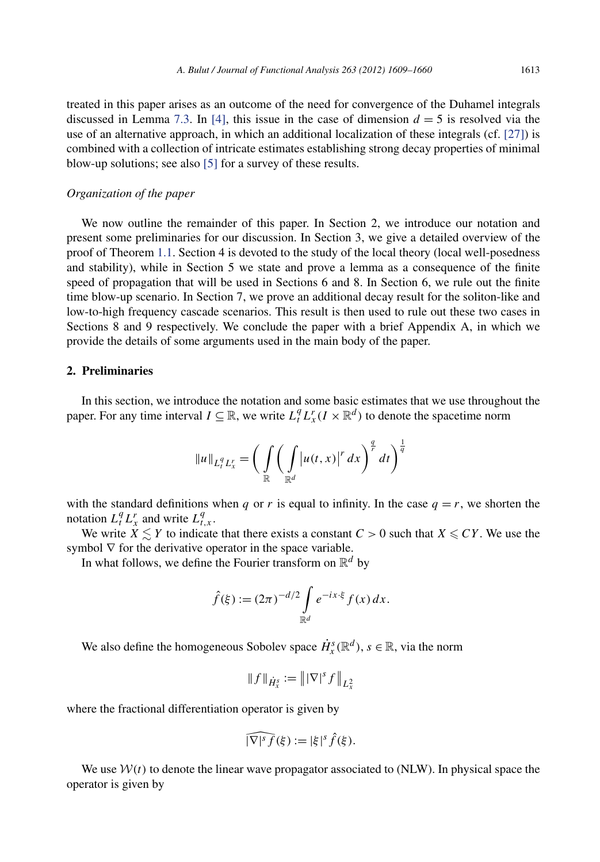treated in this paper arises as an outcome of the need for convergence of the Duhamel integrals discussed in Lemma [7.3.](#page-29-0) In [\[4\],](#page-51-0) this issue in the case of dimension  $d = 5$  is resolved via the use of an alternative approach, in which an additional localization of these integrals (cf. [\[27\]\)](#page-52-0) is combined with a collection of intricate estimates establishing strong decay properties of minimal blow-up solutions; see also [\[5\]](#page-51-0) for a survey of these results.

#### *Organization of the paper*

We now outline the remainder of this paper. In Section 2, we introduce our notation and present some preliminaries for our discussion. In Section 3, we give a detailed overview of the proof of Theorem [1.1.](#page-3-0) Section 4 is devoted to the study of the local theory (local well-posedness and stability), while in Section 5 we state and prove a lemma as a consequence of the finite speed of propagation that will be used in Sections 6 and 8. In Section 6, we rule out the finite time blow-up scenario. In Section 7, we prove an additional decay result for the soliton-like and low-to-high frequency cascade scenarios. This result is then used to rule out these two cases in Sections 8 and 9 respectively. We conclude the paper with a brief Appendix A, in which we provide the details of some arguments used in the main body of the paper.

#### **2. Preliminaries**

In this section, we introduce the notation and some basic estimates that we use throughout the paper. For any time interval  $I \subseteq \mathbb{R}$ , we write  $L_t^q L_x^r (I \times \mathbb{R}^d)$  to denote the spacetime norm

$$
||u||_{L_t^q L_x^r} = \bigg( \int\limits_{\mathbb{R}} \bigg( \int\limits_{\mathbb{R}^d} |u(t,x)|^r dx \bigg)^{\frac{q}{r}} dt \bigg)^{\frac{1}{q}}
$$

with the standard definitions when *q* or *r* is equal to infinity. In the case  $q = r$ , we shorten the notation  $L_t^q L_x^r$  and write  $L_{t,x}^q$ .

We write  $\ddot{X} \leq Y$  to indicate that there exists a constant  $C > 0$  such that  $X \leq CY$ . We use the symbol  $\nabla$  for the derivative operator in the space variable.

In what follows, we define the Fourier transform on  $\mathbb{R}^d$  by

$$
\hat{f}(\xi) := (2\pi)^{-d/2} \int_{\mathbb{R}^d} e^{-ix \cdot \xi} f(x) dx.
$$

We also define the homogeneous Sobolev space  $\dot{H}_x^s(\mathbb{R}^d)$ ,  $s \in \mathbb{R}$ , via the norm

$$
||f||_{\dot{H}_x^s} := ||\nabla|^s f||_{L_x^2}
$$

where the fractional differentiation operator is given by

$$
\widehat{|\nabla|^s f}(\xi) := |\xi|^s \widehat{f}(\xi).
$$

We use  $W(t)$  to denote the linear wave propagator associated to (NLW). In physical space the operator is given by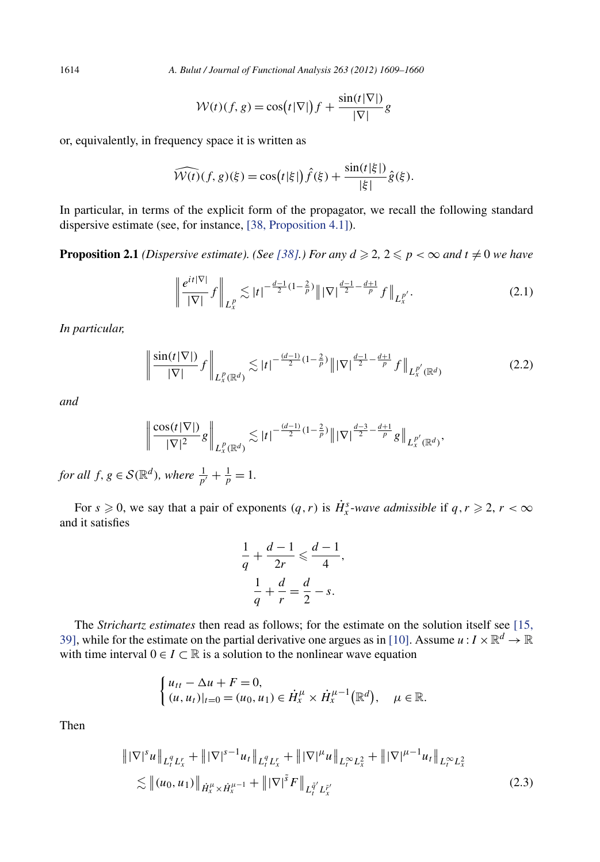<span id="page-6-0"></span>1614 *A. Bulut / Journal of Functional Analysis 263 (2012) 1609–1660*

$$
W(t)(f, g) = \cos(t|\nabla|) f + \frac{\sin(t|\nabla|)}{|\nabla|} g
$$

or, equivalently, in frequency space it is written as

$$
\widehat{W(t)}(f,g)(\xi) = \cos(t|\xi|)\widehat{f}(\xi) + \frac{\sin(t|\xi|)}{|\xi|}\widehat{g}(\xi).
$$

In particular, in terms of the explicit form of the propagator, we recall the following standard dispersive estimate (see, for instance, [\[38, Proposition 4.1\]\)](#page-52-0).

**Proposition 2.1** *(Dispersive estimate). (See [\[38\].](#page-52-0)) For any*  $d \geqslant 2$ ,  $2 \leqslant p < \infty$  and  $t \neq 0$  we have

$$
\left\| \frac{e^{it|\nabla|}}{|\nabla|} f \right\|_{L_x^p} \lesssim |t|^{-\frac{d-1}{2}(1-\frac{2}{p})} \|\nabla|^{\frac{d-1}{2}-\frac{d+1}{p}} f \right\|_{L_x^{p'}}.
$$
\n(2.1)

*In particular,*

$$
\left\| \frac{\sin(t|\nabla|)}{|\nabla|} f \right\|_{L_x^p(\mathbb{R}^d)} \lesssim |t|^{-\frac{(d-1)}{2}(1-\frac{2}{p})} \|\nabla|^{\frac{d-1}{2}-\frac{d+1}{p}} f \right\|_{L_x^{p'}(\mathbb{R}^d)} \tag{2.2}
$$

*and*

$$
\left\|\frac{\cos(t|\nabla|)}{|\nabla|^2}g\right\|_{L_x^p(\mathbb{R}^d)} \lesssim |t|^{-\frac{(d-1)}{2}(1-\frac{2}{p})}\|\nabla\|^{\frac{d-3}{2}-\frac{d+1}{p}}g\right\|_{L_x^{p'}(\mathbb{R}^d)},
$$

*for all*  $f, g \in \mathcal{S}(\mathbb{R}^d)$ *, where*  $\frac{1}{p'} + \frac{1}{p} = 1$ *.* 

For  $s \ge 0$ , we say that a pair of exponents  $(q, r)$  is  $\dot{H}_x^s$ -wave admissible if  $q, r \ge 2$ ,  $r < \infty$ and it satisfies

$$
\frac{1}{q} + \frac{d-1}{2r} \leqslant \frac{d-1}{4},
$$
  

$$
\frac{1}{q} + \frac{d}{r} = \frac{d}{2} - s.
$$

The *Strichartz estimates* then read as follows; for the estimate on the solution itself see [\[15,](#page-51-0) [39\],](#page-51-0) while for the estimate on the partial derivative one argues as in [\[10\].](#page-51-0) Assume  $u : I \times \mathbb{R}^d \to \mathbb{R}$ with time interval  $0 \in I \subset \mathbb{R}$  is a solution to the nonlinear wave equation

$$
\begin{cases} u_{tt} - \Delta u + F = 0, \\ (u, u_t)|_{t=0} = (u_0, u_1) \in \dot{H}_x^{\mu} \times \dot{H}_x^{\mu-1}(\mathbb{R}^d), \quad \mu \in \mathbb{R}. \end{cases}
$$

Then

$$
\| |\nabla|^s u \|_{L_t^q L_x^r} + \| |\nabla|^{s-1} u_t \|_{L_t^q L_x^r} + \| |\nabla|^{\mu} u \|_{L_t^{\infty} L_x^2} + \| |\nabla|^{\mu-1} u_t \|_{L_t^{\infty} L_x^2}
$$
  

$$
\lesssim \| (u_0, u_1) \|_{\dot{H}_x^{\mu} \times \dot{H}_x^{\mu-1}} + \| |\nabla|^{\tilde{s}} F \|_{L_t^{\tilde{q}'} L_x^{\tilde{r}'}}
$$
(2.3)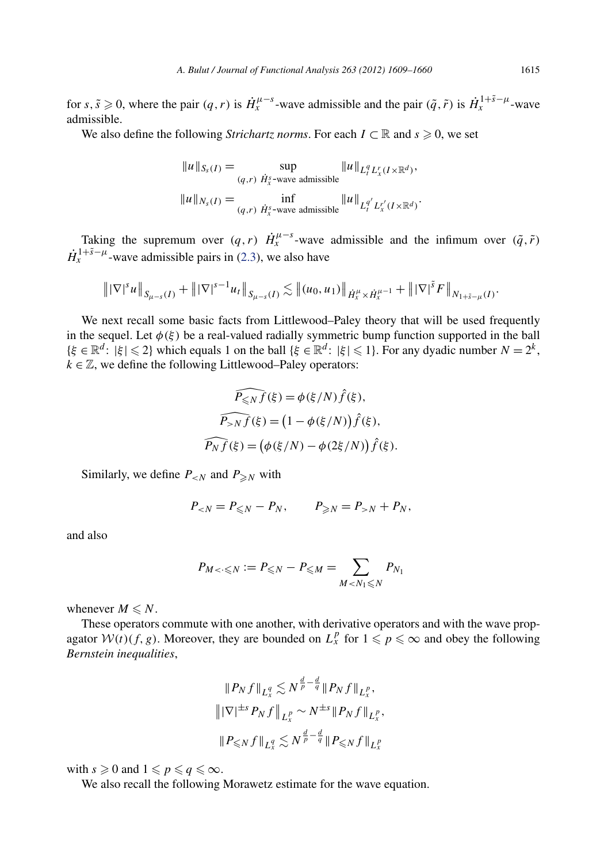for  $s, \tilde{s} \ge 0$ , where the pair  $(q, r)$  is  $\dot{H}^{\mu-s}_x$ -wave admissible and the pair  $(\tilde{q}, \tilde{r})$  is  $\dot{H}^{1+\tilde{s}-\mu}_x$ -wave admissible.

We also define the following *Strichartz norms*. For each  $I \subset \mathbb{R}$  and  $s \geq 0$ , we set

$$
||u||_{S_s(I)} = \sup_{(q,r)} \lim_{\dot{H}_x^s \text{-wave admissible}} ||u||_{L_t^q L_x^r(I \times \mathbb{R}^d)},
$$
  

$$
||u||_{N_s(I)} = \inf_{(q,r)} \lim_{\dot{H}_x^s \text{-wave admissible}} ||u||_{L_t^{q'} L_x^r(I \times \mathbb{R}^d)}.
$$

Taking the supremum over  $(q, r)$   $\dot{H}^{\mu-s}_{x}$ -wave admissible and the infimum over  $(\tilde{q}, \tilde{r})$  $\dot{H}_x^{1+\tilde{s}-\mu}$  wave admissible pairs in [\(2.3\)](#page-6-0), we also have

$$
\| |\nabla|^s u \|_{S_{\mu-s}(I)} + \| |\nabla|^{s-1} u_I \|_{S_{\mu-s}(I)} \lesssim \| (u_0, u_1) \|_{\dot{H}_x^{\mu} \times \dot{H}_x^{\mu-1}} + \| |\nabla|^{\tilde{s}} F \|_{N_{1+\tilde{s}-\mu}(I)}.
$$

We next recall some basic facts from Littlewood–Paley theory that will be used frequently in the sequel. Let  $\phi(\xi)$  be a real-valued radially symmetric bump function supported in the ball  ${\{\xi \in \mathbb{R}^d : |\xi| \leq 2\}}$  which equals 1 on the ball  ${\{\xi \in \mathbb{R}^d : |\xi| \leq 1\}}$ . For any dyadic number  $N = 2^k$ ,  $k \in \mathbb{Z}$ , we define the following Littlewood–Paley operators:

$$
\widehat{P_{\leq N}f}(\xi) = \phi(\xi/N)\hat{f}(\xi),
$$

$$
\widehat{P_{>N}f}(\xi) = (1 - \phi(\xi/N))\hat{f}(\xi),
$$

$$
\widehat{P_Nf}(\xi) = (\phi(\xi/N) - \phi(2\xi/N))\hat{f}(\xi).
$$

Similarly, we define  $P_{\leq N}$  and  $P_{\geq N}$  with

$$
P_{N} + P_N,
$$

and also

$$
P_{M < \cdot \leq N} := P_{\leq N} - P_{\leq M} = \sum_{M < N_1 \leq N} P_{N_1}
$$

whenever  $M \leq N$ .

These operators commute with one another, with derivative operators and with the wave propagator  $W(t)(f, g)$ . Moreover, they are bounded on  $L_x^p$  for  $1 \leq p \leq \infty$  and obey the following *Bernstein inequalities*,

$$
\|P_N f\|_{L_x^q} \lesssim N^{\frac{d}{p} - \frac{d}{q}} \|P_N f\|_{L_x^p},
$$
  

$$
\| |\nabla|^{\pm s} P_N f \|_{L_x^p} \sim N^{\pm s} \|P_N f\|_{L_x^p},
$$
  

$$
\|P_{\leq N} f\|_{L_x^q} \lesssim N^{\frac{d}{p} - \frac{d}{q}} \|P_{\leq N} f\|_{L_x^p}
$$

with  $s \geqslant 0$  and  $1 \leqslant p \leqslant q \leqslant \infty$ .

We also recall the following Morawetz estimate for the wave equation.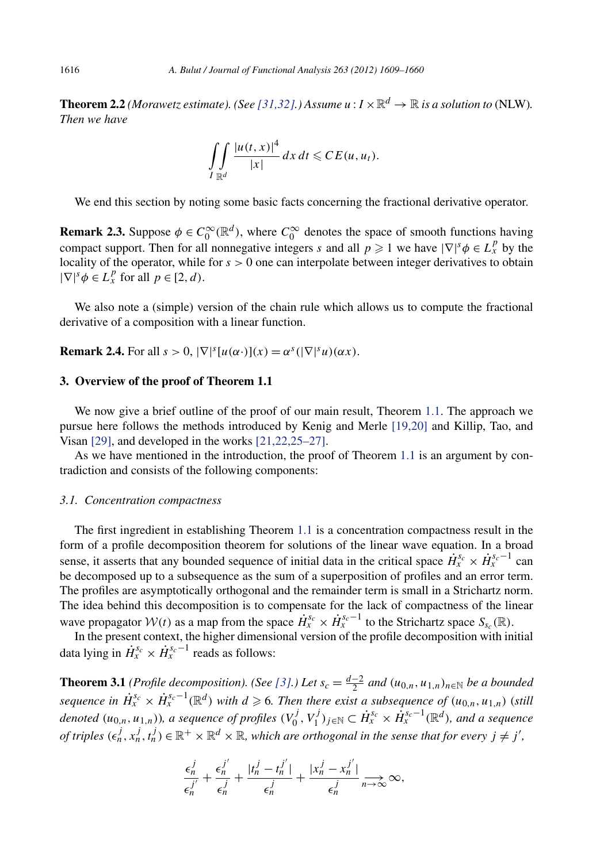<span id="page-8-0"></span>**Theorem 2.2** *(Morawetz estimate). (See [\[31,32\].](#page-52-0)) Assume*  $u : I \times \mathbb{R}^d \to \mathbb{R}$  *is a solution to (NLW). Then we have*

$$
\iint\limits_{I \mathbb{R}^d} \frac{|u(t,x)|^4}{|x|} dx dt \leqslant CE(u,u_t).
$$

We end this section by noting some basic facts concerning the fractional derivative operator.

**Remark 2.3.** Suppose  $\phi \in C_0^{\infty}(\mathbb{R}^d)$ , where  $C_0^{\infty}$  denotes the space of smooth functions having compact support. Then for all nonnegative integers *s* and all  $p \geq 1$  we have  $|\nabla|^s \phi \in L_x^p$  by the locality of the operator, while for  $s > 0$  one can interpolate between integer derivatives to obtain  $|\nabla|^s \phi \in L_x^p$  for all  $p \in [2, d)$ .

We also note a (simple) version of the chain rule which allows us to compute the fractional derivative of a composition with a linear function.

**Remark 2.4.** For all  $s > 0$ ,  $|\nabla|^s[u(\alpha \cdot)](x) = \alpha^s(|\nabla|^s u)(\alpha x)$ .

#### **3. Overview of the proof of Theorem 1.1**

We now give a brief outline of the proof of our main result, Theorem [1.1.](#page-3-0) The approach we pursue here follows the methods introduced by Kenig and Merle [\[19,20\]](#page-52-0) and Killip, Tao, and Visan [\[29\],](#page-52-0) and developed in the works [\[21,22,25–27\].](#page-52-0)

As we have mentioned in the introduction, the proof of Theorem [1.1](#page-3-0) is an argument by contradiction and consists of the following components:

#### *3.1. Concentration compactness*

The first ingredient in establishing Theorem [1.1](#page-3-0) is a concentration compactness result in the form of a profile decomposition theorem for solutions of the linear wave equation. In a broad sense, it asserts that any bounded sequence of initial data in the critical space  $\dot{H}_x^{s_c} \times \dot{H}_x^{s_c-1}$  can be decomposed up to a subsequence as the sum of a superposition of profiles and an error term. The profiles are asymptotically orthogonal and the remainder term is small in a Strichartz norm. The idea behind this decomposition is to compensate for the lack of compactness of the linear wave propagator  $W(t)$  as a map from the space  $\dot{H}_x^{s_c} \times \dot{H}_x^{s_c-1}$  to the Strichartz space  $S_{s_c}(\mathbb{R})$ .

In the present context, the higher dimensional version of the profile decomposition with initial data lying in  $\dot{H}_x^{s_c} \times \dot{H}_x^{s_c-1}$  reads as follows:

**Theorem 3.1** *(Profile decomposition). (See* [\[3\].](#page-51-0)) Let  $s_c = \frac{d-2}{2}$  and  $(u_{0,n}, u_{1,n})_{n \in \mathbb{N}}$  be a bounded *sequence in*  $\dot{H}_x^{s_c} \times \dot{H}_x^{s_c-1}(\mathbb{R}^d)$  *with*  $d \geqslant 6$ . Then there exist a subsequence of  $(u_{0,n}, u_{1,n})$  (*still* denoted  $(u_{0,n},u_{1,n})$ ), a sequence of profiles  $(V_0^j,V_1^j)_{j\in\mathbb{N}}\subset \dot{H}_x^{s_c}\times\dot{H}_x^{s_c-1}(\mathbb{R}^d)$ , and a sequence *of triples*  $(\epsilon_n^j, x_n^j, t_n^j) \in \mathbb{R}^+ \times \mathbb{R}^d \times \mathbb{R}$ , which are orthogonal in the sense that for every  $j \neq j'$ ,

$$
\frac{\epsilon_n^j}{\epsilon_n^{j'}} + \frac{\epsilon_n^{j'}}{\epsilon_n^j} + \frac{|t_n^j - t_n^{j'}|}{\epsilon_n^j} + \frac{|x_n^j - x_n^{j'}|}{\epsilon_n^j} \underset{n \to \infty}{\to} \infty,
$$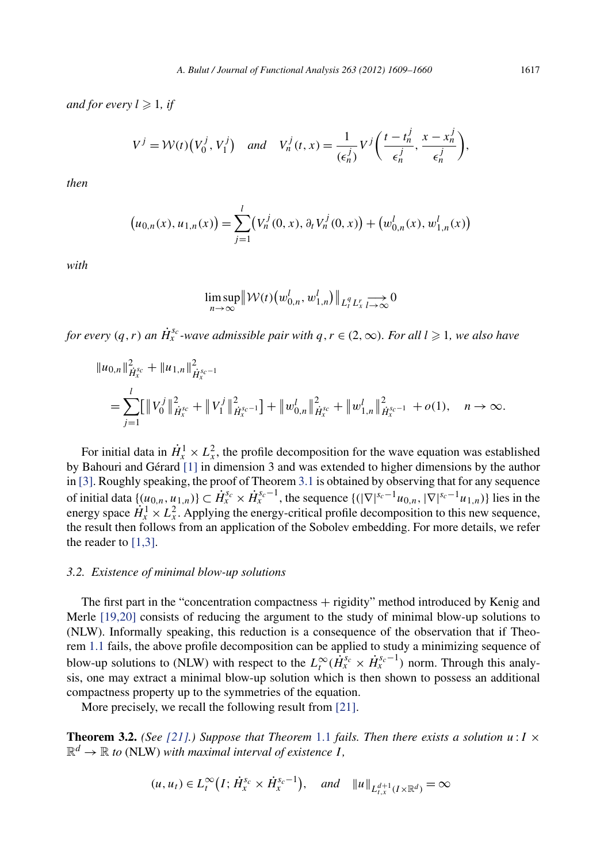<span id="page-9-0"></span>and for every  $l \geqslant 1$ , if

$$
V^j = \mathcal{W}(t) \left(V_0^j, V_1^j\right) \quad \text{and} \quad V_n^j(t, x) = \frac{1}{(\epsilon_n^j)} V^j \left(\frac{t - t_n^j}{\epsilon_n^j}, \frac{x - x_n^j}{\epsilon_n^j}\right),
$$

*then*

$$
(u_{0,n}(x), u_{1,n}(x)) = \sum_{j=1}^{l} (V_n^j(0, x), \partial_t V_n^j(0, x)) + (w_{0,n}^l(x), w_{1,n}^l(x))
$$

*with*

$$
\limsup_{n\to\infty} \|\mathcal{W}(t)\left(w_{0,n}^l, w_{1,n}^l\right)\|_{L_t^q L_x^r} \to 0
$$

*for every*  $(q, r)$  *an*  $\dot{H}_x^{s_c}$ -wave admissible pair with  $q, r \in (2, \infty)$ . For all  $l \geqslant 1$ , we also have

$$
\|u_{0,n}\|_{\dot{H}_x^{s_c}}^2 + \|u_{1,n}\|_{\dot{H}_x^{s_c-1}}^2
$$
  
= 
$$
\sum_{j=1}^l [\|V_0^j\|_{\dot{H}_x^{s_c}}^2 + \|V_1^j\|_{\dot{H}_x^{s_c-1}}^2] + \|w_{0,n}^l\|_{\dot{H}_x^{s_c}}^2 + \|w_{1,n}^l\|_{\dot{H}_x^{s_c-1}}^2 + o(1), \quad n \to \infty.
$$

For initial data in  $\dot{H}_x^1 \times L_x^2$ , the profile decomposition for the wave equation was established by Bahouri and Gérard [\[1\]](#page-51-0) in dimension 3 and was extended to higher dimensions by the author in [\[3\].](#page-51-0) Roughly speaking, the proof of Theorem [3.1](#page-8-0) is obtained by observing that for any sequence of initial data  $\{(u_{0,n}, u_{1,n})\} \subset \dot{H}_x^{s_c} \times \dot{H}_x^{s_c-1}$ , the sequence  $\{(|\nabla|^{s_c-1}u_{0,n}, |\nabla|^{s_c-1}u_{1,n})\}$  lies in the energy space  $\dot{H}_x^1 \times L_x^2$ . Applying the energy-critical profile decomposition to this new sequence, the result then follows from an application of the Sobolev embedding. For more details, we refer the reader to  $[1,3]$ .

#### *3.2. Existence of minimal blow-up solutions*

The first part in the "concentration compactness + rigidity" method introduced by Kenig and Merle [\[19,20\]](#page-52-0) consists of reducing the argument to the study of minimal blow-up solutions to (NLW). Informally speaking, this reduction is a consequence of the observation that if Theorem [1.1](#page-3-0) fails, the above profile decomposition can be applied to study a minimizing sequence of blow-up solutions to (NLW) with respect to the  $L_t^{\infty}(\dot{H}_x^{s_c} \times \dot{H}_x^{s_c-1})$  norm. Through this analysis, one may extract a minimal blow-up solution which is then shown to possess an additional compactness property up to the symmetries of the equation.

More precisely, we recall the following result from [\[21\].](#page-52-0)

**Theorem 3.2.** *(See [\[21\].](#page-52-0)) Suppose that Theorem [1.1](#page-3-0) fails. Then there exists a solution*  $u: I \times I$  $\mathbb{R}^d \to \mathbb{R}$  *to* (NLW) with maximal interval of existence *I*,

$$
(u, u_t) \in L_t^{\infty}(I; \dot{H}_x^{s_c} \times \dot{H}_x^{s_c-1}), \text{ and } \|u\|_{L_{t,x}^{d+1}(I \times \mathbb{R}^d)} = \infty
$$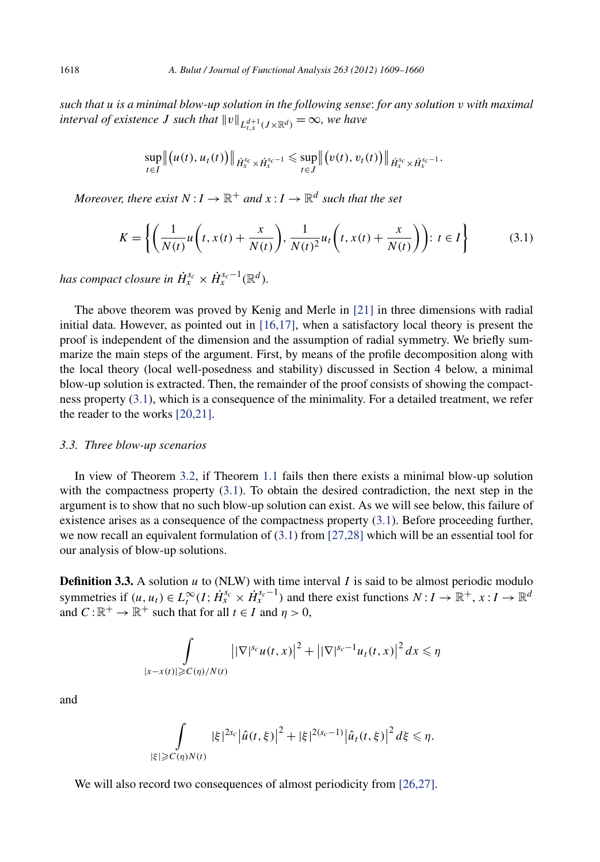*such that u is a minimal blow-up solution in the following sense*: *for any solution v with maximal interval of existence J* such that  $\|v\|_{L^{d+1}_{t}({J}\times\mathbb{R}^d)} = \infty$ , we have

$$
\sup_{t\in I} \|(u(t), u_t(t))\|_{\dot{H}_x^{s_c}\times\dot{H}_x^{s_c-1}} \leq \sup_{t\in J} \|(v(t), v_t(t))\|_{\dot{H}_x^{s_c}\times\dot{H}_x^{s_c-1}}.
$$

*Moreover, there exist*  $N: I \to \mathbb{R}^+$  and  $x: I \to \mathbb{R}^d$  such that the set

$$
K = \left\{ \left( \frac{1}{N(t)} u\left(t, x(t) + \frac{x}{N(t)}\right), \frac{1}{N(t)^2} u_t\left(t, x(t) + \frac{x}{N(t)}\right) \right): t \in I \right\}
$$
(3.1)

*has compact closure in*  $\dot{H}_x^{s_c} \times \dot{H}_x^{s_c-1}(\mathbb{R}^d)$ *.* 

The above theorem was proved by Kenig and Merle in [\[21\]](#page-52-0) in three dimensions with radial initial data. However, as pointed out in [\[16,17\],](#page-51-0) when a satisfactory local theory is present the proof is independent of the dimension and the assumption of radial symmetry. We briefly summarize the main steps of the argument. First, by means of the profile decomposition along with the local theory (local well-posedness and stability) discussed in Section 4 below, a minimal blow-up solution is extracted. Then, the remainder of the proof consists of showing the compactness property (3.1), which is a consequence of the minimality. For a detailed treatment, we refer the reader to the works [\[20,21\].](#page-52-0)

#### *3.3. Three blow-up scenarios*

In view of Theorem [3.2,](#page-9-0) if Theorem [1.1](#page-3-0) fails then there exists a minimal blow-up solution with the compactness property (3.1). To obtain the desired contradiction, the next step in the argument is to show that no such blow-up solution can exist. As we will see below, this failure of existence arises as a consequence of the compactness property (3.1). Before proceeding further, we now recall an equivalent formulation of (3.1) from [\[27,28\]](#page-52-0) which will be an essential tool for our analysis of blow-up solutions.

**Definition 3.3.** A solution *u* to (NLW) with time interval *I* is said to be almost periodic modulo symmetries if  $(u, u_t) \in L_t^{\infty}(I; \dot{H}_x^{s_c} \times \dot{H}_x^{s_c-1})$  and there exist functions  $N: I \to \mathbb{R}^+, x: I \to \mathbb{R}^d$ and  $C: \mathbb{R}^+ \to \mathbb{R}^+$  such that for all  $t \in I$  and  $\eta > 0$ ,

$$
\int_{|x-x(t)|\geqslant C(\eta)/N(t)}\left|\left|\nabla\right|^{s_c}u(t,x)\right|^2+\left|\left|\nabla\right|^{s_c-1}u_t(t,x)\right|^2dx\leqslant \eta
$$

and

$$
\int_{|\xi| \geqslant C(\eta)N(t)} |\xi|^{2s_c} |\hat{u}(t,\xi)|^2 + |\xi|^{2(s_c-1)} |\hat{u}_t(t,\xi)|^2 d\xi \leqslant \eta.
$$

We will also record two consequences of almost periodicity from [\[26,27\].](#page-52-0)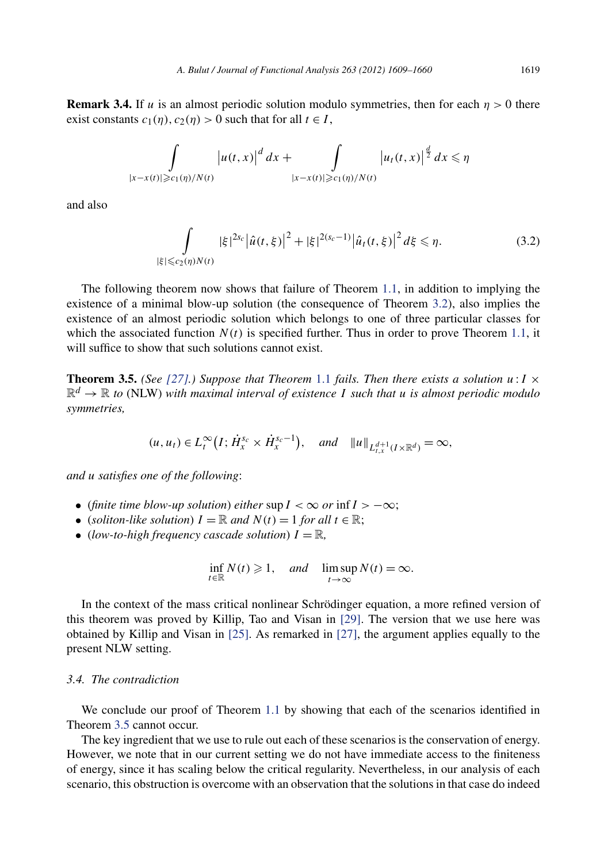<span id="page-11-0"></span>**Remark 3.4.** If *u* is an almost periodic solution modulo symmetries, then for each  $\eta > 0$  there exist constants  $c_1(\eta)$ ,  $c_2(\eta) > 0$  such that for all  $t \in I$ ,

$$
\int_{|x-x(t)|\geqslant c_1(\eta)/N(t)}\left|u(t,x)\right|^d dx + \int_{|x-x(t)|\geqslant c_1(\eta)/N(t)}\left|u_t(t,x)\right|^{\frac{d}{2}} dx \leqslant \eta
$$

and also

$$
\int_{|\xi| \leqslant c_2(\eta)N(t)} |\xi|^{2s_c} |\hat{u}(t,\xi)|^2 + |\xi|^{2(s_c-1)} |\hat{u}_t(t,\xi)|^2 d\xi \leqslant \eta.
$$
\n(3.2)

The following theorem now shows that failure of Theorem [1.1,](#page-3-0) in addition to implying the existence of a minimal blow-up solution (the consequence of Theorem [3.2\)](#page-9-0), also implies the existence of an almost periodic solution which belongs to one of three particular classes for which the associated function  $N(t)$  is specified further. Thus in order to prove Theorem [1.1,](#page-3-0) it will suffice to show that such solutions cannot exist.

**Theorem 3.5.** *(See [\[27\].](#page-52-0)) Suppose that Theorem [1.1](#page-3-0) fails. Then there exists a solution*  $u : I \times I$  $\mathbb{R}^d \to \mathbb{R}$  to (NLW) with maximal interval of existence *I* such that *u* is almost periodic modulo *symmetries,*

$$
(u, u_t) \in L_t^{\infty}\big(I; \dot{H}_x^{s_c} \times \dot{H}_x^{s_c-1}\big), \quad \text{and} \quad \|u\|_{L_{t,x}^{d+1}(I \times \mathbb{R}^d)} = \infty,
$$

*and u satisfies one of the following*:

- (*finite time blow-up solution*) *either*  $\sup I < \infty$  *or*  $\inf I > -\infty$ ;
- (*soliton-like solution*)  $I = \mathbb{R}$  and  $N(t) = 1$  for all  $t \in \mathbb{R}$ ;
- (*low-to-high frequency cascade solution*)  $I = \mathbb{R}$ ,

$$
\inf_{t \in \mathbb{R}} N(t) \geq 1, \quad \text{and} \quad \limsup_{t \to \infty} N(t) = \infty.
$$

In the context of the mass critical nonlinear Schrödinger equation, a more refined version of this theorem was proved by Killip, Tao and Visan in [\[29\].](#page-52-0) The version that we use here was obtained by Killip and Visan in [\[25\].](#page-52-0) As remarked in [\[27\],](#page-52-0) the argument applies equally to the present NLW setting.

#### *3.4. The contradiction*

We conclude our proof of Theorem [1.1](#page-3-0) by showing that each of the scenarios identified in Theorem 3.5 cannot occur.

The key ingredient that we use to rule out each of these scenarios is the conservation of energy. However, we note that in our current setting we do not have immediate access to the finiteness of energy, since it has scaling below the critical regularity. Nevertheless, in our analysis of each scenario, this obstruction is overcome with an observation that the solutions in that case do indeed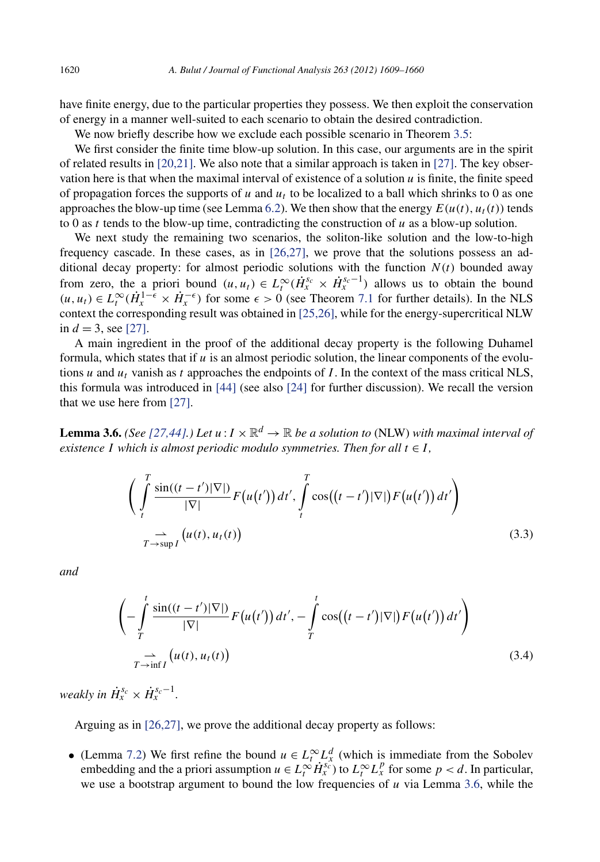<span id="page-12-0"></span>have finite energy, due to the particular properties they possess. We then exploit the conservation of energy in a manner well-suited to each scenario to obtain the desired contradiction.

We now briefly describe how we exclude each possible scenario in Theorem [3.5:](#page-11-0)

We first consider the finite time blow-up solution. In this case, our arguments are in the spirit of related results in  $[20,21]$ . We also note that a similar approach is taken in  $[27]$ . The key observation here is that when the maximal interval of existence of a solution  $u$  is finite, the finite speed of propagation forces the supports of  $u$  and  $u_t$  to be localized to a ball which shrinks to 0 as one approaches the blow-up time (see Lemma [6.2\)](#page-26-0). We then show that the energy  $E(u(t), u_t(t))$  tends to 0 as  $t$  tends to the blow-up time, contradicting the construction of  $u$  as a blow-up solution.

We next study the remaining two scenarios, the soliton-like solution and the low-to-high frequency cascade. In these cases, as in [\[26,27\],](#page-52-0) we prove that the solutions possess an additional decay property: for almost periodic solutions with the function  $N(t)$  bounded away from zero, the a priori bound  $(u, u_t) \in L_t^{\infty}(\dot{H}_x^{s_c} \times \dot{H}_x^{s_c-1})$  allows us to obtain the bound  $(u, u_t)$  ∈  $L_t^{\infty}(\dot{H}_x^{1-\epsilon} \times \dot{H}_x^{-\epsilon})$  for some  $\epsilon > 0$  (see Theorem [7.1](#page-28-0) for further details). In the NLS context the corresponding result was obtained in [\[25,26\],](#page-52-0) while for the energy-supercritical NLW in  $d = 3$ , see [\[27\].](#page-52-0)

A main ingredient in the proof of the additional decay property is the following Duhamel formula, which states that if  $u$  is an almost periodic solution, the linear components of the evolutions  $u$  and  $u_t$  vanish as  $t$  approaches the endpoints of  $I$ . In the context of the mass critical NLS, this formula was introduced in [\[44\]](#page-52-0) (see also [\[24\]](#page-52-0) for further discussion). We recall the version that we use here from [\[27\].](#page-52-0)

**Lemma 3.6.** *(See [\[27,44\].](#page-52-0))* Let  $u: I \times \mathbb{R}^d \to \mathbb{R}$  be a solution to (NLW) with maximal interval of *existence I* which is almost periodic modulo symmetries. Then for all  $t \in I$ ,

$$
\left(\int_{t}^{T} \frac{\sin((t-t')|\nabla|)}{|\nabla|} F(u(t')) dt', \int_{t}^{T} \cos((t-t')|\nabla|) F(u(t')) dt'\right) \newline \rightarrow \sum_{T \to \sup I} (u(t), u_t(t)) \tag{3.3}
$$

*and*

$$
\left(-\int_{T}^{t} \frac{\sin((t-t')|\nabla|)}{|\nabla|} F(u(t')) dt', -\int_{T}^{t} \cos((t-t')|\nabla|) F(u(t')) dt'\right) \newline \sum_{T \to \inf I} (u(t), u_t(t)) \tag{3.4}
$$

*weakly in*  $\dot{H}_x^{s_c} \times \dot{H}_x^{s_c-1}$ *.* 

Arguing as in [\[26,27\],](#page-52-0) we prove the additional decay property as follows:

• (Lemma [7.2\)](#page-29-0) We first refine the bound  $u \in L_t^{\infty} L_x^d$  (which is immediate from the Sobolev embedding and the a priori assumption  $u \in L_t^{\infty} \dot{H}_x^{s_c^*}$  to  $L_t^{\infty} L_x^p$  for some  $p < d$ . In particular, we use a bootstrap argument to bound the low frequencies of *u* via Lemma 3.6, while the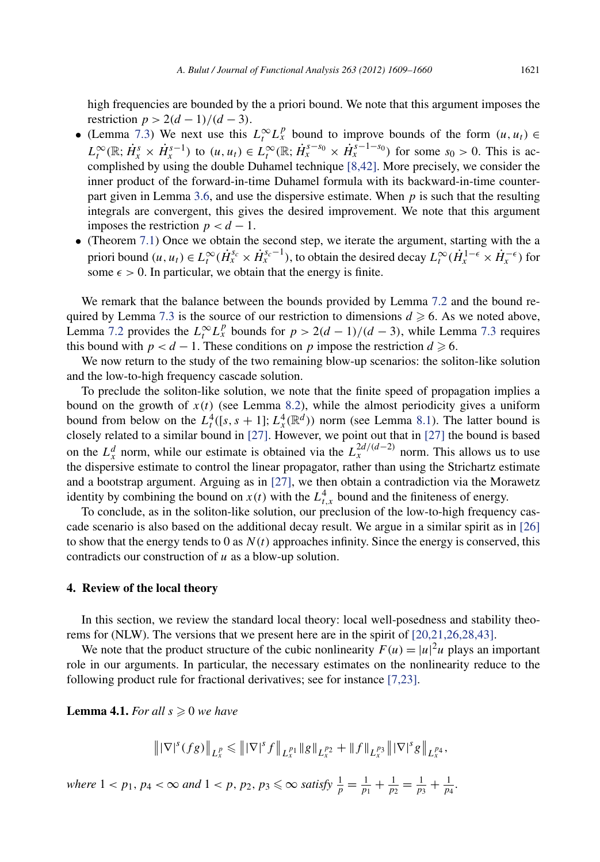<span id="page-13-0"></span>high frequencies are bounded by the a priori bound. We note that this argument imposes the restriction  $p > 2(d-1)/(d-3)$ .

- (Lemma [7.3\)](#page-29-0) We next use this  $L_t^{\infty} L_x^p$  bound to improve bounds of the form  $(u, u_t) \in$  $L_t^{\infty}(\mathbb{R}; \dot{H}_x^s \times \dot{H}_x^{s-1})$  to  $(u, u_t) \in L_t^{\infty}(\mathbb{R}; \dot{H}_x^{s-s_0} \times \dot{H}_x^{s-1-s_0})$  for some  $s_0 > 0$ . This is accomplished by using the double Duhamel technique [\[8,42\].](#page-51-0) More precisely, we consider the inner product of the forward-in-time Duhamel formula with its backward-in-time counterpart given in Lemma [3.6,](#page-12-0) and use the dispersive estimate. When *p* is such that the resulting integrals are convergent, this gives the desired improvement. We note that this argument imposes the restriction  $p < d - 1$ .
- (Theorem [7.1\)](#page-28-0) Once we obtain the second step, we iterate the argument, starting with the a priori bound  $(u, u_t) \in L_t^{\infty}(\dot{H}_x^{s_c} \times \dot{H}_x^{s_c-1})$ , to obtain the desired decay  $L_t^{\infty}(\dot{H}_x^{1-\epsilon} \times \dot{H}_x^{-\epsilon})$  for some  $\epsilon > 0$ . In particular, we obtain that the energy is finite.

We remark that the balance between the bounds provided by Lemma [7.2](#page-29-0) and the bound re-quired by Lemma [7.3](#page-29-0) is the source of our restriction to dimensions  $d \ge 6$ . As we noted above, Lemma [7.2](#page-29-0) provides the  $L_t^{\infty} L_x^p$  bounds for  $p > 2(d-1)/(d-3)$ , while Lemma [7.3](#page-29-0) requires this bound with  $p < d - 1$ . These conditions on  $p$  impose the restriction  $d \ge 6$ .

We now return to the study of the two remaining blow-up scenarios: the soliton-like solution and the low-to-high frequency cascade solution.

To preclude the soliton-like solution, we note that the finite speed of propagation implies a bound on the growth of  $x(t)$  (see Lemma [8.2\)](#page-39-0), while the almost periodicity gives a uniform bound from below on the  $L_t^4([s, s + 1]; L_x^4(\mathbb{R}^d))$  norm (see Lemma [8.1\)](#page-38-0). The latter bound is closely related to a similar bound in [\[27\].](#page-52-0) However, we point out that in [\[27\]](#page-52-0) the bound is based on the  $L_x^d$  norm, while our estimate is obtained via the  $L_x^{2d/(d-2)}$  norm. This allows us to use the dispersive estimate to control the linear propagator, rather than using the Strichartz estimate and a bootstrap argument. Arguing as in  $[27]$ , we then obtain a contradiction via the Morawetz identity by combining the bound on  $x(t)$  with the  $L_{t,x}^4$  bound and the finiteness of energy.

To conclude, as in the soliton-like solution, our preclusion of the low-to-high frequency cascade scenario is also based on the additional decay result. We argue in a similar spirit as in [\[26\]](#page-52-0) to show that the energy tends to 0 as  $N(t)$  approaches infinity. Since the energy is conserved, this contradicts our construction of *u* as a blow-up solution.

#### **4. Review of the local theory**

In this section, we review the standard local theory: local well-posedness and stability theorems for (NLW). The versions that we present here are in the spirit of [\[20,21,26,28,43\].](#page-52-0)

We note that the product structure of the cubic nonlinearity  $F(u) = |u|^2 u$  plays an important role in our arguments. In particular, the necessary estimates on the nonlinearity reduce to the following product rule for fractional derivatives; see for instance [\[7,23\].](#page-51-0)

**Lemma 4.1.** *For all*  $s \geq 0$  *we have* 

$$
\left\| |\nabla|^s (fg) \right\|_{L^p_x} \leqslant \left\| |\nabla|^s f \right\|_{L^{p_1}_x} \left\| g \right\|_{L^{p_2}_x} + \left\| f \right\|_{L^{p_3}_x} \left\| |\nabla|^s g \right\|_{L^{p_4}_x},
$$

*where*  $1 < p_1, p_4 < \infty$  *and*  $1 < p, p_2, p_3 \le \infty$  *satisfy*  $\frac{1}{p} = \frac{1}{p_1} + \frac{1}{p_2} = \frac{1}{p_3} + \frac{1}{p_4}$ .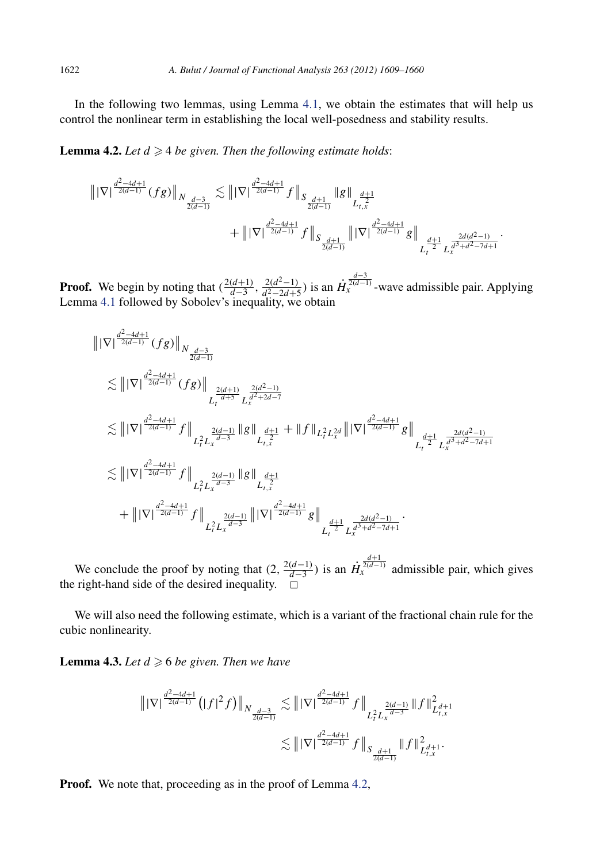<span id="page-14-0"></span>In the following two lemmas, using Lemma [4.1,](#page-13-0) we obtain the estimates that will help us control the nonlinear term in establishing the local well-posedness and stability results.

**Lemma 4.2.** Let  $d \geq 4$  be given. Then the following estimate holds:

$$
\begin{aligned} \left\| |\nabla|^{\frac{d^2-4d+1}{2(d-1)}}(fg) \right\|_{N_{\frac{d-3}{2(d-1)}}} &\lesssim \left\| |\nabla|^{\frac{d^2-4d+1}{2(d-1)}} f \right\|_{S_{\frac{d+1}{2(d-1)}}} \|g\|_{L_{t,x}^{\frac{d+1}{2}}} \\&+ \left\| |\nabla|^{\frac{d^2-4d+1}{2(d-1)}} f \right\|_{S_{\frac{d+1}{2(d-1)}}} \left\| |\nabla|^{\frac{d^2-4d+1}{2(d-1)}} g \right\|_{L_{t}^{\frac{d+1}{2}} L_{x}^{\frac{2d(d^2-1)}{d^3+d^2-7d+1}}} \end{aligned}
$$

*.*

**Proof.** We begin by noting that  $(\frac{2(d+1)}{d-3}, \frac{2(d^2-1)}{d^2-2d+5})$  is an  $\dot{H}_x^{\frac{d-3}{2(d-1)}}$ -wave admissible pair. Applying Lemma [4.1](#page-13-0) followed by Sobolev's inequality, we obtain

$$
\| |\nabla|^{\frac{d^2-4d+1}{2(d-1)}}(fg) \|_{N_{\frac{d-3}{2(d-1)}}}
$$
\n
$$
\lesssim \| |\nabla|^{\frac{d^2-4d+1}{2(d-1)}}(fg) \|_{L_t^{\frac{2(d+1)}{d+5}} L_x^{\frac{2(d^2-1)}{d^2+2d-7}}}
$$
\n
$$
\lesssim \| |\nabla|^{\frac{d^2-4d+1}{2(d-1)}} f \|_{L_t^2 L_x^{\frac{2(d-1)}{d-3}}} \| g \|_{L_{t,x}^{\frac{d+1}{2}}} + \| f \|_{L_t^2 L_x^{2d}} \| |\nabla|^{\frac{d^2-4d+1}{2(d-1)}} g \|_{L_t^{\frac{2d(d^2-1)}{d^3+d^2-7d+1}}}
$$
\n
$$
\lesssim \| |\nabla|^{\frac{d^2-4d+1}{2(d-1)}} f \|_{L_t^2 L_x^{\frac{2(d-1)}{d-3}}} \| g \|_{L_{t,x}^{\frac{4+1}{2}}}
$$
\n
$$
+ \| |\nabla|^{\frac{d^2-4d+1}{2(d-1)}} f \|_{L_t^2 L_x^{\frac{2(d-1)}{d-3}}} \| |\nabla|^{\frac{d^2-4d+1}{2(d-1)}} g \|_{L_t^{\frac{2d(d^2-1)}{d^3+d^2-7d+1}}.
$$

We conclude the proof by noting that  $(2, \frac{2(d-1)}{d-3})$  is an  $\dot{H}_x^{\frac{d+1}{2(d-1)}}$  admissible pair, which gives the right-hand side of the desired inequality.  $\Box$ 

We will also need the following estimate, which is a variant of the fractional chain rule for the cubic nonlinearity.

**Lemma 4.3.** Let  $d \geqslant 6$  be given. Then we have

$$
\begin{aligned} \left\| |\nabla|^{\frac{d^2-4d+1}{2(d-1)}} \left(|f|^2 f \right) \right\|_{N_{\frac{d-3}{2(d-1)}}} &\lesssim \left\| |\nabla|^{\frac{d^2-4d+1}{2(d-1)}} f \right\|_{L_t^2 L_x^{\frac{2(d-1)}{d-3}}} \|f\|_{L_{t,x}^2}^2 \\ &\lesssim \left\| |\nabla|^{\frac{d^2-4d+1}{2(d-1)}} f \right\|_{S_{\frac{d+1}{2(d-1)}}} \|f\|_{L_{t,x}^d}^2. \end{aligned}
$$

**Proof.** We note that, proceeding as in the proof of Lemma 4.2,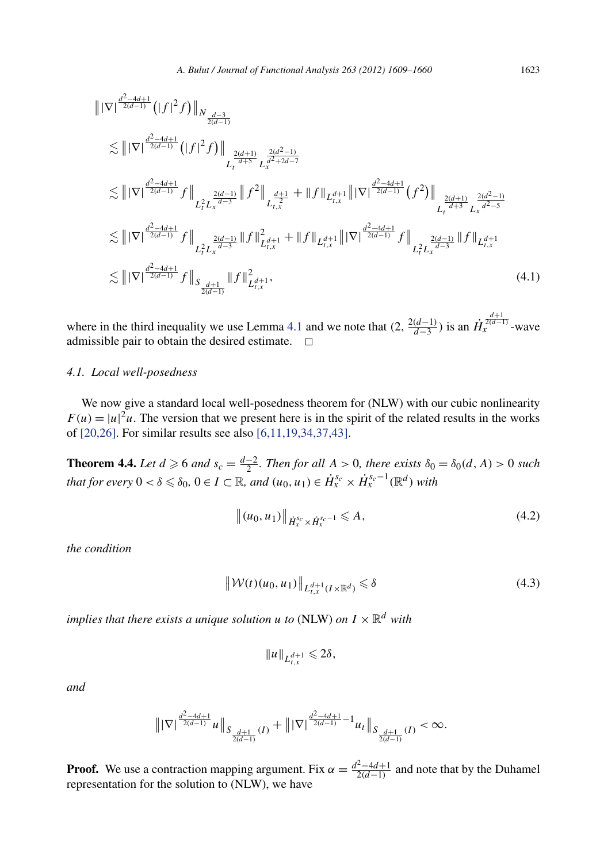<span id="page-15-0"></span>
$$
\| |\nabla|^{\frac{d^2-4d+1}{2(d-1)}} (|f|^2 f) \|_{N_{\frac{d-3}{2(d-1)}}}
$$
\n
$$
\lesssim \| |\nabla|^{\frac{d^2-4d+1}{2(d-1)}} (|f|^2 f) \|_{L_t^{\frac{2(d+1)}{d+5}} L_x^{\frac{2(d^2-1)}{d^2+2d-7}}}
$$
\n
$$
\lesssim \| |\nabla|^{\frac{d^2-4d+1}{2(d-1)}} f \|_{L_t^2 L_x^{\frac{2(d-1)}{d-3}}} \| f^2 \|_{L_{t,x}^{\frac{d+1}{d+3}} + \| f \|_{L_{t,x}^{d+1}} \| |\nabla|^{\frac{d^2-4d+1}{2(d-1)}} (f^2) \|_{L_t^{\frac{2(d+1)}{d^2-5}} L_x^{\frac{2(d^2-1)}{d^2-5}}}
$$
\n
$$
\lesssim \| |\nabla|^{\frac{d^2-4d+1}{2(d-1)}} f \|_{L_t^2 L_x^{\frac{2(d-1)}{d-3}}} \| f \|_{L_{t,x}^2}^2 + \| f \|_{L_{t,x}^{d+1}} \| |\nabla|^{\frac{d^2-4d+1}{2(d-1)}} f \|_{L_t^2 L_x^{\frac{2(d-1)}{d-3}}} \| f \|_{L_{t,x}^d}.
$$
\n
$$
\lesssim \| |\nabla|^{\frac{d^2-4d+1}{2(d-1)}} f \|_{S_{\frac{d+1}{2(d-1)}}} \| f \|_{L_{t,x}^d}^2 + 1,
$$
\n(4.1)

where in the third inequality we use Lemma [4.1](#page-13-0) and we note that  $(2, \frac{2(d-1)}{d-3})$  is an  $\dot{H}_x^{\frac{d+1}{2(d-1)}}$ -wave admissible pair to obtain the desired estimate.  $\Box$ 

#### *4.1. Local well-posedness*

We now give a standard local well-posedness theorem for (NLW) with our cubic nonlinearity  $F(u) = |u|^2 u$ . The version that we present here is in the spirit of the related results in the works of [\[20,26\].](#page-52-0) For similar results see also [\[6,11,19,34,37,43\].](#page-51-0)

**Theorem 4.4.** Let  $d \ge 6$  and  $s_c = \frac{d-2}{2}$ . Then for all  $A > 0$ , there exists  $\delta_0 = \delta_0(d, A) > 0$  such *that for every*  $0 < \delta \leq \delta_0$ ,  $0 \in I \subset \mathbb{R}$ , and  $(u_0, u_1) \in \dot{H}_x^{s_c} \times \dot{H}_x^{s_c-1}(\mathbb{R}^d)$  with

$$
\|(u_0, u_1)\|_{\dot{H}_x^{s_c} \times \dot{H}_x^{s_c-1}} \leq A,\tag{4.2}
$$

*the condition*

$$
\|\mathcal{W}(t)(u_0, u_1)\|_{L_{t,x}^{d+1}(I \times \mathbb{R}^d)} \leq \delta \tag{4.3}
$$

*implies that there exists a unique solution <i>u to* (NLW) *on*  $I \times \mathbb{R}^d$  *with* 

$$
||u||_{L^{d+1}_{t,x}} \leq 2\delta,
$$

*and*

$$
\big\||\nabla|^{\frac{d^2-4d+1}{2(d-1)}}u\big\|_{S_{\frac{d+1}{2(d-1)}}(I)}+\big\||\nabla|^{\frac{d^2-4d+1}{2(d-1)}-1}u_I\big\|_{S_{\frac{d+1}{2(d-1)}}(I)}<\infty.
$$

**Proof.** We use a contraction mapping argument. Fix  $\alpha = \frac{d^2 - 4d + 1}{2(d-1)}$  and note that by the Duhamel representation for the solution to (NLW), we have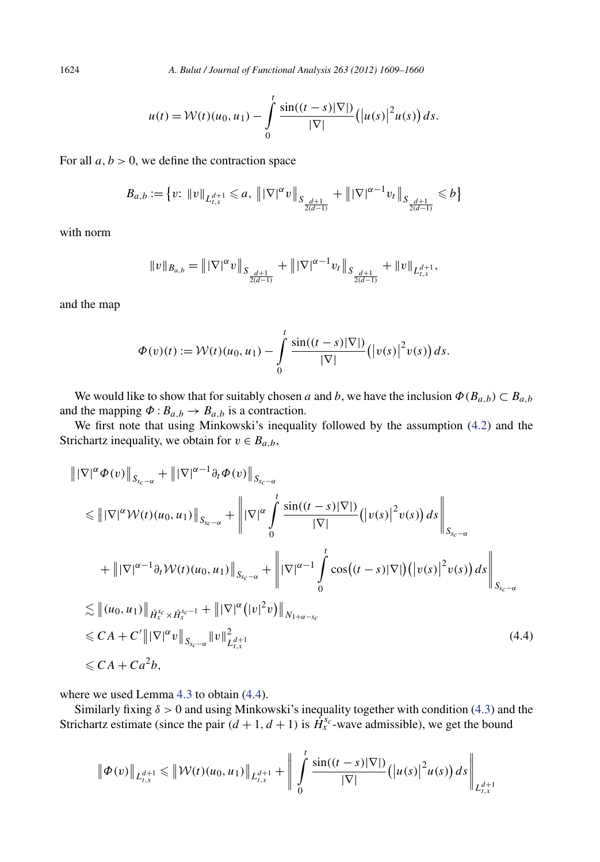1624 *A. Bulut / Journal of Functional Analysis 263 (2012) 1609–1660*

$$
u(t) = \mathcal{W}(t)(u_0, u_1) - \int_0^t \frac{\sin((t-s)|\nabla|)}{|\nabla|} (|u(s)|^2 u(s)) ds.
$$

For all  $a, b > 0$ , we define the contraction space

$$
B_{a,b}:=\big\{v\colon\|v\|_{L^{d+1}_{t,x}}\leqslant a,\;\big\|\,|\nabla|^{\alpha}v\,\big\|_{S_{\frac{d+1}{2(d-1)}}}+\big\|\,|\nabla|^{\alpha-1}v_t\,\big\|_{S_{\frac{d+1}{2(d-1)}}}\leqslant b\big\}
$$

with norm

$$
||v||_{B_{a,b}} = ||\nabla|^{\alpha} v||_{S_{\frac{d+1}{2(d-1)}}} + ||\nabla|^{\alpha-1} v_t||_{S_{\frac{d+1}{2(d-1)}}} + ||v||_{L^{d+1}_{t,x}},
$$

and the map

$$
\Phi(v)(t) := \mathcal{W}(t)(u_0, u_1) - \int\limits_0^t \frac{\sin((t-s)|\nabla|)}{|\nabla|} (|v(s)|^2 v(s)) ds.
$$

We would like to show that for suitably chosen *a* and *b*, we have the inclusion  $\Phi(B_{a,b}) \subset B_{a,b}$ and the mapping  $\Phi: B_{a,b} \to B_{a,b}$  is a contraction.

We first note that using Minkowski's inequality followed by the assumption [\(4.2\)](#page-15-0) and the Strichartz inequality, we obtain for  $v \in B_{a,b}$ ,

$$
\| |\nabla|^{\alpha} \Phi(v) \|_{S_{sc-\alpha}} + \| |\nabla|^{\alpha-1} \partial_t \Phi(v) \|_{S_{sc-\alpha}}
$$
\n
$$
\leq \| |\nabla|^{\alpha} \mathcal{W}(t)(u_0, u_1) \|_{S_{sc-\alpha}} + \| |\nabla|^{\alpha} \int_0^t \frac{\sin((t-s)|\nabla|)}{|\nabla|} (|v(s)|^2 v(s)) ds \|_{S_{sc-\alpha}}
$$
\n
$$
+ \| |\nabla|^{\alpha-1} \partial_t \mathcal{W}(t)(u_0, u_1) \|_{S_{sc-\alpha}} + \| |\nabla|^{\alpha-1} \int_0^t \cos((t-s)|\nabla|) (|v(s)|^2 v(s)) ds \|_{S_{sc-\alpha}}
$$
\n
$$
\leq \| (u_0, u_1) \|_{\dot{H}_x^{s_c} \times \dot{H}_x^{s_c-1}} + \| |\nabla|^{\alpha} (|v|^2 v) \|_{N_{1+\alpha-s_c}}
$$
\n
$$
\leq C A + C' \| |\nabla|^{\alpha} v \|_{S_{sc-\alpha}} \| v \|_{L_{t,x}^{d+1}}^2 \tag{4.4}
$$
\n
$$
\leq C A + C a^2 b,
$$

where we used Lemma [4.3](#page-14-0) to obtain (4.4).

Similarly fixing *δ >* 0 and using Minkowski's inequality together with condition [\(4.3\)](#page-15-0) and the Strichartz estimate (since the pair  $(d+1, d+1)$  is  $\hat{H}_{x}^{s_c}$ -wave admissible), we get the bound

$$
\|\Phi(v)\|_{L^{d+1}_{t,x}} \leq \|\mathcal{W}(t)(u_0, u_1)\|_{L^{d+1}_{t,x}} + \left\|\int\limits_0^t \frac{\sin((t-s)|\nabla|)}{|\nabla|} (|u(s)|^2 u(s)) ds \right\|_{L^{d+1}_{t,x}}
$$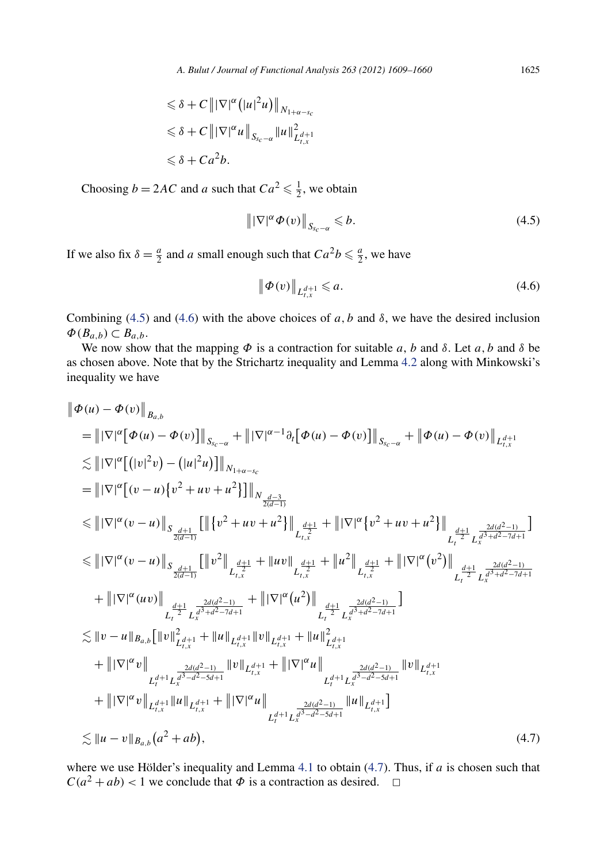$$
\leq \delta + C \|\nabla|^{\alpha} (|u|^2 u)\|_{N_{1+\alpha-s_c}}
$$
  

$$
\leq \delta + C \|\nabla|^{\alpha} u\|_{S_{s_c-\alpha}} \|u\|_{L_{t,x}^{d+1}}^2
$$
  

$$
\leq \delta + C a^2 b.
$$

Choosing  $b = 2AC$  and *a* such that  $Ca^2 \le \frac{1}{2}$ , we obtain

$$
\left\| |\nabla|^{\alpha} \varPhi(v) \right\|_{S_{sc-\alpha}} \leqslant b. \tag{4.5}
$$

If we also fix  $\delta = \frac{a}{2}$  and *a* small enough such that  $Ca^2b \leq \frac{a}{2}$ , we have

$$
\|\Phi(v)\|_{L_{t,x}^{d+1}} \leqslant a. \tag{4.6}
$$

Combining (4.5) and (4.6) with the above choices of *a*, *b* and  $\delta$ , we have the desired inclusion  $\Phi(B_{a,b}) \subset B_{a,b}$ .

We now show that the mapping  $\Phi$  is a contraction for suitable *a*, *b* and  $\delta$ . Let *a*, *b* and  $\delta$  be as chosen above. Note that by the Strichartz inequality and Lemma [4.2](#page-14-0) along with Minkowski's inequality we have

$$
\begin{split}\n&\|\Phi(u) - \Phi(v)\|_{B_{a,b}} \\
&= \|\nabla|^{\alpha} [\Phi(u) - \Phi(v)]\|_{S_{c-\alpha}} + \|\nabla|^{\alpha-1} \partial_t [\Phi(u) - \Phi(v)]\|_{S_{c-\alpha}} + \|\Phi(u) - \Phi(v)\|_{L_{t,x}^{d+1}} \\
&\lesssim \|\nabla|^{\alpha} [(|v|^2 v) - (|u|^2 u)]\|_{N_{1+\alpha-s_c}} \\
&= \|\nabla|^{\alpha} [v - u) \{v^2 + uv + u^2\}\|_{N_{\frac{d-3}{2(d-1)}}} \\
&\lesssim \|\nabla|^{\alpha} (v - u) \|_{S_{\frac{d+1}{2(d-1)}}} \left[ \|\{v^2 + uv + u^2\}\|_{L_{t,x}^{\frac{d+1}{2}}} + \|\nabla|^{\alpha} \{v^2 + uv + u^2\}\|_{L_{t}^{\frac{d+1}{2}}} \right]_{L_{t}^{\frac{d+1}{2}} L_{x}^{\frac{2d(d^2-1)}{d^2(d^2-1)}}} \\
&\lesssim \|\nabla|^{\alpha} (v - u) \|_{S_{\frac{d+1}{2(d-1)}}} \left[ \|v^2\|_{L_{t,x}^{\frac{d+1}{2}}} + \|uv\|_{L_{t,x}^{\frac{d+1}{2}}} + \|u^2\|_{L_{t,x}^{\frac{d+1}{2}}} + \|\nabla|^{\alpha} (v^2)\|_{L_{t}^{\frac{d+1}{2}}} \right]_{L_{t}^{\frac{d+1}{2}} L_{x}^{\frac{2d(d^2-1)}{d^2+d^2-7d+1}}} \\
&+ \|\nabla|^{\alpha} (uv) \|_{L_{t}^{\frac{d+1}{2}} L_{x}^{\frac{2d(d^2-1)}{d^2+d^2-7d+1}}} + \|\nabla|^{\alpha} (u^2) \|_{L_{t,x}^{\frac{d+1}{2}} L_{x}^{\frac{2d(d^2-1)}{d^2+d^2-7d+1}}} \\
&\lesssim \|v - u\|_{B_{a,b}} [||v||_{L_{t,x}^{d+1}}^2 + ||u||_{L_{t,x}^{d+1}} + ||v||_{L_{t,x}^{d+1}}^2 + ||v||_{L_{t,x}^{d+1}}^2]_{L_{t}^{\frac{2d(d^
$$

where we use Hölder's inequality and Lemma [4.1](#page-13-0) to obtain (4.7). Thus, if *a* is chosen such that  $C(a^2 + ab) < 1$  we conclude that  $\Phi$  is a contraction as desired.  $\Box$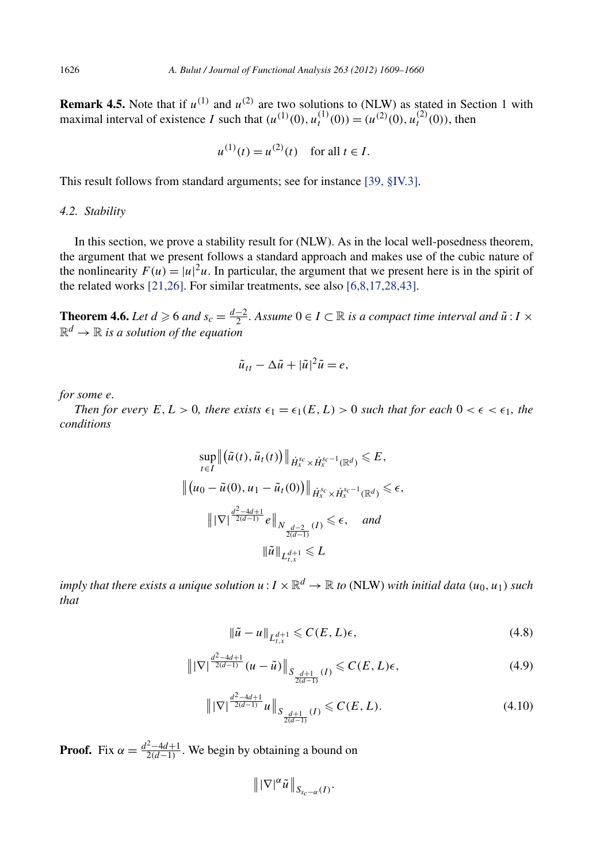<span id="page-18-0"></span>**Remark 4.5.** Note that if  $u^{(1)}$  and  $u^{(2)}$  are two solutions to (NLW) as stated in Section 1 with maximal interval of existence I such that  $(u^{(1)}(0), u_t^{(1)}(0)) = (u^{(2)}(0), u_t^{(2)}(0))$ , then

$$
u^{(1)}(t) = u^{(2)}(t)
$$
 for all  $t \in I$ .

This result follows from standard arguments; see for instance [\[39, §IV.3\].](#page-52-0)

#### *4.2. Stability*

In this section, we prove a stability result for (NLW). As in the local well-posedness theorem, the argument that we present follows a standard approach and makes use of the cubic nature of the nonlinearity  $F(u) = |u|^2 u$ . In particular, the argument that we present here is in the spirit of the related works [\[21,26\].](#page-52-0) For similar treatments, see also [\[6,8,17,28,43\].](#page-51-0)

**Theorem 4.6.** *Let*  $d \ge 6$  *and*  $s_c = \frac{d-2}{2}$ . Assume  $0 \in I \subset \mathbb{R}$  *is a compact time interval and*  $\tilde{u}$  :  $I \times$  $\mathbb{R}^d \to \mathbb{R}$  *is a solution of the equation* 

$$
\tilde{u}_{tt} - \Delta \tilde{u} + |\tilde{u}|^2 \tilde{u} = e,
$$

*for some e.*

*Then for every*  $E, L > 0$ *, there exists*  $\epsilon_1 = \epsilon_1(E, L) > 0$  *such that for each*  $0 < \epsilon < \epsilon_1$ *, the conditions*

$$
\sup_{t \in I} \left\| \left( \tilde{u}(t), \tilde{u}_t(t) \right) \right\|_{\dot{H}_x^{s_c} \times \dot{H}_x^{s_c-1}(\mathbb{R}^d)} \leq E,
$$
  

$$
\left\| \left( u_0 - \tilde{u}(0), u_1 - \tilde{u}_t(0) \right) \right\|_{\dot{H}_x^{s_c} \times \dot{H}_x^{s_c-1}(\mathbb{R}^d)} \leq \epsilon,
$$
  

$$
\left\| |\nabla \right|^{\frac{d^2 - 4d + 1}{2(d - 1)}} e \left\|_{N_{\frac{d - 2}{2(d - 1)}}(I)} \leq \epsilon, \text{ and}
$$
  

$$
\left\| \tilde{u} \right\|_{L_{t,x}^{d+1}} \leq L
$$

*imply that there exists a unique solution*  $u : I \times \mathbb{R}^d \to \mathbb{R}$  to (NLW) with initial data  $(u_0, u_1)$  such *that*

$$
\|\tilde{u} - u\|_{L_{t,x}^{d+1}} \leqslant C(E, L)\epsilon,\tag{4.8}
$$

$$
\left\| |\nabla| \frac{d^2 - 4d + 1}{2(d - 1)} (u - \tilde{u}) \right\|_{S_{\frac{d+1}{2(d-1)}}(I)} \leq C(E, L)\epsilon,
$$
\n(4.9)

$$
\left\| |\nabla| \frac{d^2 - 4d + 1}{2(d-1)} u \right\|_{S_{\frac{d+1}{2(d-1)}}(I)} \leq C(E, L). \tag{4.10}
$$

**Proof.** Fix  $\alpha = \frac{d^2 - 4d + 1}{2(d-1)}$ . We begin by obtaining a bound on

$$
\|\nabla|^{\alpha}\tilde{u}\|_{S_{s_c-\alpha}(I)}.
$$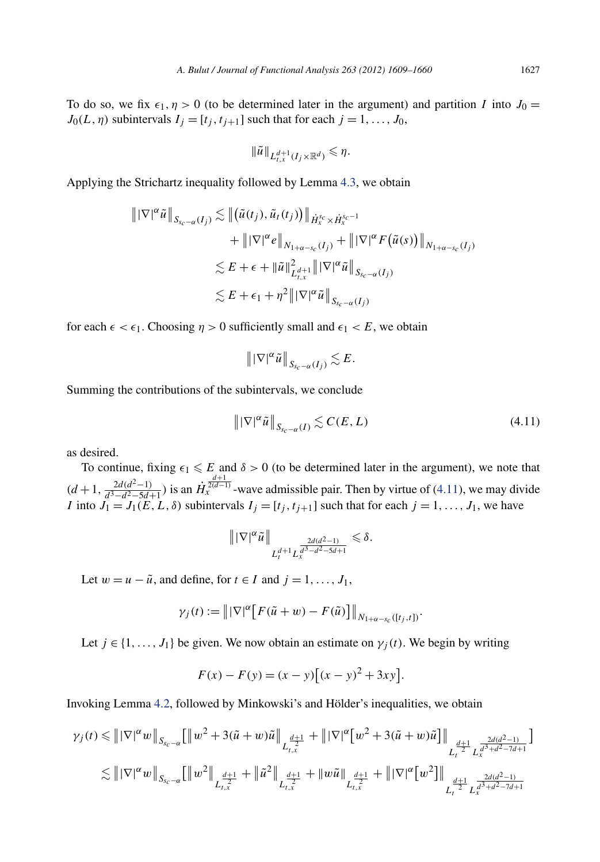<span id="page-19-0"></span>To do so, we fix  $\epsilon_1$ ,  $\eta > 0$  (to be determined later in the argument) and partition *I* into  $J_0 =$  $J_0(L, \eta)$  subintervals  $I_j = [t_j, t_{j+1}]$  such that for each  $j = 1, \ldots, J_0$ ,

$$
\|\tilde{u}\|_{L^{d+1}_{t,x}(I_j\times\mathbb{R}^d)}\leqslant\eta.
$$

Applying the Strichartz inequality followed by Lemma [4.3,](#page-14-0) we obtain

$$
\| |\nabla|^{\alpha} \tilde{u} \|_{S_{s_c - \alpha}(I_j)} \lesssim \| (\tilde{u}(t_j), \tilde{u}_t(t_j)) \|_{\dot{H}_x^{s_c} \times \dot{H}_x^{s_c - 1}} + \| |\nabla|^{\alpha} e \|_{N_{1 + \alpha - s_c}(I_j)} + \| |\nabla|^{\alpha} F(\tilde{u}(s)) \|_{N_{1 + \alpha - s_c}(I_j)} \n\lesssim E + \epsilon + \| \tilde{u} \|_{L_{t,x}^{d+1}}^2 \| |\nabla|^{\alpha} \tilde{u} \|_{S_{s_c - \alpha}(I_j)} \n\lesssim E + \epsilon_1 + \eta^2 \| |\nabla|^{\alpha} \tilde{u} \|_{S_{s_c - \alpha}(I_j)}
$$

for each  $\epsilon < \epsilon_1$ . Choosing  $\eta > 0$  sufficiently small and  $\epsilon_1 < E$ , we obtain

$$
\|\nabla|^{\alpha}\tilde{u}\|_{S_{s_c-\alpha}(I_j)}\lesssim E.
$$

Summing the contributions of the subintervals, we conclude

$$
\left\| |\nabla|^{\alpha} \tilde{u} \right\|_{S_{sc-\alpha}(I)} \lesssim C(E, L) \tag{4.11}
$$

as desired.

To continue, fixing  $\epsilon_1 \leqslant E$  and  $\delta > 0$  (to be determined later in the argument), we note that  $(d+1, \frac{2d(d^2-1)}{d^3-d^2-5d+1})$  is an  $\dot{H}_x^{\frac{d+1}{2(d-1)}}$ -wave admissible pair. Then by virtue of (4.11), we may divide *I* into  $J_1 = J_1(E, L, \delta)$  subintervals  $I_j = [t_j, t_{j+1}]$  such that for each  $j = 1, ..., J_1$ , we have

$$
\|\nabla|^{\alpha}\tilde{u}\|_{L_t^{d+1}L_x^{\frac{2d(d^2-1)}{d^3-d^2-5d+1}}}\leq \delta.
$$

Let  $w = u - \tilde{u}$ , and define, for  $t \in I$  and  $j = 1, \ldots, J_1$ ,

$$
\gamma_j(t) := \left\| |\nabla|^{\alpha} \left[ F(\tilde{u} + w) - F(\tilde{u}) \right] \right\|_{N_{1+\alpha-s_c}([t_j,t])}.
$$

Let  $j \in \{1, ..., J_1\}$  be given. We now obtain an estimate on  $\gamma_j(t)$ . We begin by writing

$$
F(x) - F(y) = (x - y) [(x - y)^{2} + 3xy].
$$

Invoking Lemma [4.2,](#page-14-0) followed by Minkowski's and Hölder's inequalities, we obtain

$$
\begin{aligned} \gamma_j(t)&\leqslant \left\|\left|\nabla\right|^{\alpha}w\right\|_{S_{s_c-\alpha}}\Big[\left\|w^2+3(\tilde{u}+w)\tilde{u}\right\|_{L_{t,x}^{\frac{d+1}{2}}}+\left\|\left|\nabla\right|^{\alpha}\big[w^2+3(\tilde{u}+w)\tilde{u}\big]\right\|_{L_{t}^{\frac{d+1}{2}}L_{x}^{\frac{2d(d^2-1)}{d^3+d^2-7d+1}}\\ &\lesssim \left\|\left|\nabla\right|^{\alpha}w\right\|_{S_{s_c-\alpha}}\Big[\left\|w^2\right\|_{L_{t,x}^{\frac{d+1}{2}}}+\left\|\tilde{u}^2\right\|_{L_{t,x}^{\frac{d+1}{2}}}+\left\|w\tilde{u}\right\|_{L_{t,x}^{\frac{d+1}{2}}}+\left\|\left|\nabla\right|^{\alpha}\big[w^2\big]\right\|_{L_{t}^{\frac{d+1}{2}}L_{x}^{\frac{2d(d^2-1)}{d^3+d^2-7d+1}}}\\ \end{aligned}
$$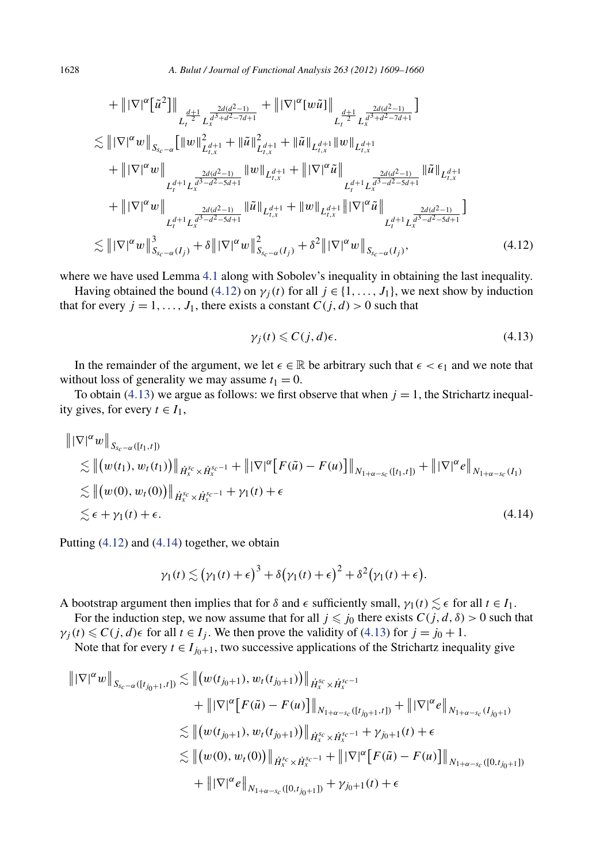<span id="page-20-0"></span>
$$
+ \|\nabla|^{\alpha} \left[\tilde{u}^{2}\right]\|_{L_{t}^{\frac{d+1}{2}} L_{x}^{\frac{2d(d^{2}-1)}{d^{3}+d^{2}-7d+1}}} + \|\nabla|^{\alpha} \left[w\tilde{u}\right]\|_{L_{t}^{\frac{d+1}{2}} L_{x}^{\frac{2d(d^{2}-1)}{d^{3}+d^{2}-7d+1}}}
$$
\n
$$
\lesssim \|\nabla|^{\alpha} w\|_{S_{s_{c}-\alpha}} \left[\|w\|_{L_{t,x}^{d+1}}^{2} + \|\tilde{u}\|_{L_{t,x}^{d+1}}^{2} + \|\tilde{u}\|_{L_{t,x}^{d+1}}^{2} \|\|w\|_{L_{t,x}^{d+1}}
$$
\n
$$
+ \|\nabla|^{\alpha} w\|_{L_{t}^{\frac{2d(d^{2}-1)}{d^{3}-d^{2}-5d+1}}} \|\omega\|_{L_{t,x}^{d+1}} + \|\nabla|^{\alpha} \tilde{u}\|_{L_{t}^{\frac{2d(d^{2}-1)}{d^{3}-d^{2}-5d+1}}} \|\tilde{u}\|_{L_{t,x}^{d+1}}
$$
\n
$$
+ \|\nabla|^{\alpha} w\|_{L_{t}^{\frac{2d(d^{2}-1)}{d^{3}-d^{2}-5d+1}}} \|\tilde{u}\|_{L_{t,x}^{d+1}} + \|w\|_{L_{t,x}^{d+1}} \|\nabla|^{\alpha} \tilde{u}\|_{L_{t}^{\frac{2d(d^{2}-1)}{d^{3}-d^{2}-5d+1}}} \frac{2d(d^{2}-1)}{L_{t}^{\frac{2d(d^{2}-1)}{d^{3}-d^{2}-5d+1}}} \right]
$$
\n
$$
\lesssim \|\nabla|^{\alpha} w\|_{S_{s_{c}-\alpha}(I_{j})}^{3} + \delta \|\nabla|^{\alpha} w\|_{S_{s_{c}-\alpha}(I_{j})}^{2} + \delta^{2} \|\nabla|^{\alpha} w\|_{S_{s_{c}-\alpha}(I_{j})}^{2}, \qquad (4.12)
$$

where we have used Lemma [4.1](#page-13-0) along with Sobolev's inequality in obtaining the last inequality.

Having obtained the bound (4.12) on  $\gamma_i(t)$  for all  $j \in \{1, ..., J_1\}$ , we next show by induction that for every  $j = 1, ..., J_1$ , there exists a constant  $C(j, d) > 0$  such that

$$
\gamma_j(t) \leqslant C(j,d)\epsilon. \tag{4.13}
$$

In the remainder of the argument, we let  $\epsilon \in \mathbb{R}$  be arbitrary such that  $\epsilon < \epsilon_1$  and we note that without loss of generality we may assume  $t_1 = 0$ .

To obtain (4.13) we argue as follows: we first observe that when  $j = 1$ , the Strichartz inequality gives, for every  $t \in I_1$ ,

$$
\|\nabla|^{\alpha} w\|_{S_{s_c-\alpha}([t_1,t])}
$$
  
\n
$$
\lesssim \| (w(t_1), w_t(t_1)) \|_{\dot{H}_x^{s_c} \times \dot{H}_x^{s_c-1}} + \|\nabla|^{\alpha} [F(\tilde{u}) - F(u)] \|_{N_{1+\alpha-s_c}([t_1,t])} + \|\nabla|^{\alpha} e \|_{N_{1+\alpha-s_c}(I_1)}
$$
  
\n
$$
\lesssim \| (w(0), w_t(0)) \|_{\dot{H}_x^{s_c} \times \dot{H}_x^{s_c-1}} + \gamma_1(t) + \epsilon
$$
  
\n
$$
\lesssim \epsilon + \gamma_1(t) + \epsilon.
$$
\n(4.14)

Putting (4.12) and (4.14) together, we obtain

$$
\gamma_1(t) \lesssim (\gamma_1(t) + \epsilon)^3 + \delta(\gamma_1(t) + \epsilon)^2 + \delta^2(\gamma_1(t) + \epsilon).
$$

A bootstrap argument then implies that for  $\delta$  and  $\epsilon$  sufficiently small,  $\gamma_1(t) \lesssim \epsilon$  for all  $t \in I_1$ .

For the induction step, we now assume that for all  $j \leq j_0$  there exists  $C(j, d, \delta) > 0$  such that  $\gamma_i(t) \leq C(j, d) \in$  for all  $t \in I_i$ . We then prove the validity of (4.13) for  $j = j_0 + 1$ .

Note that for every  $t \in I_{j_0+1}$ , two successive applications of the Strichartz inequality give

$$
\| |\nabla|^{\alpha} w \|_{S_{s_c-\alpha}([t_{j_0+1},t])} \lesssim \| (w(t_{j_0+1}), w_t(t_{j_0+1})) \|_{\dot{H}_x^{s_c} \times \dot{H}_x^{s_c-1}} + \| |\nabla|^{\alpha} [F(\tilde{u}) - F(u)] \|_{N_{1+\alpha-s_c}([t_{j_0+1},t])} + \| |\nabla|^{\alpha} e \|_{N_{1+\alpha-s_c}([t_{j_0+1})} \lesssim \| (w(t_{j_0+1}), w_t(t_{j_0+1})) \|_{\dot{H}_x^{s_c} \times \dot{H}_x^{s_c-1}} + \gamma_{j_0+1}(t) + \epsilon \lesssim \| (w(0), w_t(0)) \|_{\dot{H}_x^{s_c} \times \dot{H}_x^{s_c-1}} + \| |\nabla|^{\alpha} [F(\tilde{u}) - F(u)] \|_{N_{1+\alpha-s_c}([0,t_{j_0+1}])} + \| |\nabla|^{\alpha} e \|_{N_{1+\alpha-s_c}([0,t_{j_0+1}])} + \gamma_{j_0+1}(t) + \epsilon
$$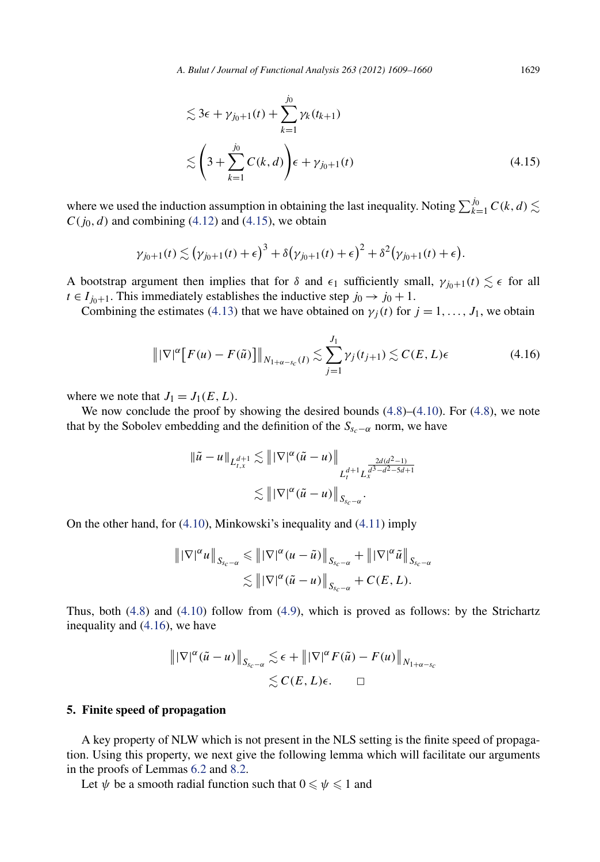$$
\lesssim 3\epsilon + \gamma_{j_0+1}(t) + \sum_{k=1}^{j_0} \gamma_k(t_{k+1})
$$
  

$$
\lesssim \left(3 + \sum_{k=1}^{j_0} C(k, d)\right) \epsilon + \gamma_{j_0+1}(t) \tag{4.15}
$$

where we used the induction assumption in obtaining the last inequality. Noting  $\sum_{k=1}^{j_0} C(k,d)$   $\lesssim$  $C(j_0, d)$  and combining [\(4.12\)](#page-20-0) and (4.15), we obtain

$$
\gamma_{j_0+1}(t) \lesssim \left(\gamma_{j_0+1}(t) + \epsilon\right)^3 + \delta\left(\gamma_{j_0+1}(t) + \epsilon\right)^2 + \delta^2\left(\gamma_{j_0+1}(t) + \epsilon\right).
$$

A bootstrap argument then implies that for  $\delta$  and  $\epsilon_1$  sufficiently small,  $\gamma_{i0+1}(t) \lesssim \epsilon$  for all  $t \in I_{j_0+1}$ . This immediately establishes the inductive step  $j_0 \rightarrow j_0 + 1$ .

Combining the estimates (4.[13](#page-20-0)) that we have obtained on  $\gamma_i(t)$  for  $j = 1, \ldots, J_1$ , we obtain

$$
\left\| |\nabla|^{\alpha} \left[ F(u) - F(\tilde{u}) \right] \right\|_{N_{1+\alpha-s_c}(I)} \lesssim \sum_{j=1}^{J_1} \gamma_j(t_{j+1}) \lesssim C(E, L)\epsilon
$$
\n(4.16)

where we note that  $J_1 = J_1(E, L)$ .

We now conclude the proof by showing the desired bounds  $(4.8)$ – $(4.10)$ . For  $(4.8)$ , we note that by the Sobolev embedding and the definition of the  $S_{s_c-\alpha}$  norm, we have

$$
\|\tilde{u} - u\|_{L_{t,x}^{d+1}} \lesssim \| |\nabla|^{\alpha} (\tilde{u} - u) \|_{L_{t}^{d+1} L_{x}^{\frac{2d(d^{2}-1)}{d^{3}-d^{2}-5d+1}}} \lesssim \| |\nabla|^{\alpha} (\tilde{u} - u) \|_{S_{sc}-\alpha}.
$$

On the other hand, for [\(4.10\)](#page-18-0), Minkowski's inequality and [\(4.11\)](#page-19-0) imply

$$
\|\nabla|^{\alpha} u\|_{S_{sc}-\alpha} \leq \|\nabla|^{\alpha} (u-\tilde{u})\|_{S_{sc}-\alpha} + \|\nabla|^{\alpha} \tilde{u}\|_{S_{sc}-\alpha}
$$
  

$$
\lesssim \|\nabla|^{\alpha} (\tilde{u}-u)\|_{S_{sc}-\alpha} + C(E,L).
$$

Thus, both [\(4.8\)](#page-18-0) and [\(4.10\)](#page-18-0) follow from [\(4.9\)](#page-18-0), which is proved as follows: by the Strichartz inequality and (4.16), we have

$$
\|\nabla|^{\alpha}(\tilde{u}-u)\|_{S_{sc-\alpha}} \lesssim \epsilon + \|\nabla|^{\alpha} F(\tilde{u}) - F(u)\|_{N_{1+\alpha-s_c}} \lesssim C(E, L)\epsilon. \qquad \Box
$$

#### **5. Finite speed of propagation**

A key property of NLW which is not present in the NLS setting is the finite speed of propagation. Using this property, we next give the following lemma which will facilitate our arguments in the proofs of Lemmas [6.2](#page-26-0) and [8.2.](#page-39-0)

Let  $\psi$  be a smooth radial function such that  $0 \le \psi \le 1$  and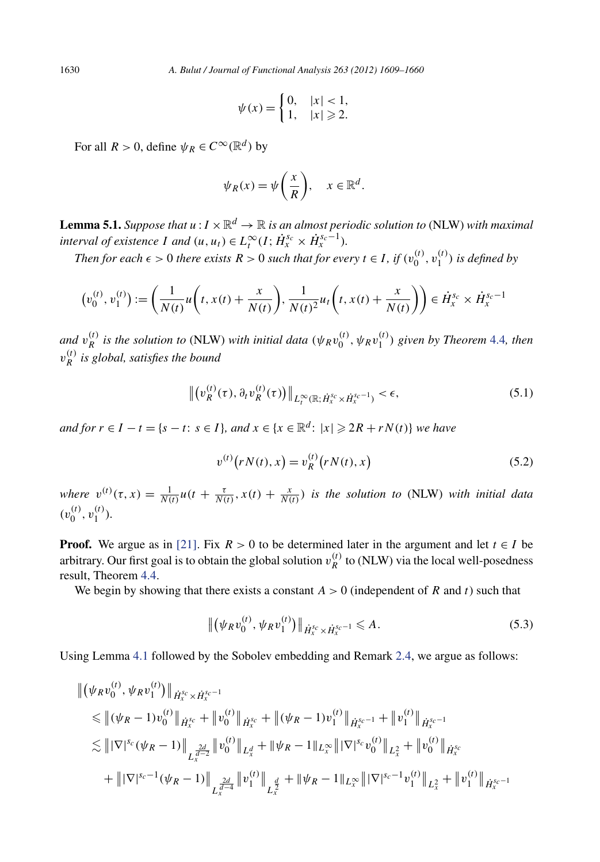$$
\psi(x) = \begin{cases} 0, & |x| < 1, \\ 1, & |x| \geqslant 2. \end{cases}
$$

For all  $R > 0$ , define  $\psi_R \in C^\infty(\mathbb{R}^d)$  by

$$
\psi_R(x) = \psi\left(\frac{x}{R}\right), \quad x \in \mathbb{R}^d.
$$

**Lemma 5.1.** *Suppose that*  $u: I \times \mathbb{R}^d \to \mathbb{R}$  *is an almost periodic solution to* (NLW) *with maximal interval of existence I and*  $(u, u_t) \in L_t^{\infty}(I; \dot{H}_x^{s_c} \times \dot{H}_x^{s_c-1})$ *.* 

*Then for each*  $\epsilon > 0$  *there exists*  $R > 0$  *such that for every*  $t \in I$ *, if*  $(v_0^{(t)}, v_1^{(t)})$  *is defined by* 

$$
(v_0^{(t)}, v_1^{(t)}) := \left(\frac{1}{N(t)}u\left(t, x(t) + \frac{x}{N(t)}\right), \frac{1}{N(t)^2}u_t\left(t, x(t) + \frac{x}{N(t)}\right)\right) \in \dot{H}_x^{s_c} \times \dot{H}_x^{s_c-1}
$$

*and*  $v_R^{(t)}$  *is the solution to* (NLW) *with initial data*  $(\psi_R v_0^{(t)}, \psi_R v_1^{(t)})$  *given by Theorem* [4.4](#page-15-0)*, then v(t) <sup>R</sup> is global, satisfies the bound*

$$
\left\| \left( v_R^{(t)}(\tau), \partial_t v_R^{(t)}(\tau) \right) \right\|_{L_t^{\infty}(\mathbb{R}; \dot{H}_x^{s_c} \times \dot{H}_x^{s_c-1})} < \epsilon,\tag{5.1}
$$

*and for*  $r \in I - t = \{s - t: s \in I\}$ *, and*  $x \in \{x \in \mathbb{R}^d: |x| \geqslant 2R + rN(t)\}$  *we have* 

$$
v^{(t)}(rN(t),x) = v_R^{(t)}(rN(t),x)
$$
\n(5.2)

*where*  $v^{(t)}(\tau, x) = \frac{1}{N(t)}u(t + \frac{\tau}{N(t)}, x(t) + \frac{x}{N(t)})$  *is the solution to* (NLW) *with initial data*  $(v_0^{(t)}, v_1^{(t)})$ .

**Proof.** We argue as in [\[21\].](#page-52-0) Fix  $R > 0$  to be determined later in the argument and let  $t \in I$  be arbitrary. Our first goal is to obtain the global solution  $v_R^{(t)}$  to (NLW) via the local well-posedness result, Theorem [4.4.](#page-15-0)

We begin by showing that there exists a constant  $A > 0$  (independent of R and t) such that

$$
\left\| \left( \psi_R v_0^{(t)}, \psi_R v_1^{(t)} \right) \right\|_{\dot{H}_x^{s_c} \times \dot{H}_x^{s_c - 1}} \leq A. \tag{5.3}
$$

Using Lemma [4.1](#page-13-0) followed by the Sobolev embedding and Remark [2.4,](#page-8-0) we argue as follows:

$$
\begin{split}\n\|(\psi_R v_0^{(t)}, \psi_R v_1^{(t)})\|_{\dot{H}_x^{s_c} \times \dot{H}_x^{s_c-1}} \\
&\leq \left\|(\psi_R - 1) v_0^{(t)}\right\|_{\dot{H}_x^{s_c}} + \left\|v_0^{(t)}\right\|_{\dot{H}_x^{s_c}} + \left\|(\psi_R - 1) v_1^{(t)}\right\|_{\dot{H}_x^{s_c-1}} + \left\|v_1^{(t)}\right\|_{\dot{H}_x^{s_c-1}} \\
&\leq \left\| |\nabla|^{s_c} (\psi_R - 1) \right\|_{L_x^{\frac{2d}{d-2}}} \|v_0^{(t)}\|_{L_x^d} + \left\|\psi_R - 1\right\|_{L_x^{\infty}} \left\| |\nabla|^{s_c} v_0^{(t)}\right\|_{L_x^2} + \left\|v_0^{(t)}\right\|_{\dot{H}_x^{s_c}} \\
&\quad + \left\| |\nabla|^{s_c-1} (\psi_R - 1) \right\|_{L_x^{\frac{2d}{d-4}}} \|v_1^{(t)}\|_{L_x^{\frac{d}{2}}} + \left\|\psi_R - 1\right\|_{L_x^{\infty}} \left\| |\nabla|^{s_c-1} v_1^{(t)}\right\|_{L_x^2} + \left\|v_1^{(t)}\right\|_{\dot{H}_x^{s_c-1}}\n\end{split}
$$

<span id="page-22-0"></span>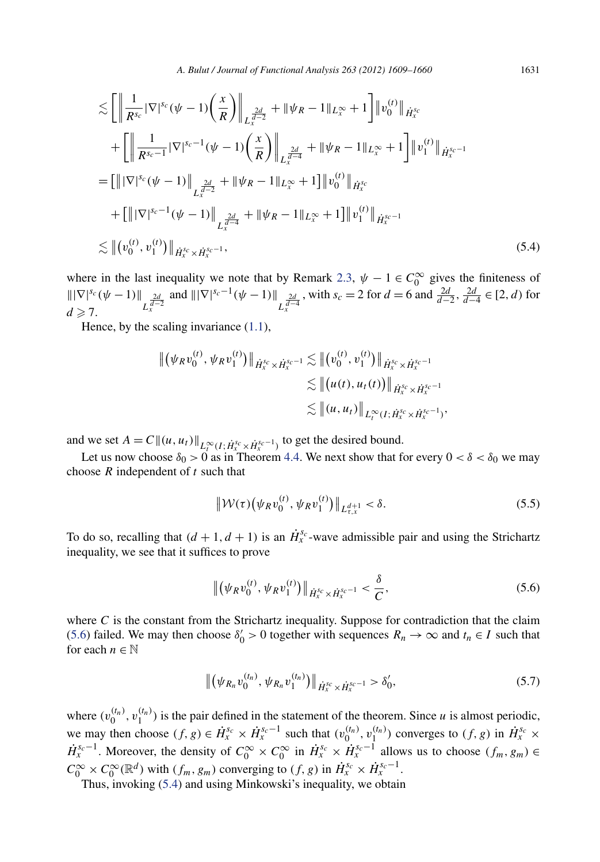*A. Bulut / Journal of Functional Analysis 263 (2012) 1609–1660* 1631

<span id="page-23-0"></span>
$$
\lesssim \left[ \left\| \frac{1}{R^{s_c}} |\nabla|^{s_c} (\psi - 1) \left( \frac{x}{R} \right) \right\|_{L_x^{\frac{2d}{d-2}}} + \|\psi_R - 1\|_{L_x^{\infty}} + 1 \right] \|v_0^{(t)}\|_{\dot{H}_x^{s_c}}
$$
  
+ 
$$
\left[ \left\| \frac{1}{R^{s_c-1}} |\nabla|^{s_c-1} (\psi - 1) \left( \frac{x}{R} \right) \right\|_{L_x^{\frac{2d}{d-4}}} + \|\psi_R - 1\|_{L_x^{\infty}} + 1 \right] \|v_1^{(t)}\|_{\dot{H}_x^{s_c-1}}
$$
  
= 
$$
\left[ \left\| |\nabla|^{s_c} (\psi - 1) \right\|_{L_x^{\frac{2d}{d-2}}} + \|\psi_R - 1\|_{L_x^{\infty}} + 1 \right] \|v_0^{(t)}\|_{\dot{H}_x^{s_c}}
$$
  
+ 
$$
\left[ \left\| |\nabla|^{s_c-1} (\psi - 1) \right\|_{L_x^{\frac{2d}{d-4}}} + \|\psi_R - 1\|_{L_x^{\infty}} + 1 \right] \|v_1^{(t)}\|_{\dot{H}_x^{s_c-1}}
$$
  

$$
\lesssim \| (v_0^{(t)}, v_1^{(t)}) \|_{\dot{H}_x^{s_c} \times \dot{H}_x^{s_c-1}}, \tag{5.4}
$$

where in the last inequality we note that by Remark [2.3,](#page-8-0)  $\psi - 1 \in C_0^{\infty}$  gives the finiteness of  $|||\nabla|^{s_c}(\psi - 1)||$ *L* 2*d <sup>d</sup>*−<sup>2</sup> *<sup>x</sup>* and  $\|\nabla|^{s_c-1}(\psi - 1)\|$  $L_x^{\frac{2d}{d-4}}$ , with  $s_c = 2$  for  $d = 6$  and  $\frac{2d}{d-2}, \frac{2d}{d-4} \in [2, d)$  for  $d \geqslant 7$ .

Hence, by the scaling invariance [\(1.1\)](#page-2-0),

$$
\begin{aligned} \| \left( \psi_R v_0^{(t)}, \psi_R v_1^{(t)} \right) \|_{\dot{H}_x^{s_c} \times \dot{H}_x^{s_c-1}} &\lesssim \| \left( v_0^{(t)}, v_1^{(t)} \right) \|_{\dot{H}_x^{s_c} \times \dot{H}_x^{s_c-1}} \\ &\lesssim \| \left( u(t), u_t(t) \right) \|_{\dot{H}_x^{s_c} \times \dot{H}_x^{s_c-1}} \\ &\lesssim \| (u, u_t) \|_{L_t^\infty (I; \dot{H}_x^{s_c} \times \dot{H}_x^{s_c-1})}, \end{aligned}
$$

and we set  $A = C \|(u, u_t)\|_{L_t^{\infty}(I; \dot{H}_x^{s_c} \times \dot{H}_x^{s_c-1})}$  to get the desired bound.

Let us now choose  $\delta_0 > 0$  as in Theorem [4.4.](#page-15-0) We next show that for every  $0 < \delta < \delta_0$  we may choose *R* independent of *t* such that

$$
\|\mathcal{W}(\tau)\big(\psi_R v_0^{(t)}, \psi_R v_1^{(t)}\big)\|_{L_{\tau,x}^{d+1}} < \delta. \tag{5.5}
$$

To do so, recalling that  $(d + 1, d + 1)$  is an  $\dot{H}_x^{s_c}$ -wave admissible pair and using the Strichartz inequality, we see that it suffices to prove

$$
\left\| \left( \psi_R v_0^{(t)}, \psi_R v_1^{(t)} \right) \right\|_{\dot{H}_x^{s_c} \times \dot{H}_x^{s_c-1}} < \frac{\delta}{C},\tag{5.6}
$$

where  $C$  is the constant from the Strichartz inequality. Suppose for contradiction that the claim (5.6) failed. We may then choose  $\delta'_0 > 0$  together with sequences  $R_n \to \infty$  and  $t_n \in I$  such that for each  $n \in \mathbb{N}$ 

$$
\left\| \left( \psi_{R_n} v_0^{(t_n)}, \psi_{R_n} v_1^{(t_n)} \right) \right\|_{\dot{H}_x^{s_c} \times \dot{H}_x^{s_c - 1}} > \delta_0', \tag{5.7}
$$

where  $(v_0^{(t_n)}, v_1^{(t_n)})$  is the pair defined in the statement of the theorem. Since *u* is almost periodic, we may then choose  $(f, g) \in \dot{H}_x^{s_c} \times \dot{H}_x^{s_c-1}$  such that  $(v_0^{(t_n)}, v_1^{(t_n)})$  converges to  $(f, g)$  in  $\dot{H}_x^{s_c} \times$  $\dot{H}_x^{s_c-1}$ . Moreover, the density of  $C_0^{\infty} \times C_0^{\infty}$  in  $\dot{H}_x^{s_c} \times \dot{H}_x^{s_c-1}$  allows us to choose  $(f_m, g_m) \in$  $C_0^{\infty} \times C_0^{\infty}(\mathbb{R}^d)$  with  $(f_m, g_m)$  converging to  $(f, g)$  in  $\dot{H}_x^{s_c} \times \dot{H}_x^{s_c-1}$ .

Thus, invoking (5.4) and using Minkowski's inequality, we obtain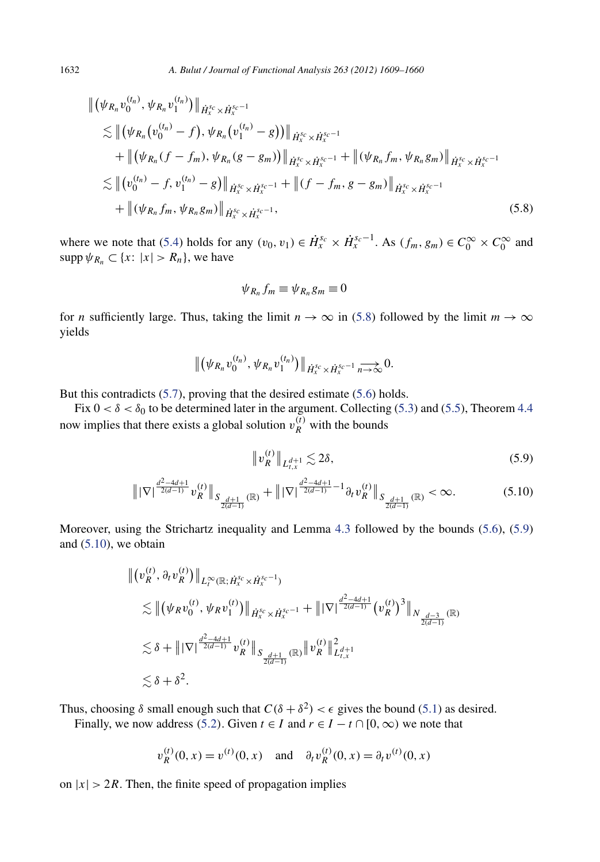$$
\begin{split}\n\| (\psi_{R_n} v_0^{(t_n)}, \psi_{R_n} v_1^{(t_n)}) \|_{\dot{H}_x^{S_c} \times \dot{H}_x^{S_c-1}} \\
&\lesssim \| (\psi_{R_n} (v_0^{(t_n)} - f), \psi_{R_n} (v_1^{(t_n)} - g)) \|_{\dot{H}_x^{S_c} \times \dot{H}_x^{S_c-1}} \\
&\quad + \| (\psi_{R_n} (f - f_m), \psi_{R_n} (g - g_m)) \|_{\dot{H}_x^{S_c} \times \dot{H}_x^{S_c-1}} + \| (\psi_{R_n} f_m, \psi_{R_n} g_m) \|_{\dot{H}_x^{S_c} \times \dot{H}_x^{S_c-1}} \\
&\lesssim \| (v_0^{(t_n)} - f, v_1^{(t_n)} - g) \|_{\dot{H}_x^{S_c} \times \dot{H}_x^{S_c-1}} + \| (f - f_m, g - g_m) \|_{\dot{H}_x^{S_c} \times \dot{H}_x^{S_c-1}} \\
&\quad + \| (\psi_{R_n} f_m, \psi_{R_n} g_m) \|_{\dot{H}_x^{S_c} \times \dot{H}_x^{S_c-1}},\n\end{split} \tag{5.8}
$$

where we note that [\(5.4\)](#page-23-0) holds for any  $(v_0, v_1) \in \dot{H}_x^{s_c} \times \dot{H}_x^{s_c-1}$ . As  $(f_m, g_m) \in C_0^\infty \times C_0^\infty$  and supp  $\psi_{R_n} \subset \{x: |x| > R_n\}$ , we have

$$
\psi_{R_n} f_m \equiv \psi_{R_n} g_m \equiv 0
$$

for *n* sufficiently large. Thus, taking the limit  $n \to \infty$  in (5.8) followed by the limit  $m \to \infty$ yields

$$
\left\|\left(\psi_{R_n}v_0^{(t_n)},\psi_{R_n}v_1^{(t_n)}\right)\right\|_{\dot{H}_x^{s_c}\times\dot{H}_x^{s_c-1}}\underset{n\to\infty}{\longrightarrow}0.
$$

But this contradicts [\(5.7\)](#page-23-0), proving that the desired estimate [\(5.6\)](#page-23-0) holds.

Fix  $0 < \delta < \delta_0$  to be determined later in the argument. Collecting [\(5.3\)](#page-22-0) and [\(5.5\)](#page-23-0), Theorem [4.4](#page-15-0) now implies that there exists a global solution  $v_R^{(t)}$  with the bounds

$$
\|v_R^{(t)}\|_{L_{t,x}^{d+1}} \lesssim 2\delta,\tag{5.9}
$$

$$
\left\| |\nabla| \frac{d^2 - 4d + 1}{2(d-1)} v_R^{(t)} \right\|_{S_{\frac{d+1}{2(d-1)}}(\mathbb{R})} + \left\| |\nabla| \frac{d^2 - 4d + 1}{2(d-1)} - 1 \partial_t v_R^{(t)} \right\|_{S_{\frac{d+1}{2(d-1)}}(\mathbb{R})} < \infty. \tag{5.10}
$$

Moreover, using the Strichartz inequality and Lemma [4.3](#page-14-0) followed by the bounds [\(5.6\)](#page-23-0), (5.9) and  $(5.10)$ , we obtain

$$
\begin{split} & \left\| \left( v_R^{(t)}, \partial_t v_R^{(t)} \right) \right\|_{L_t^\infty(\mathbb{R}; \dot{H}_x^{s_c} \times \dot{H}_x^{s_c-1})} \\ & \lesssim \left\| \left( \psi_R v_0^{(t)}, \psi_R v_1^{(t)} \right) \right\|_{\dot{H}_x^{s_c} \times \dot{H}_x^{s_c-1}} + \left\| |\nabla \right|^{\frac{d^2 - 4d + 1}{2(d-1)}} \left( v_R^{(t)} \right)^3 \right\|_{N_{\frac{d-3}{2(d-1)}}(\mathbb{R})} \\ & \lesssim \delta + \left\| |\nabla \right|^{\frac{d^2 - 4d + 1}{2(d-1)}} v_R^{(t)} \left\|_{S_{\frac{d+1}{2(d-1)}}(\mathbb{R})} \left\| v_R^{(t)} \right\|_{L_{t,x}^d}^2 \\ & \lesssim \delta + \delta^2. \end{split}
$$

Thus, choosing  $\delta$  small enough such that  $C(\delta + \delta^2) < \epsilon$  gives the bound [\(5.1\)](#page-22-0) as desired.

Finally, we now address ([5](#page-22-0).2). Given  $t \in I$  and  $r \in I - t \cap [0, \infty)$  we note that

$$
v_R^{(t)}(0, x) = v^{(t)}(0, x)
$$
 and  $\partial_t v_R^{(t)}(0, x) = \partial_t v^{(t)}(0, x)$ 

on  $|x| > 2R$ . Then, the finite speed of propagation implies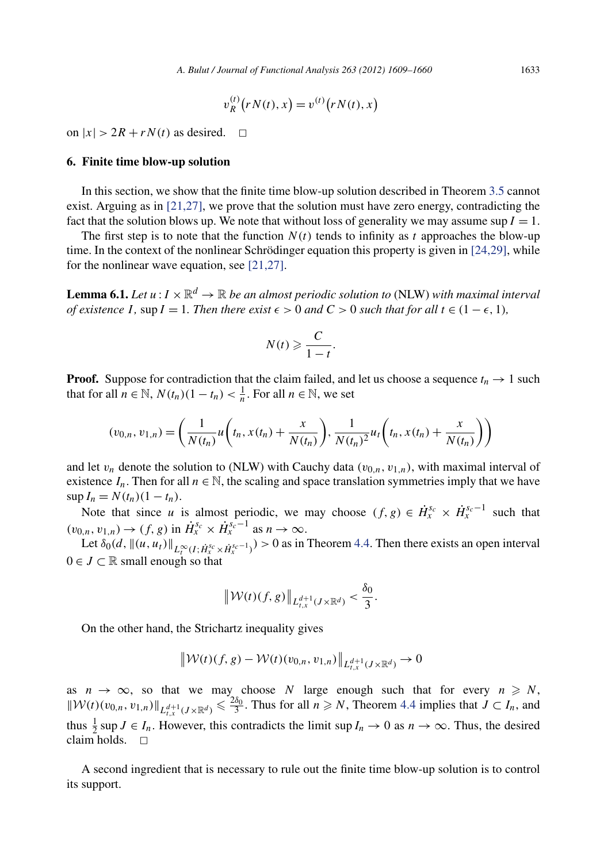$$
v_R^{(t)}(rN(t), x) = v^{(t)}(rN(t), x)
$$

<span id="page-25-0"></span>on  $|x| > 2R + rN(t)$  as desired.  $\Box$ 

#### **6. Finite time blow-up solution**

In this section, we show that the finite time blow-up solution described in Theorem [3.5](#page-11-0) cannot exist. Arguing as in  $[21,27]$ , we prove that the solution must have zero energy, contradicting the fact that the solution blows up. We note that without loss of generality we may assume sup  $I = 1$ .

The first step is to note that the function  $N(t)$  tends to infinity as t approaches the blow-up time. In the context of the nonlinear Schrödinger equation this property is given in [\[24,29\],](#page-52-0) while for the nonlinear wave equation, see [\[21,27\].](#page-52-0)

**Lemma 6.1.** *Let*  $u: I \times \mathbb{R}^d \to \mathbb{R}$  *be an almost periodic solution to* (NLW) *with maximal interval of existence I*, sup  $I = 1$ *. Then there exist*  $\epsilon > 0$  *and*  $C > 0$  *such that for all*  $t \in (1 - \epsilon, 1)$ *,* 

$$
N(t) \geqslant \frac{C}{1-t}.
$$

**Proof.** Suppose for contradiction that the claim failed, and let us choose a sequence  $t_n \to 1$  such that for all  $n \in \mathbb{N}$ ,  $N(t_n)(1 - t_n) < \frac{1}{n}$ . For all  $n \in \mathbb{N}$ , we set

$$
(v_{0,n}, v_{1,n}) = \left(\frac{1}{N(t_n)}u\left(t_n, x(t_n) + \frac{x}{N(t_n)}\right), \frac{1}{N(t_n)^2}u_t\left(t_n, x(t_n) + \frac{x}{N(t_n)}\right)\right)
$$

and let  $v_n$  denote the solution to (NLW) with Cauchy data  $(v_{0,n}, v_{1,n})$ , with maximal interval of existence  $I_n$ . Then for all  $n \in \mathbb{N}$ , the scaling and space translation symmetries imply that we have  $\sup I_n = N(t_n)(1 - t_n).$ 

Note that since *u* is almost periodic, we may choose  $(f, g) \in \dot{H}_x^{s_c} \times \dot{H}_x^{s_c-1}$  such that  $(v_{0,n}, v_{1,n}) \to (f, g)$  in  $\dot{H}_x^{s_c} \times \dot{H}_x^{s_c-1}$  as  $n \to \infty$ .

Let  $\delta_0(d, \|(u, u_t)\|_{L_t^{\infty}(I; \dot{H}_x^{s_c} \times \dot{H}_x^{s_c-1})}) > 0$  as in Theorem [4.4.](#page-15-0) Then there exists an open interval  $0 \in J \subset \mathbb{R}$  small enough so that

$$
\left\|\mathcal{W}(t)(f,g)\right\|_{L_{t,x}^{d+1}(J\times\mathbb{R}^d)} < \frac{\delta_0}{3}.
$$

On the other hand, the Strichartz inequality gives

$$
\|\mathcal{W}(t)(f,g) - \mathcal{W}(t)(v_{0,n}, v_{1,n})\|_{L_{t,x}^{d+1}(J \times \mathbb{R}^d)} \to 0
$$

as  $n \to \infty$ , so that we may choose *N* large enough such that for every  $n \geq N$ ,  $\|\mathcal{W}(t)(v_{0,n}, v_{1,n})\|_{L_{t,x}^{d+1}(J\times\mathbb{R}^d)} \leq \frac{2\delta_0}{3}$ . Thus for all  $n \geq N$ , Theorem [4.4](#page-15-0) implies that  $J \subset I_n$ , and thus  $\frac{1}{2}$  sup *J*  $\in$  *I<sub>n</sub>*. However, this contradicts the limit sup *I<sub>n</sub>*  $\rightarrow$  0 as *n*  $\rightarrow \infty$ . Thus, the desired claim holds.  $\Box$ 

A second ingredient that is necessary to rule out the finite time blow-up solution is to control its support.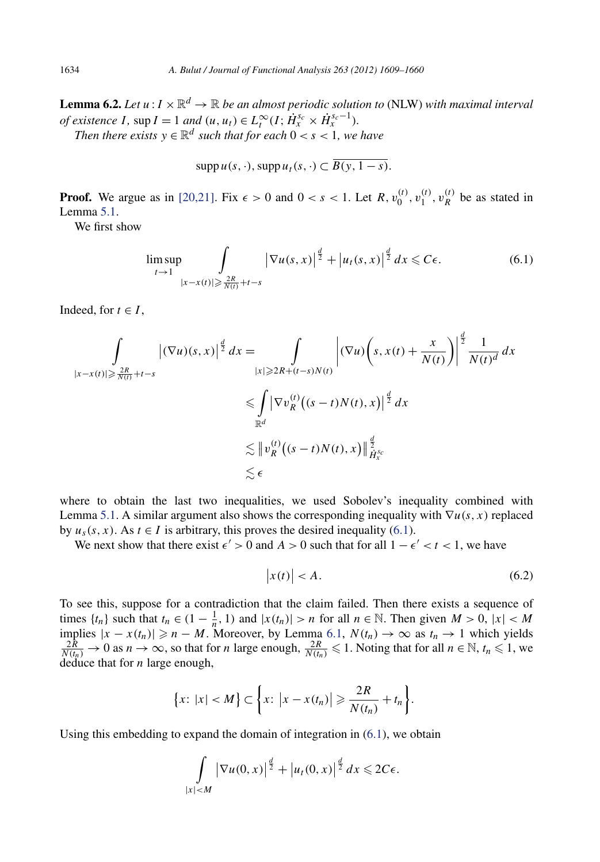<span id="page-26-0"></span>**Lemma 6.2.** *Let*  $u: I \times \mathbb{R}^d \to \mathbb{R}$  *be an almost periodic solution to* (NLW) *with maximal interval of existence I*, sup  $I = 1$  *and*  $(u, u_t) \in L_t^{\infty}(I; \dot{H}_x^{s_c} \times \dot{H}_x^{s_c-1})$ *. Then there exists*  $y \in \mathbb{R}^d$  *such that for each*  $0 < s < 1$ *, we have* 

 $\sup p u(s, \cdot), \sup p u_t(s, \cdot) \subset \overline{B(v, 1-s)}.$ 

**Proof.** We argue as in [\[20,21\].](#page-52-0) Fix  $\epsilon > 0$  and  $0 < s < 1$ . Let  $R$ ,  $v_0^{(t)}$ ,  $v_1^{(t)}$ ,  $v_R^{(t)}$  be as stated in Lemma [5.1.](#page-22-0)

We first show

$$
\limsup_{t \to 1} \int_{|x - x(t)| \geq \frac{2R}{N(t)} + t - s} |\nabla u(s, x)|^{\frac{d}{2}} + |u_t(s, x)|^{\frac{d}{2}} dx \leq C\epsilon.
$$
 (6.1)

Indeed, for  $t \in I$ ,

$$
\int_{|x-x(t)| \geq \frac{2R}{N(t)} + t-s} |(\nabla u)(s, x)|^{\frac{d}{2}} dx = \int_{|x| \geq 2R + (t-s)N(t)} \left| (\nabla u) \left( s, x(t) + \frac{x}{N(t)} \right) \right|^{\frac{d}{2}} \frac{1}{N(t)^d} dx
$$
  
\n
$$
\leq \int_{\mathbb{R}^d} |\nabla v_R^{(t)} \left( (s-t)N(t), x \right) |^{\frac{d}{2}} dx
$$
  
\n
$$
\lesssim \| v_R^{(t)} \left( (s-t)N(t), x \right) \|_{\dot{H}_x^{sc}}^{\frac{d}{2}}
$$
  
\n
$$
\lesssim \epsilon
$$

where to obtain the last two inequalities, we used Sobolev's inequality combined with Lemma [5.1.](#page-22-0) A similar argument also shows the corresponding inequality with ∇*u(s,x)* replaced by  $u_s(s, x)$ . As  $t \in I$  is arbitrary, this proves the desired inequality (6.1).

We next show that there exist  $\epsilon' > 0$  and  $A > 0$  such that for all  $1 - \epsilon' < t < 1$ , we have

$$
\left| x(t) \right| < A. \tag{6.2}
$$

To see this, suppose for a contradiction that the claim failed. Then there exists a sequence of times  $\{t_n\}$  such that  $t_n \in (1 - \frac{1}{n}, 1)$  and  $|x(t_n)| > n$  for all  $n \in \mathbb{N}$ . Then given  $M > 0$ ,  $|x| < M$ implies  $|x - x(t_n)| \ge n - M$ . Moreover, by Lemma [6.1,](#page-25-0)  $N(t_n) \to \infty$  as  $t_n \to 1$  which yields  $\frac{2R}{N(t_n)} \to 0$  as  $n \to \infty$ , so that for *n* large enough,  $\frac{2R}{N(t_n)} \le 1$ . Noting that for all  $n \in \mathbb{N}$ ,  $t_n \le 1$ , we deduce that for *n* large enough,

$$
\{x: |x| < M\} \subset \left\{x: \left|x - x(t_n)\right| \geqslant \frac{2R}{N(t_n)} + t_n\right\}.
$$

Using this embedding to expand the domain of integration in  $(6.1)$ , we obtain

$$
\int\limits_{|x|
$$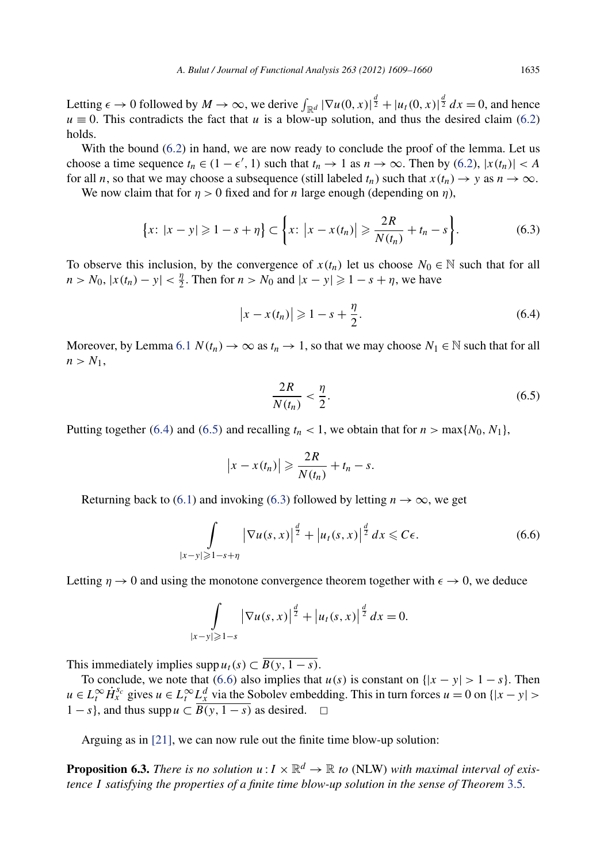Letting  $\epsilon \to 0$  followed by  $M \to \infty$ , we derive  $\int_{\mathbb{R}^d} |\nabla u(0, x)|^{\frac{d}{2}} + |u_t(0, x)|^{\frac{d}{2}} dx = 0$ , and hence  $u \equiv 0$ . This contradicts the fact that *u* is a blow-up solution, and thus the desired claim [\(6.2\)](#page-26-0) holds.

With the bound [\(6.2\)](#page-26-0) in hand, we are now ready to conclude the proof of the lemma. Let us choose a time sequence  $t_n \in (1 - \epsilon', 1)$  such that  $t_n \to 1$  as  $n \to \infty$ . Then by [\(6.2\)](#page-26-0),  $|x(t_n)| < A$ for all *n*, so that we may choose a subsequence (still labeled  $t_n$ ) such that  $x(t_n) \to y$  as  $n \to \infty$ .

We now claim that for  $n > 0$  fixed and for *n* large enough (depending on *n*),

$$
\{x: |x - y| \geq 1 - s + \eta\} \subset \{x: |x - x(t_n)| \geq \frac{2R}{N(t_n)} + t_n - s\}.
$$
 (6.3)

To observe this inclusion, by the convergence of  $x(t_n)$  let us choose  $N_0 \in \mathbb{N}$  such that for all *n* > *N*<sub>0</sub>,  $|x(t_n) - y| < \frac{n}{2}$ . Then for *n* > *N*<sub>0</sub> and  $|x - y| \ge 1 - s + \eta$ , we have

$$
\left|x - x(t_n)\right| \geqslant 1 - s + \frac{\eta}{2}.\tag{6.4}
$$

Moreover, by Lemma [6.1](#page-25-0)  $N(t_n) \to \infty$  as  $t_n \to 1$ , so that we may choose  $N_1 \in \mathbb{N}$  such that for all  $n > N_1$ ,

$$
\frac{2R}{N(t_n)} < \frac{\eta}{2}.\tag{6.5}
$$

Putting together (6.4) and (6.5) and recalling  $t_n < 1$ , we obtain that for  $n > \max\{N_0, N_1\}$ ,

$$
|x-x(t_n)| \geqslant \frac{2R}{N(t_n)} + t_n - s.
$$

Returning back to [\(6.1\)](#page-26-0) and invoking (6.3) followed by letting  $n \to \infty$ , we get

$$
\int\limits_{|x-y|\geqslant 1-s+\eta} |\nabla u(s,x)|^{\frac{d}{2}} + |u_t(s,x)|^{\frac{d}{2}} dx \leqslant C\epsilon.
$$
 (6.6)

Letting  $\eta \to 0$  and using the monotone convergence theorem together with  $\epsilon \to 0$ , we deduce

$$
\int_{|x-y|\geqslant 1-s} |\nabla u(s,x)|^{\frac{d}{2}} + |u_t(s,x)|^{\frac{d}{2}} dx = 0.
$$

This immediately implies supp  $u_t(s) \subset \overline{B(y, 1-s)}$ .

To conclude, we note that (6.6) also implies that  $u(s)$  is constant on  $\{|x - y| > 1 - s\}$ . Then  $u \in L_t^{\infty}$  *H*<sup>s<sub>c</sub></sub> gives  $u \in L_t^{\infty}$  *L*<sup>*d*</sup><sub>*x*</sub> via the Sobolev embedding. This in turn forces  $u = 0$  on  $\{|x - y| >$ </sup> 1 − *s*}, and thus supp  $u \subset \overline{B(y, 1-s)}$  as desired.  $\Box$ 

Arguing as in [\[21\],](#page-52-0) we can now rule out the finite time blow-up solution:

**Proposition 6.3.** *There is no solution*  $u: I \times \mathbb{R}^d \to \mathbb{R}$  to (NLW) with maximal interval of exis*tence I satisfying the properties of a finite time blow-up solution in the sense of Theorem* [3.5](#page-11-0)*.*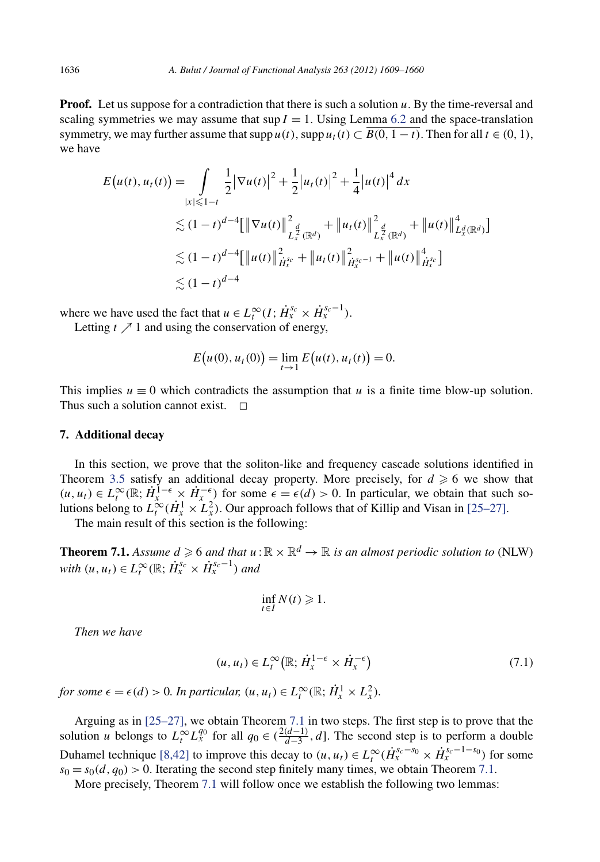<span id="page-28-0"></span>**Proof.** Let us suppose for a contradiction that there is such a solution *u*. By the time-reversal and scaling symmetries we may assume that  $\sup I = 1$ . Using Lemma [6.2](#page-26-0) and the space-translation symmetry, we may further assume that  $\text{supp } u(t)$ ,  $\text{supp } u_t(t) \subset \overline{B(0, 1 - t)}$ . Then for all  $t \in (0, 1)$ , we have

$$
E(u(t), u_t(t)) = \int_{|x| \le 1-t} \frac{1}{2} |\nabla u(t)|^2 + \frac{1}{2} |u_t(t)|^2 + \frac{1}{4} |u(t)|^4 dx
$$
  
\n
$$
\lesssim (1-t)^{d-4} [\|\nabla u(t)\|_{L_x^{\frac{d}{2}}(\mathbb{R}^d)}^2 + \|u_t(t)\|_{L_x^{\frac{d}{2}}(\mathbb{R}^d)}^2 + \|u(t)\|_{L_x^d(\mathbb{R}^d)}^4]
$$
  
\n
$$
\lesssim (1-t)^{d-4} [\|u(t)\|_{\dot{H}_x^{s_c}}^2 + \|u_t(t)\|_{\dot{H}_x^{s_c-1}}^2 + \|u(t)\|_{\dot{H}_x^{s_c}}^4]
$$
  
\n
$$
\lesssim (1-t)^{d-4}
$$

where we have used the fact that  $u \in L_t^{\infty}(I; \dot{H}_x^{s_c} \times \dot{H}_x^{s_c-1})$ .

Letting  $t \nearrow 1$  and using the conservation of energy,

$$
E(u(0), u_t(0)) = \lim_{t \to 1} E(u(t), u_t(t)) = 0.
$$

This implies  $u \equiv 0$  which contradicts the assumption that *u* is a finite time blow-up solution. Thus such a solution cannot exist.  $\Box$ 

#### **7. Additional decay**

In this section, we prove that the soliton-like and frequency cascade solutions identified in Theorem [3.5](#page-11-0) satisfy an additional decay property. More precisely, for  $d \ge 6$  we show that  $(u, u_t) \in L_t^{\infty}(\mathbb{R}; \dot{H}_x^{1-\epsilon} \times \dot{H}_x^{-\epsilon})$  for some  $\epsilon = \epsilon(d) > 0$ . In particular, we obtain that such solutions belong to  $L_t^{\infty}(\dot{H}_x^1 \times \dot{L}_x^2)$ . Our approach follows that of Killip and Visan in [\[25–27\].](#page-52-0)

The main result of this section is the following:

**Theorem 7.1.** Assume  $d \geqslant 6$  and that  $u : \mathbb{R} \times \mathbb{R}^d \to \mathbb{R}$  is an almost periodic solution to (NLW) *with*  $(u, u_t) \in L_t^{\infty}(\mathbb{R}; \dot{H}_x^{s_c} \times \dot{H}_x^{s_c-1})$  and

$$
\inf_{t \in I} N(t) \geq 1.
$$

*Then we have*

$$
(u, u_t) \in L_t^{\infty}(\mathbb{R}; \dot{H}_x^{1-\epsilon} \times \dot{H}_x^{-\epsilon})
$$
\n
$$
(7.1)
$$

*for some*  $\epsilon = \epsilon(d) > 0$ *. In particular,*  $(u, u_t) \in L_t^{\infty}(\mathbb{R}; \dot{H}_x^1 \times L_x^2)$ *.* 

Arguing as in [\[25–27\],](#page-52-0) we obtain Theorem 7.1 in two steps. The first step is to prove that the solution *u* belongs to  $L_t^{\infty} L_x^{q_0}$  for all  $q_0 \in (\frac{2(d-1)}{d-3}, d]$ . The second step is to perform a double Duhamel technique [\[8,42\]](#page-51-0) to improve this decay to  $(u, u_t) \in L_t^{\infty}(\dot{H}_x^{s_c-s_0} \times \dot{H}_x^{s_c-1-s_0})$  for some  $s_0 = s_0(d, q_0) > 0$ . Iterating the second step finitely many times, we obtain Theorem 7.1.

More precisely, Theorem 7.1 will follow once we establish the following two lemmas: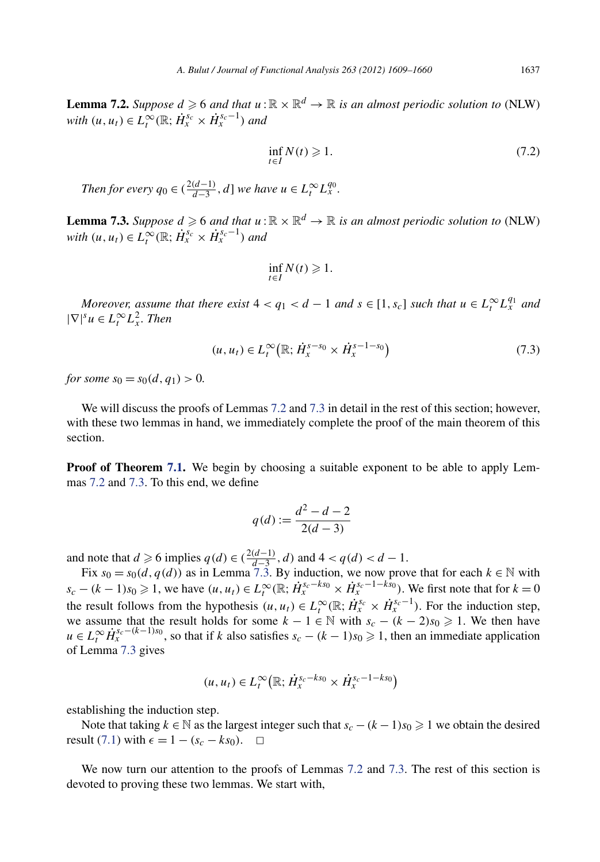<span id="page-29-0"></span>**Lemma 7.2.** *Suppose*  $d \ge 6$  *and that*  $u : \mathbb{R} \times \mathbb{R}^d \to \mathbb{R}$  *is an almost periodic solution to* (NLW) *with*  $(u, u_t) \in L_t^{\infty}(\mathbb{R}; \dot{H}_x^{s_c} \times \dot{H}_x^{s_c-1})$  and

$$
\inf_{t \in I} N(t) \geqslant 1. \tag{7.2}
$$

*Then for every*  $q_0 \in (\frac{2(d-1)}{d-3}, d]$  *we have*  $u \in L_t^{\infty} L_x^{q_0}$ .

**Lemma 7.3.** *Suppose*  $d \ge 6$  *and that*  $u : \mathbb{R} \times \mathbb{R}^d \to \mathbb{R}$  *is an almost periodic solution to* (NLW) *with*  $(u, u_t) \in L_t^{\infty}(\mathbb{R}; \dot{H}_x^{s_c} \times \dot{H}_x^{s_c-1})$  and

$$
\inf_{t\in I} N(t)\geq 1.
$$

*Moreover, assume that there exist*  $4 < q_1 < d - 1$  *and*  $s \in [1, s_c]$  *such that*  $u \in L_t^{\infty} L_x^{q_1}$  *and*  $|\nabla|^s u \in L_t^{\infty} L_x^2$ . Then

$$
(u, u_t) \in L_t^{\infty}(\mathbb{R}; \dot{H}_x^{s-s_0} \times \dot{H}_x^{s-1-s_0})
$$
\n
$$
(7.3)
$$

*for some*  $s_0 = s_0(d, q_1) > 0$ .

We will discuss the proofs of Lemmas 7.2 and 7.3 in detail in the rest of this section; however, with these two lemmas in hand, we immediately complete the proof of the main theorem of this section.

**Proof of Theorem [7.1.](#page-28-0)** We begin by choosing a suitable exponent to be able to apply Lemmas 7.2 and 7.3. To this end, we define

$$
q(d) := \frac{d^2 - d - 2}{2(d - 3)}
$$

and note that *d* ≥ 6 implies *q*(*d*) ∈ ( $\frac{2(d-1)}{d-3}$ , *d*) and 4 < *q*(*d*) < *d* − 1.

Fix  $s_0 = s_0(d, q(d))$  as in Lemma 7.3. By induction, we now prove that for each  $k \in \mathbb{N}$  with  $s_c - (k-1)s_0 \geq 1$ , we have  $(u, u_t) \in L_t^{\infty}(\mathbb{R}; \dot{H}_x^{s_c-ks_0} \times \dot{H}_x^{s_c-1-ks_0})$ . We first note that for  $k = 0$ the result follows from the hypothesis  $(u, u_t) \in L_t^{\infty}(\mathbb{R}; \dot{H}_x^{s_c} \times \dot{H}_x^{s_c-1})$ . For the induction step, we assume that the result holds for some  $k - 1 \in \mathbb{N}$  with  $s_c - (k - 2)s_0 \ge 1$ . We then have  $u \in L_t^{\infty}$   $\dot{H}_x^{s_c-(k-1)s_0}$ , so that if *k* also satisfies  $s_c - (k-1)s_0 \ge 1$ , then an immediate application of Lemma 7.3 gives

$$
(u, u_t) \in L_t^{\infty}(\mathbb{R}; \dot{H}_x^{s_c - k s_0} \times \dot{H}_x^{s_c - 1 - k s_0})
$$

establishing the induction step.

Note that taking  $k \in \mathbb{N}$  as the largest integer such that  $s_c - (k-1)s_0 \geq 1$  we obtain the desired result [\(7.1\)](#page-28-0) with  $\epsilon = 1 - (s_c - ks_0)$ .  $\Box$ 

We now turn our attention to the proofs of Lemmas 7.2 and 7.3. The rest of this section is devoted to proving these two lemmas. We start with,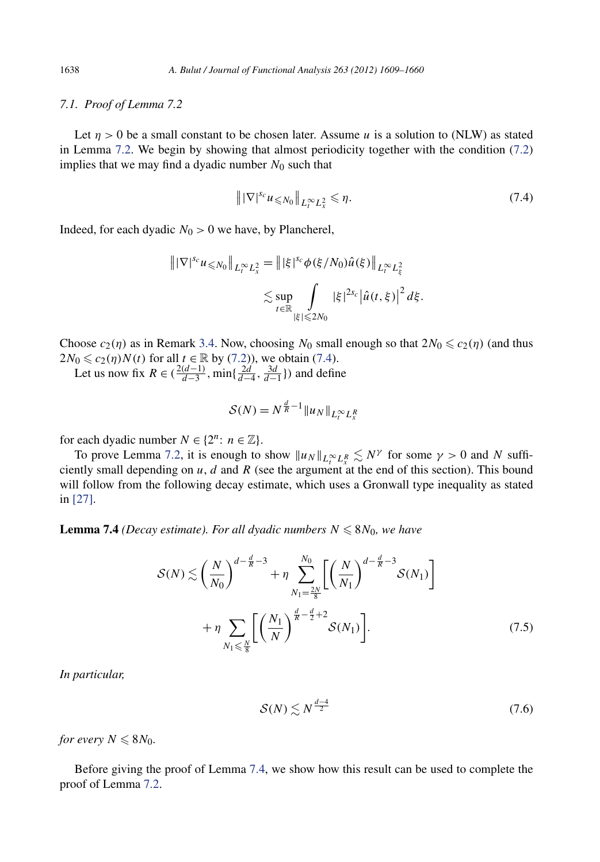#### <span id="page-30-0"></span>*7.1. Proof of Lemma 7.2*

Let  $n > 0$  be a small constant to be chosen later. Assume *u* is a solution to (NLW) as stated in Lemma [7.2.](#page-29-0) We begin by showing that almost periodicity together with the condition [\(7.2\)](#page-29-0) implies that we may find a dyadic number  $N_0$  such that

$$
\|\nabla|^{s_c} u \leqslant N_0 \|\nabla_t^{\infty} L_x^2 \leqslant \eta. \tag{7.4}
$$

Indeed, for each dyadic  $N_0 > 0$  we have, by Plancherel,

$$
\begin{aligned} \left\| |\nabla|^{s_c} u_{\leq N_0} \right\|_{L_t^\infty L_x^2} &= \left\| |\xi|^{s_c} \phi(\xi/N_0) \hat{u}(\xi) \right\|_{L_t^\infty L_\xi^2} \\ &\leq \sup_{t \in \mathbb{R}} \int\limits_{|\xi| \leqslant 2N_0} |\xi|^{2s_c} \left| \hat{u}(t,\xi) \right|^2 d\xi. \end{aligned}
$$

Choose  $c_2(\eta)$  as in Remark [3.4.](#page-11-0) Now, choosing  $N_0$  small enough so that  $2N_0 \leq c_2(\eta)$  (and thus  $2N_0 \le c_2(\eta)N(t)$  for all  $t \in \mathbb{R}$  by [\(7.2\)](#page-29-0)), we obtain (7.4).

Let us now fix  $R \in (\frac{2(d-1)}{d-3}, \min\{\frac{2d}{d-4}, \frac{3d}{d-1}\})$  and define

$$
\mathcal{S}(N) = N^{\frac{d}{R}-1} \|u_N\|_{L_t^\infty L_x^R}
$$

for each dyadic number  $N \in \{2^n : n \in \mathbb{Z}\}.$ 

To prove Lemma [7.2,](#page-29-0) it is enough to show  $||u_N||_{L_t^{\infty}L_x^R} \lesssim N^{\gamma}$  for some  $\gamma > 0$  and *N* sufficiently small depending on  $u$ ,  $d$  and  $R$  (see the argument at the end of this section). This bound will follow from the following decay estimate, which uses a Gronwall type inequality as stated in [\[27\].](#page-52-0)

**Lemma 7.4** *(Decay estimate). For all dyadic numbers*  $N \le 8N_0$ *, we have* 

$$
S(N) \lesssim \left(\frac{N}{N_0}\right)^{d - \frac{d}{R} - 3} + \eta \sum_{N_1 = \frac{2N}{8}}^{N_0} \left[ \left(\frac{N}{N_1}\right)^{d - \frac{d}{R} - 3} S(N_1) \right] + \eta \sum_{N_1 \leq \frac{N}{8}} \left[ \left(\frac{N_1}{N}\right)^{\frac{d}{R} - \frac{d}{2} + 2} S(N_1) \right].
$$
 (7.5)

*In particular,*

$$
S(N) \lesssim N^{\frac{d-4}{2}} \tag{7.6}
$$

*for every*  $N \leq 8N_0$ .

Before giving the proof of Lemma 7.4, we show how this result can be used to complete the proof of Lemma [7.2.](#page-29-0)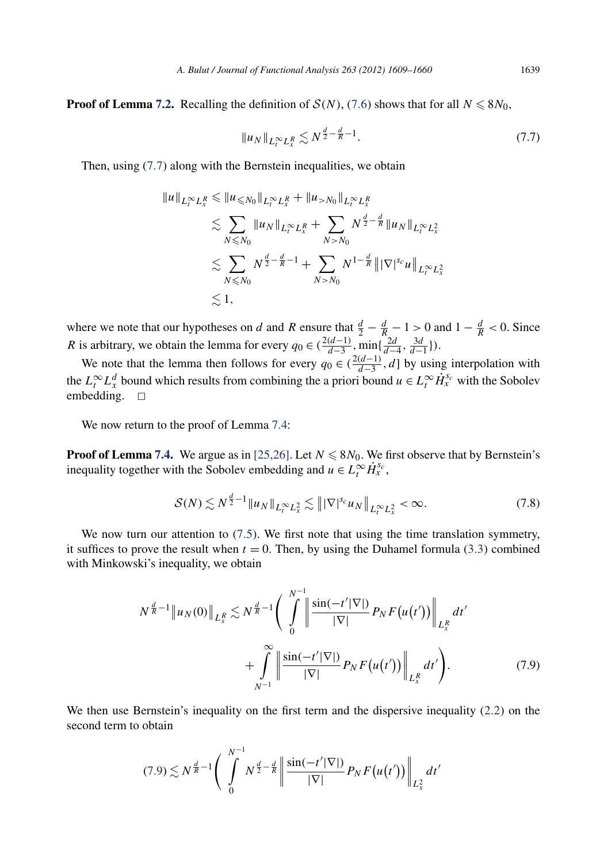<span id="page-31-0"></span>**Proof of Lemma [7.2.](#page-29-0)** Recalling the definition of  $S(N)$ , [\(7](#page-30-0).6) shows that for all  $N \le 8N_0$ ,

$$
||u_N||_{L_t^{\infty}L_x^R} \lesssim N^{\frac{d}{2} - \frac{d}{R} - 1}.
$$
\n(7.7)

Then, using (7*.*7) along with the Bernstein inequalities, we obtain

$$
\|u\|_{L_t^{\infty}L_x^R} \le \|u_{\le N_0}\|_{L_t^{\infty}L_x^R} + \|u_{>N_0}\|_{L_t^{\infty}L_x^R}
$$
  
\n
$$
\lesssim \sum_{N \le N_0} \|u_N\|_{L_t^{\infty}L_x^R} + \sum_{N > N_0} N^{\frac{d}{2} - \frac{d}{R}} \|u_N\|_{L_t^{\infty}L_x^2}
$$
  
\n
$$
\lesssim \sum_{N \le N_0} N^{\frac{d}{2} - \frac{d}{R} - 1} + \sum_{N > N_0} N^{1 - \frac{d}{R}} \| |\nabla|^{s_c} u \|_{L_t^{\infty}L_x^2}
$$
  
\n
$$
\lesssim 1,
$$

where we note that our hypotheses on *d* and *R* ensure that  $\frac{d}{2} - \frac{d}{R} - 1 > 0$  and  $1 - \frac{d}{R} < 0$ . Since *R* is arbitrary, we obtain the lemma for every  $q_0 \in (\frac{2(d-1)}{d-3}, \min\{\frac{2d}{d-4}, \frac{3d}{d-1}\})$ .

We note that the lemma then follows for every  $q_0 \in (\frac{2(d-1)}{d-3}, d]$  by using interpolation with the  $L_t^{\infty} L_x^d$  bound which results from combining the a priori bound  $u \in L_t^{\infty} \dot{H}_x^{s_c}$  with the Sobolev embedding.  $\square$ 

We now return to the proof of Lemma [7.4:](#page-30-0)

**Proof of Lemma [7.4.](#page-30-0)** We argue as in [\[25,26\].](#page-52-0) Let  $N \le 8N_0$ . We first observe that by Bernstein's inequality together with the Sobolev embedding and  $u \in L_t^{\infty} \dot{H}_x^{s_c}$ ,

$$
\mathcal{S}(N) \lesssim N^{\frac{d}{2}-1} \|u_N\|_{L_t^\infty L_x^2} \lesssim \| |\nabla|^{s_c} u_N \|_{L_t^\infty L_x^2} < \infty.
$$
 (7.8)

We now turn our attention to  $(7.5)$  $(7.5)$ . We first note that using the time translation symmetry, it suffices to prove the result when  $t = 0$ . Then, by using the Duhamel formula (3.[3\)](#page-12-0) combined with Minkowski's inequality, we obtain

$$
N^{\frac{d}{R}-1} \|u_N(0)\|_{L^R_x} \lesssim N^{\frac{d}{R}-1} \bigg( \int_0^{N^{-1}} \bigg| \frac{\sin(-t'|\nabla|)}{|\nabla|} P_N F(u(t')) \bigg|_{L^R_x} dt' + \int_{N^{-1}}^{\infty} \bigg| \frac{\sin(-t'|\nabla|)}{|\nabla|} P_N F(u(t')) \bigg|_{L^R_x} dt' \bigg). \tag{7.9}
$$

We then use Bernstein's inequality on the first term and the dispersive inequality (2*.*[2\)](#page-6-0) on the second term to obtain

$$
(7.9) \lesssim N^{\frac{d}{R}-1} \bigg( \int_{0}^{N^{-1}} N^{\frac{d}{2}-\frac{d}{R}} \bigg| \frac{\sin(-t'|\nabla|)}{|\nabla|} P_{N} F(u(t')) \bigg|_{L_{\chi}^{2}} dt'
$$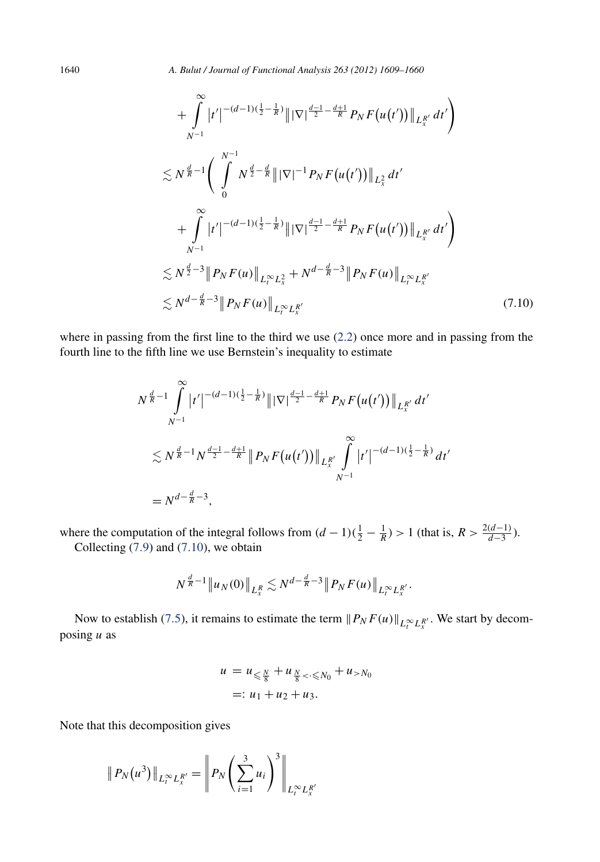1640 *A. Bulut / Journal of Functional Analysis 263 (2012) 1609–1660*

$$
+ \int_{N^{-1}}^{\infty} |t'|^{-(d-1)(\frac{1}{2}-\frac{1}{R})} \|\nabla|^{\frac{d-1}{2}-\frac{d+1}{R}} P_{N} F(u(t'))\|_{L_{x}^{R'}} dt' \Bigg) \n\lesssim N^{\frac{d}{R}-1} \Bigg( \int_{0}^{N^{-1}} N^{\frac{d}{2}-\frac{d}{R}} \|\nabla|^{-1} P_{N} F(u(t'))\|_{L_{x}^{2}} dt' \n+ \int_{N^{-1}}^{\infty} |t'|^{-(d-1)(\frac{1}{2}-\frac{1}{R})} \|\nabla|^{\frac{d-1}{2}-\frac{d+1}{R}} P_{N} F(u(t'))\|_{L_{x}^{R'}} dt' \Bigg) \n\lesssim N^{\frac{d}{2}-3} \|P_{N} F(u)\|_{L_{t}^{\infty} L_{x}^{2}} + N^{d-\frac{d}{R}-3} \|P_{N} F(u)\|_{L_{t}^{\infty} L_{x}^{R'}} \le N^{d-\frac{d}{R}-3} \|P_{N} F(u)\|_{L_{t}^{\infty} L_{x}^{R'}} \tag{7.10}
$$

where in passing from the first line to the third we use [\(2.2\)](#page-6-0) once more and in passing from the fourth line to the fifth line we use Bernstein's inequality to estimate

$$
N^{\frac{d}{R}-1} \int_{N^{-1}}^{\infty} |t'|^{-(d-1)(\frac{1}{2}-\frac{1}{R})} \|\nabla|^{\frac{d-1}{2}-\frac{d+1}{R}} P_N F(u(t'))\|_{L_x^{R'}} dt'
$$
  

$$
\lesssim N^{\frac{d}{R}-1} N^{\frac{d-1}{2}-\frac{d+1}{R}} \|P_N F(u(t'))\|_{L_x^{R'}} \int_{N^{-1}}^{\infty} |t'|^{-(d-1)(\frac{1}{2}-\frac{1}{R})} dt'
$$
  
=  $N^{d-\frac{d}{R}-3}$ ,

where the computation of the integral follows from  $(d-1)(\frac{1}{2}-\frac{1}{R}) > 1$  (that is,  $R > \frac{2(d-1)}{d-3}$ ). Collecting [\(7](#page-31-0)*.*9) and (7*.*10), we obtain

$$
N^{\frac{d}{R}-1} \|u_N(0)\|_{L^R_x} \lesssim N^{d-\frac{d}{R}-3} \|P_N F(u)\|_{L^{\infty}_t L^{R'}_x}.
$$

Now to establish (7.[5\)](#page-30-0), it remains to estimate the term  $||P_N F(u)||_{L_t^{\infty} L_x^{R'}}$ . We start by decomposing *u* as

$$
u = u_{\leq \frac{N}{8}} + u_{\frac{N}{8} < \cdot \leq N_0} + u_{>N_0}
$$
  
=:  $u_1 + u_2 + u_3$ .

Note that this decomposition gives

$$
\| P_N(u^3) \|_{L_t^{\infty} L_x^{R'}} = \left\| P_N\left(\sum_{i=1}^3 u_i\right)^3 \right\|_{L_t^{\infty} L_x^{R'}}
$$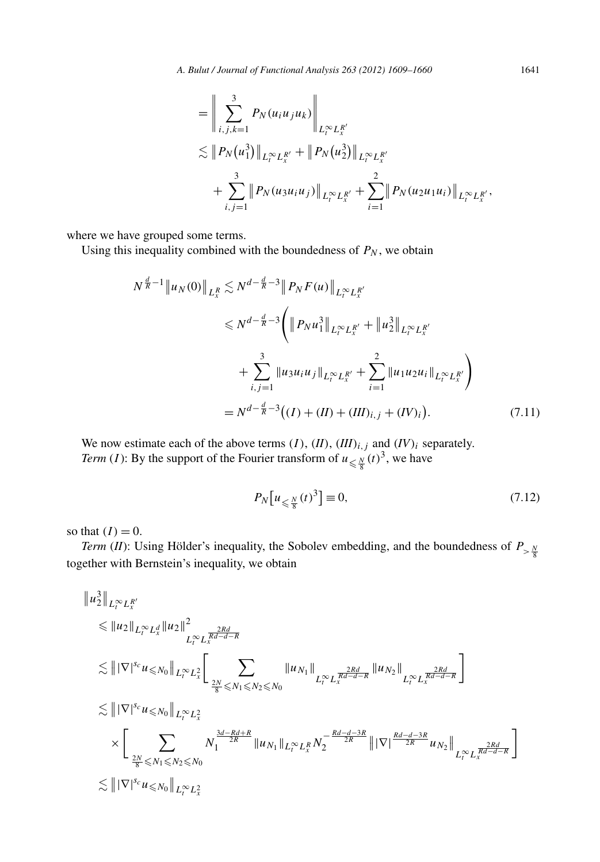<span id="page-33-0"></span>
$$
= \left\| \sum_{i,j,k=1}^{3} P_N(u_i u_j u_k) \right\|_{L_t^{\infty} L_x^{R'}} \n\lesssim \| P_N(u_1^3) \|_{L_t^{\infty} L_x^{R'}} + \| P_N(u_2^3) \|_{L_t^{\infty} L_x^{R'}} \n+ \sum_{i,j=1}^{3} \| P_N(u_3 u_i u_j) \|_{L_t^{\infty} L_x^{R'}} + \sum_{i=1}^{2} \| P_N(u_2 u_1 u_i) \|_{L_t^{\infty} L_x^{R'}},
$$

where we have grouped some terms.

Using this inequality combined with the boundedness of  $P_N$ , we obtain

$$
N^{\frac{d}{R}-1} \|u_N(0)\|_{L_x^R} \lesssim N^{d-\frac{d}{R}-3} \|P_N F(u)\|_{L_t^\infty L_x^{R'}} \leq N^{d-\frac{d}{R}-3} \left( \|P_N u_1^3\|_{L_t^\infty L_x^{R'}} + \|u_2^3\|_{L_t^\infty L_x^{R'}} + \sum_{i,j=1}^3 \|u_3 u_i u_j\|_{L_t^\infty L_x^{R'}} + \sum_{i=1}^2 \|u_1 u_2 u_i\|_{L_t^\infty L_x^{R'}} \right) = N^{d-\frac{d}{R}-3} \left( (I) + (II) + (III)_{i,j} + (IV)_i \right).
$$
 (7.11)

We now estimate each of the above terms  $(I)$ ,  $(II)$ ,  $(III)_{i,j}$  and  $(IV)_{i}$  separately. *Term* (*I*): By the support of the Fourier transform of  $u_{\leq \frac{N}{8}}(t)^3$ , we have

$$
P_N[u_{\leq \frac{N}{8}}(t)^3] \equiv 0,\t\t(7.12)
$$

so that  $(I) = 0$ .

*Term* (*II*): Using Hölder's inequality, the Sobolev embedding, and the boundedness of  $P_{>\frac{N}{8}}$ together with Bernstein's inequality, we obtain

$$
\|u_{2}^{3}\|_{L_{t}^{\infty}L_{x}^{R'}}\|\|u_{2}\|_{L_{t}^{\infty}L_{x}^{d}}\|u_{2}\|_{L_{t}^{\infty}L_{x}^{\frac{2Rd}{Rd-d-R}}}\|\|\nabla|^{s_{c}}u_{\leq N_{0}}\|_{L_{t}^{\infty}L_{x}^{\frac{2Rd}{R}}}\left[\sum_{\frac{2N}{8}\leq N_{1}\leq N_{2}\leq N_{0}}\|u_{N_{1}}\|_{L_{t}^{\infty}L_{x}^{\frac{2Rd}{Rd-d-R}}}\|u_{N_{2}}\|_{L_{t}^{\infty}L_{x}^{\frac{2Rd}{Rd-d-R}}}\right]\|\|\nabla|^{s_{c}}u_{\leq N_{0}}\|_{L_{t}^{\infty}L_{x}^{2}}\times\left[\sum_{\frac{2N}{8}\leq N_{1}\leq N_{2}\leq N_{0}}N_{1}^{\frac{3d-Rd+R}{2R}}\|u_{N_{1}}\|_{L_{t}^{\infty}L_{x}^{R}}N_{2}^{-\frac{Rd-d-3R}{2R}}\||\nabla|^{\frac{Rd-d-3R}{2R}}u_{N_{2}}\|_{L_{t}^{\infty}L_{x}^{\frac{2Rd}{Rd-d-R}}}\right]\lesssim\|\|\nabla|^{s_{c}}u_{\leq N_{0}}\|_{L_{t}^{\infty}L_{x}^{2}}
$$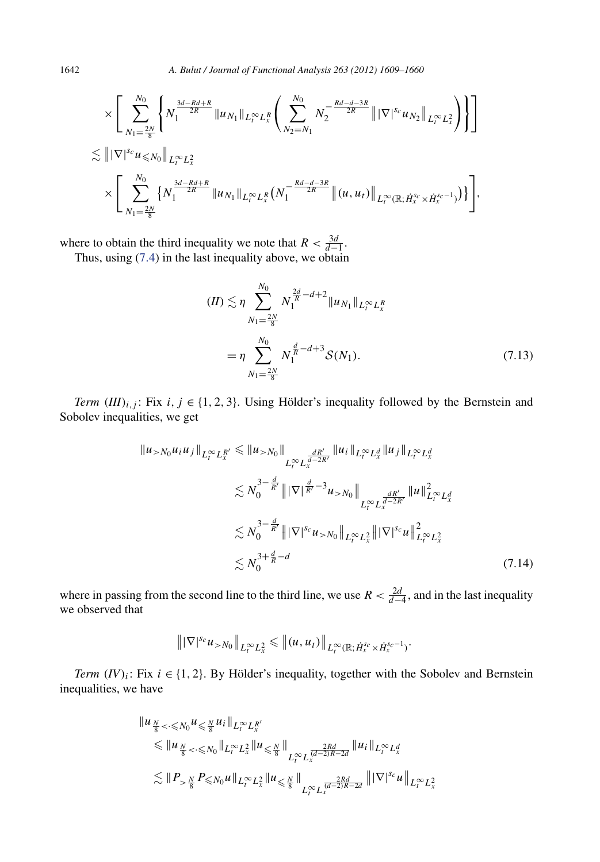$$
\times \Bigg[ \sum_{N_1 = \frac{2N}{8}}^{N_0} \Bigg\{ N_1^{\frac{3d - Rd + R}{2R}} \|u_{N_1}\|_{L_t^\infty L_x^R} \Bigg( \sum_{N_2 = N_1}^{N_0} N_2^{-\frac{Rd - d - 3R}{2R}} \| |\nabla|^{s_c} u_{N_2} \|_{L_t^\infty L_x^2} \Bigg) \Bigg\} \Bigg]
$$
  

$$
\times \Bigg[ |\nabla|^{s_c} u \leq N_0 \|_{L_t^\infty L_x^2} \times \Bigg\{ N_1^{\frac{3d - Rd + R}{2R}} \|u_{N_1}\|_{L_t^\infty L_x^R} \Big(N_1^{-\frac{Rd - d - 3R}{2R}} \| (u, u_t) \|_{L_t^\infty (\mathbb{R}; H_x^{s_c} \times H_x^{s_c - 1})} \Big) \Bigg],
$$

where to obtain the third inequality we note that  $R < \frac{3d}{d-1}$ . Thus, using [\(7](#page-30-0)*.*4) in the last inequality above, we obtain

$$
(II) \lesssim \eta \sum_{N_1 = \frac{2N}{8}}^{N_0} N_1^{\frac{2d}{R} - d + 2} \|u_{N_1}\|_{L_t^{\infty} L_x^R}
$$
  
= 
$$
\eta \sum_{N_1 = \frac{2N}{8}}^{N_0} N_1^{\frac{d}{R} - d + 3} \mathcal{S}(N_1).
$$
 (7.13)

*Term*  $(III)_{i,j}$ : Fix *i, j* ∈ {1, 2, 3}. Using Hölder's inequality followed by the Bernstein and Sobolev inequalities, we get

$$
\|u_{>N_0}u_iu_j\|_{L_t^\infty L_x^{R'}} \leq \|u_{>N_0}\|_{L_t^\infty L_x^{\frac{dR'}{d-2R'}}} \|u_i\|_{L_t^\infty L_x^d} \|u_j\|_{L_t^\infty L_x^d}
$$
  

$$
\lesssim N_0^{3-\frac{d}{R'}} \|\nabla|^{\frac{d}{R'}-3} u_{>N_0}\|_{L_t^\infty L_x^{\frac{dR'}}{d-2R'}} \|u\|_{L_t^\infty L_x^d}^2
$$
  

$$
\lesssim N_0^{3-\frac{d}{R'}} \|\nabla|^{s_c} u_{>N_0}\|_{L_t^\infty L_x^2} \|\nabla|^{s_c} u\|_{L_t^\infty L_x^2}^2
$$
  

$$
\lesssim N_0^{3+\frac{d}{R}-d} \tag{7.14}
$$

where in passing from the second line to the third line, we use  $R < \frac{2d}{d-4}$ , and in the last inequality we observed that

$$
\| |\nabla|^{s_c} u_{>N_0} \|_{L^\infty_t L^2_x} \leq \| (u, u_t) \|_{L^\infty_t (\mathbb{R}; \dot{H}^{s_c}_x \times \dot{H}^{s_c-1}_x)}.
$$

*Term*  $(IV)_i$ : Fix  $i \in \{1, 2\}$ . By Hölder's inequality, together with the Sobolev and Bernstein inequalities, we have

$$
\|u_{\frac{N}{8} < \cdot \leq N_{0}} u_{\leq \frac{N}{8}} u_{i} \|_{L_{t}^{\infty} L_{x}^{R'}}\n\leq \|u_{\frac{N}{8} < \cdot \leq N_{0}} \|_{L_{t}^{\infty} L_{x}^{2}} \|u_{\leq \frac{N}{8}} \|_{L_{t}^{\infty} L_{x}^{\frac{2Rd}{d-2)R-2d}}} \|u_{i} \|_{L_{t}^{\infty} L_{x}^{d}}\n\lesssim \|P_{> \frac{N}{8}} P_{\leq N_{0}} u \|_{L_{t}^{\infty} L_{x}^{2}} \|u_{\leq \frac{N}{8}} \|_{L_{t}^{\infty} L_{x}^{\frac{2Rd}{d-2)R-2d}}} \| |\nabla|^{s_{c}} u \|_{L_{t}^{\infty} L_{x}^{2}}
$$

<span id="page-34-0"></span>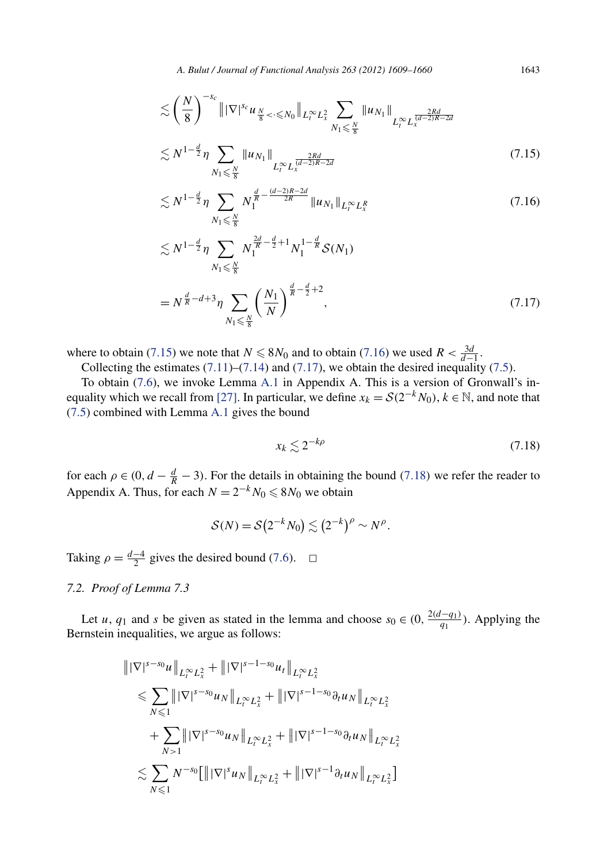*A. Bulut / Journal of Functional Analysis 263 (2012) 1609–1660* 1643

<span id="page-35-0"></span>
$$
\lesssim \left(\frac{N}{8}\right)^{-s_c} \|\nabla|^{s_c} u_{\frac{N}{8} < \cdot \leq N_0} \|_{L_t^{\infty} L_x^2} \sum_{N_1 \leq \frac{N}{8}} \|u_{N_1}\|_{L_t^{\infty} L_x^{\frac{2Rd}{(d-2)R-2d}}} \lesssim N^{1-\frac{d}{2}} \eta \sum_{N_1 \leq \frac{N}{8}} \|u_{N_1}\|_{L_t^{\infty} L_x^{\frac{2Rd}{(d-2)R-2d}}} \tag{7.15}
$$

$$
\lesssim N^{1-\frac{d}{2}} \eta \sum_{N_1 \leq \frac{N}{8}} N_1^{\frac{d}{R} - \frac{(d-2)R - 2d}{2R}} \|u_{N_1}\|_{L_t^{\infty} L_x^R}
$$
\n(7.16)

$$
\lesssim N^{1-\frac{d}{2}} \eta \sum_{N_1 \leq \frac{N}{8}} N_1^{\frac{2d}{R} - \frac{d}{2} + 1} N_1^{1-\frac{d}{R}} S(N_1)
$$
  
=  $N^{\frac{d}{R} - d + 3} \eta \sum_{N_1 \leq \frac{N}{8}} \left( \frac{N_1}{N} \right)^{\frac{d}{R} - \frac{d}{2} + 2},$  (7.17)

where to obtain (7.15) we note that  $N \le 8N_0$  and to obtain (7.16) we used  $R < \frac{3d}{d-1}$ .

Collecting the estimates  $(7.11)$ – $(7.14)$  and  $(7.17)$ , we obtain the desired inequality  $(7.5)$ .

To obtain [\(7.6\)](#page-30-0), we invoke Lemma [A.1](#page-49-0) in Appendix A. This is a version of Gronwall's in-equality which we recall from [\[27\].](#page-52-0) In particular, we define  $x_k = S(2^{-k}N_0)$ ,  $k \in \mathbb{N}$ , and note that [\(7.5\)](#page-30-0) combined with Lemma [A.1](#page-49-0) gives the bound

$$
x_k \lesssim 2^{-k\rho} \tag{7.18}
$$

for each  $\rho \in (0, d - \frac{d}{R} - 3)$ . For the details in obtaining the bound (7.18) we refer the reader to Appendix A. Thus, for each  $N = 2^{-k}N_0 \le 8N_0$  we obtain

$$
\mathcal{S}(N) = \mathcal{S}(2^{-k}N_0) \lesssim (2^{-k})^{\rho} \sim N^{\rho}.
$$

Taking  $\rho = \frac{d-4}{2}$  gives the desired bound [\(7](#page-30-0).6).  $\Box$ 

#### *7.2. Proof of Lemma 7.3*

Let *u*, *q*<sub>1</sub> and *s* be given as stated in the lemma and choose  $s_0 \in (0, \frac{2(d-q_1)}{q_1})$ . Applying the Bernstein inequalities, we argue as follows:

$$
\| |\nabla|^{s-s_0} u \|_{L_t^{\infty} L_x^2} + \| |\nabla|^{s-1-s_0} u_t \|_{L_t^{\infty} L_x^2}
$$
  
\n
$$
\leq \sum_{N \leq 1} \| |\nabla|^{s-s_0} u_N \|_{L_t^{\infty} L_x^2} + \| |\nabla|^{s-1-s_0} \partial_t u_N \|_{L_t^{\infty} L_x^2}
$$
  
\n
$$
+ \sum_{N>1} \| |\nabla|^{s-s_0} u_N \|_{L_t^{\infty} L_x^2} + \| |\nabla|^{s-1-s_0} \partial_t u_N \|_{L_t^{\infty} L_x^2}
$$
  
\n
$$
\lesssim \sum_{N \leq 1} N^{-s_0} [\| |\nabla|^s u_N \|_{L_t^{\infty} L_x^2} + \| |\nabla|^{s-1} \partial_t u_N \|_{L_t^{\infty} L_x^2}]
$$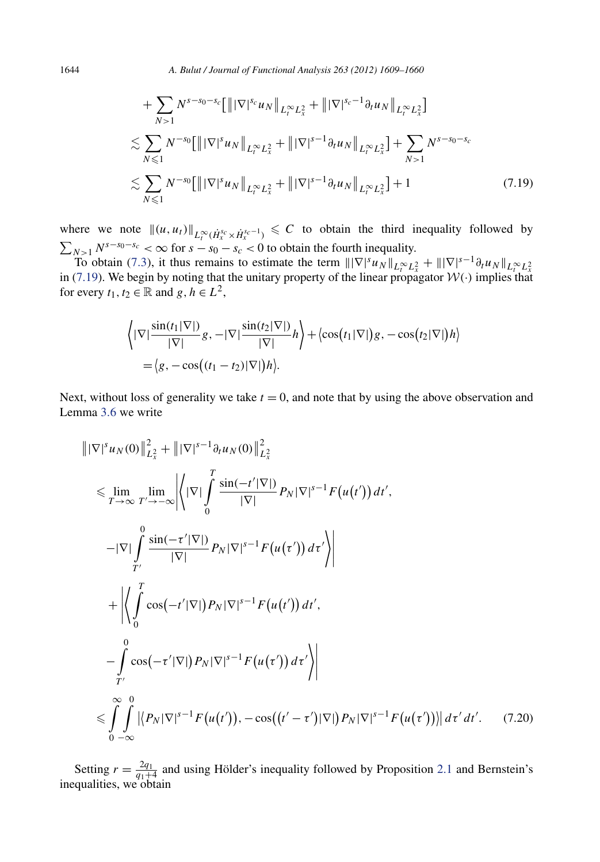<span id="page-36-0"></span>1644 *A. Bulut / Journal of Functional Analysis 263 (2012) 1609–1660*

$$
+ \sum_{N>1} N^{s-s_0-s_c} \left[ ||\nabla|^{s_c} u_N ||_{L_t^{\infty} L_x^2} + ||\nabla|^{s_c-1} \partial_t u_N ||_{L_t^{\infty} L_x^2} \right]
$$
  
\n
$$
\lesssim \sum_{N \leq 1} N^{-s_0} \left[ ||\nabla|^{s} u_N ||_{L_t^{\infty} L_x^2} + ||\nabla|^{s-1} \partial_t u_N ||_{L_t^{\infty} L_x^2} \right] + \sum_{N>1} N^{s-s_0-s_c}
$$
  
\n
$$
\lesssim \sum_{N \leq 1} N^{-s_0} \left[ ||\nabla|^{s} u_N ||_{L_t^{\infty} L_x^2} + ||\nabla|^{s-1} \partial_t u_N ||_{L_t^{\infty} L_x^2} \right] + 1
$$
\n(7.19)

where we note  $\|(u, u_t)\|_{L_t^{\infty}(\dot{H}_x^{s_c} \times \dot{H}_x^{s_c-1})} \leq C$  to obtain the third inequality followed by  $\sum_{N>1} N^{s-s_0-s_c} < \infty$  for  $s - s_0 - s_c < 0$  to obtain the fourth inequality.

To obtain (7.[3\)](#page-29-0), it thus remains to estimate the term  $\|\nabla|^s u_N\|_{L_t^{\infty} L_x^2} + \|\nabla|^{s-1} \partial_t u_N\|_{L_t^{\infty} L_x^2}$ <br>in (7.19). We begin by noting that the unitary property of the linear propagator  $\mathcal{W}(\cdot)$  implies that for every  $t_1, t_2 \in \mathbb{R}$  and  $g, h \in L^2$ ,

$$
\left\langle |\nabla|\frac{\sin(t_1|\nabla|)}{|\nabla|}g, -|\nabla|\frac{\sin(t_2|\nabla|)}{|\nabla|}h \right\rangle + \left\langle \cos(t_1|\nabla|)g, -\cos(t_2|\nabla|)h \right\rangle
$$
  
=  $\left\langle g, -\cos\left((t_1 - t_2)|\nabla|\right)h \right\rangle$ .

Next, without loss of generality we take  $t = 0$ , and note that by using the above observation and Lemma [3](#page-12-0)*.*6 we write

$$
\| |\nabla |^{s} u_{N}(0) \|_{L_{x}^{2}}^{2} + \| |\nabla |^{s-1} \partial_{t} u_{N}(0) \|_{L_{x}^{2}}^{2}
$$
\n
$$
\leq \lim_{T \to \infty} \lim_{T' \to -\infty} \left| \left\langle |\nabla | \int_{0}^{T} \frac{\sin(-t'|\nabla|)}{|\nabla|} P_{N} |\nabla |^{s-1} F(u(t')) dt' , \right\| \right|
$$
\n
$$
- |\nabla | \int_{T'}^{0} \frac{\sin(-t'|\nabla|)}{|\nabla|} P_{N} |\nabla |^{s-1} F(u(\tau')) d\tau' \right|
$$
\n
$$
+ \left| \left\langle \int_{0}^{T} \cos(-t'|\nabla|) P_{N} |\nabla |^{s-1} F(u(t')) dt' , \right\| \right|
$$
\n
$$
- \int_{T'}^{0} \cos(-\tau'|\nabla|) P_{N} |\nabla |^{s-1} F(u(\tau')) d\tau' \right|
$$
\n
$$
\leq \int_{0}^{\infty} \int_{-\infty}^{0} \left| \left\langle P_{N} |\nabla |^{s-1} F(u(t')) , -\cos((t'-\tau')|\nabla|) P_{N} |\nabla |^{s-1} F(u(\tau')) \right| d\tau' d\tau' . \quad (7.20)
$$

Setting  $r = \frac{2q_1}{q_1+4}$  and using Hölder's inequality followed by Proposition [2.1](#page-6-0) and Bernstein's inequalities, we obtain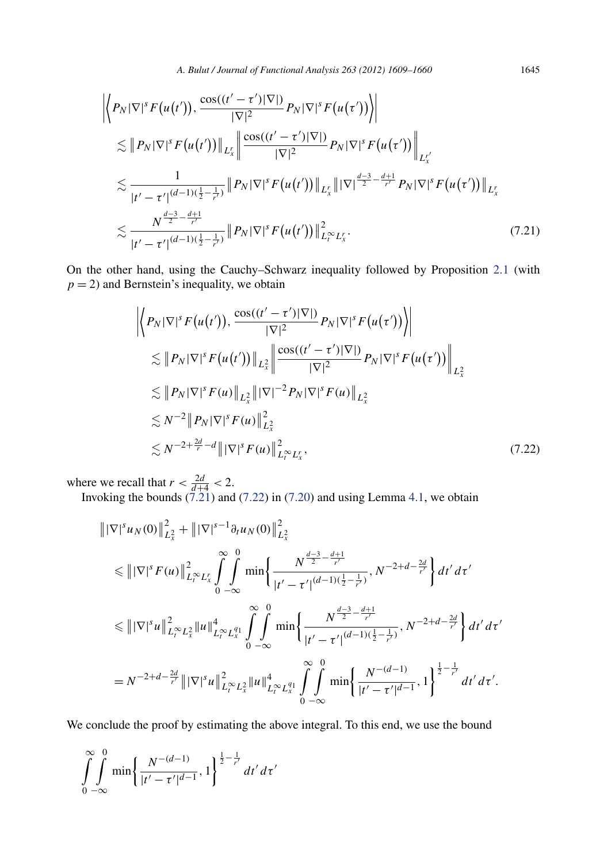$$
\left| \left\langle P_N |\nabla|^s F(u(t')), \frac{\cos((t'-\tau')|\nabla|)}{|\nabla|^2} P_N |\nabla|^s F(u(\tau')) \right\rangle \right|
$$
  
\n
$$
\lesssim \| P_N |\nabla|^s F(u(t')) \|_{L^r_x} \left\| \frac{\cos((t'-\tau')|\nabla|)}{|\nabla|^2} P_N |\nabla|^s F(u(\tau')) \right\|_{L^{r'}_x}
$$
  
\n
$$
\lesssim \frac{1}{|t'-\tau'|^{(d-1)(\frac{1}{2}-\frac{1}{r'})}} \| P_N |\nabla|^s F(u(t')) \|_{L^r_x} \| |\nabla|^{\frac{d-3}{2}-\frac{d+1}{r'}} P_N |\nabla|^s F(u(\tau')) \|_{L^r_x}
$$
  
\n
$$
\lesssim \frac{N^{\frac{d-3}{2}-\frac{d+1}{r'}}}{|t'-\tau'|^{(d-1)(\frac{1}{2}-\frac{1}{r'})}} \| P_N |\nabla|^s F(u(t')) \|_{L^{\infty}_t L^r_x}^2.
$$
\n(7.21)

On the other hand, using the Cauchy–Schwarz inequality followed by Proposition [2](#page-6-0)*.*1 (with  $p = 2$ ) and Bernstein's inequality, we obtain

$$
\left\| P_N |\nabla|^s F(u(t')), \frac{\cos((t'-\tau')|\nabla|)}{|\nabla|^2} P_N |\nabla|^s F(u(\tau')) \right\|
$$
  
\n
$$
\lesssim \| P_N |\nabla|^s F(u(t')) \|_{L_x^2} \left\| \frac{\cos((t'-\tau')|\nabla|)}{|\nabla|^2} P_N |\nabla|^s F(u(\tau')) \right\|_{L_x^2}
$$
  
\n
$$
\lesssim \| P_N |\nabla|^s F(u) \|_{L_x^2} \| |\nabla|^{-2} P_N |\nabla|^s F(u) \|_{L_x^2}
$$
  
\n
$$
\lesssim N^{-2} \| P_N |\nabla|^s F(u) \|_{L_x^2}^2
$$
  
\n
$$
\lesssim N^{-2+\frac{2d}{r}-d} \| |\nabla|^s F(u) \|_{L_t^\infty L_x^r}^2,
$$
\n(7.22)

where we recall that  $r < \frac{2d}{d+4} < 2$ .

Invoking the bounds (7.21) and (7.22) in [\(7.20\)](#page-36-0) and using Lemma [4.1,](#page-13-0) we obtain

$$
\| |\nabla|^s u_N(0) \|_{L_x^2}^2 + \| |\nabla|^{s-1} \partial_t u_N(0) \|_{L_x^2}^2
$$
  
\n
$$
\leq \| |\nabla|^s F(u) \|_{L_t^\infty L_x^r}^2 \int_0^\infty \int_0^0 \min \left\{ \frac{N^{\frac{d-3}{2} - \frac{d+1}{r'}}}{|t' - \tau'|^{(d-1)(\frac{1}{2} - \frac{1}{r'})}}, N^{-2+d - \frac{2d}{r'}} \right\} dt' d\tau'
$$
  
\n
$$
\leq \| |\nabla|^s u \|_{L_t^\infty L_x^2}^2 \| u \|_{L_t^\infty L_x^q}^4 \int_0^\infty \int_0^0 \min \left\{ \frac{N^{\frac{d-3}{2} - \frac{d+1}{r'}}}{|t' - \tau'|^{(d-1)(\frac{1}{2} - \frac{1}{r'})}}, N^{-2+d - \frac{2d}{r'}} \right\} dt' d\tau'
$$
  
\n
$$
= N^{-2+d - \frac{2d}{r'}} \| |\nabla|^s u \|_{L_t^\infty L_x^2}^2 \| u \|_{L_r^\infty L_x^q}^4 \int_0^\infty \int_0^0 \min \left\{ \frac{N^{-(d-1)}}{|t' - \tau'|^{d-1}}, 1 \right\}^{\frac{1}{2} - \frac{1}{r'}} dt' d\tau'.
$$

We conclude the proof by estimating the above integral. To this end, we use the bound

$$
\int_{0}^{\infty} \int_{-\infty}^{0} \min \left\{ \frac{N^{-(d-1)}}{|t'-\tau'|^{d-1}}, 1 \right\}^{\frac{1}{2}-\frac{1}{r'}} dt' \, dt'
$$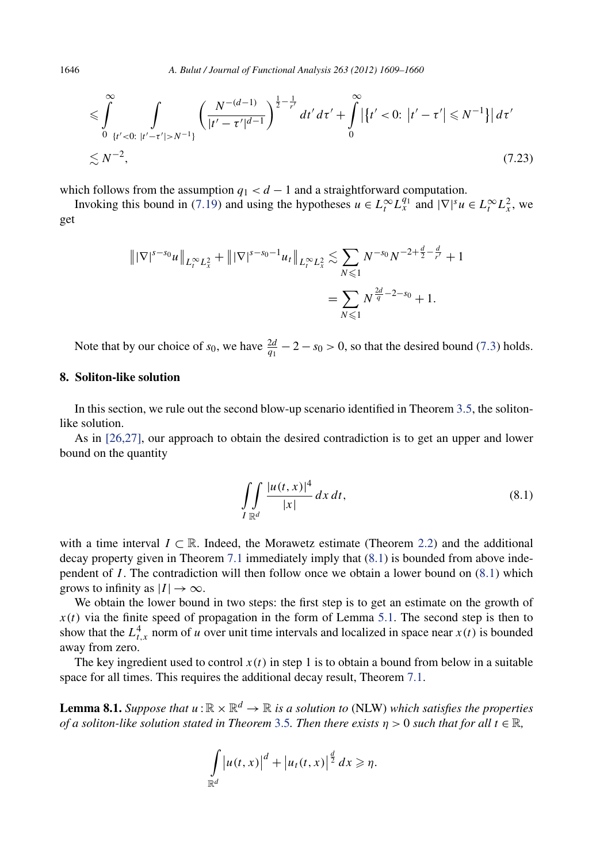$$
\leq \int_{0}^{\infty} \int_{\{t' < 0:\ |t'-\tau'| > N^{-1}\}} \left( \frac{N^{-(d-1)}}{|t'-\tau'|^{d-1}} \right)^{\frac{1}{2} - \frac{1}{r'}} dt' \, d\tau' + \int_{0}^{\infty} \left| \left\{ t' < 0:\ |t'-\tau'| \leq N^{-1} \right\} \right| \, d\tau' \\
\leq N^{-2},\tag{7.23}
$$

which follows from the assumption  $q_1 < d - 1$  and a straightforward computation.

Invoking this bound in (7.[19\)](#page-36-0) and using the hypotheses  $u \in L_t^{\infty} L_x^{q_1}$  and  $|\nabla|^s u \in L_t^{\infty} L_x^2$ , we get

$$
\| |\nabla|^{s-s_0} u \|_{L_t^{\infty} L_x^2} + \| |\nabla|^{s-s_0-1} u_t \|_{L_t^{\infty} L_x^2} \lesssim \sum_{N \le 1} N^{-s_0} N^{-2 + \frac{d}{2} - \frac{d}{r'}} + 1
$$
  
= 
$$
\sum_{N \le 1} N^{\frac{2d}{q} - 2 - s_0} + 1.
$$

Note that by our choice of  $s_0$ , we have  $\frac{2d}{q_1} - 2 - s_0 > 0$ , so that the desired bound [\(7](#page-29-0).3) holds.

#### **8. Soliton-like solution**

In this section, we rule out the second blow-up scenario identified in Theorem [3.5,](#page-11-0) the solitonlike solution.

As in [\[26,27\],](#page-52-0) our approach to obtain the desired contradiction is to get an upper and lower bound on the quantity

$$
\iint\limits_{I \mathbb{R}^d} \frac{|u(t, x)|^4}{|x|} dx dt,
$$
\n(8.1)

with a time interval  $I \subset \mathbb{R}$ . Indeed, the Morawetz estimate (Theorem [2.2\)](#page-8-0) and the additional decay property given in Theorem [7.1](#page-28-0) immediately imply that (8.1) is bounded from above independent of *I* . The contradiction will then follow once we obtain a lower bound on (8*.*1) which grows to infinity as  $|I| \to \infty$ .

We obtain the lower bound in two steps: the first step is to get an estimate on the growth of  $x(t)$  via the finite speed of propagation in the form of Lemma [5.1.](#page-22-0) The second step is then to show that the  $L_{t,x}^4$  norm of *u* over unit time intervals and localized in space near  $x(t)$  is bounded away from zero.

The key ingredient used to control  $x(t)$  in step 1 is to obtain a bound from below in a suitable space for all times. This requires the additional decay result, Theorem [7.1.](#page-28-0)

**Lemma 8.1.** *Suppose that*  $u : \mathbb{R} \times \mathbb{R}^d \to \mathbb{R}$  *is a solution to* (NLW) *which satisfies the properties of a soliton-like solution stated in Theorem* [3.5](#page-11-0)*. Then there exists η >* 0 *such that for all t* ∈ R*,*

$$
\int_{\mathbb{R}^d} \left| u(t,x) \right|^d + \left| u_t(t,x) \right|^{\frac{d}{2}} dx \geqslant \eta.
$$

<span id="page-38-0"></span>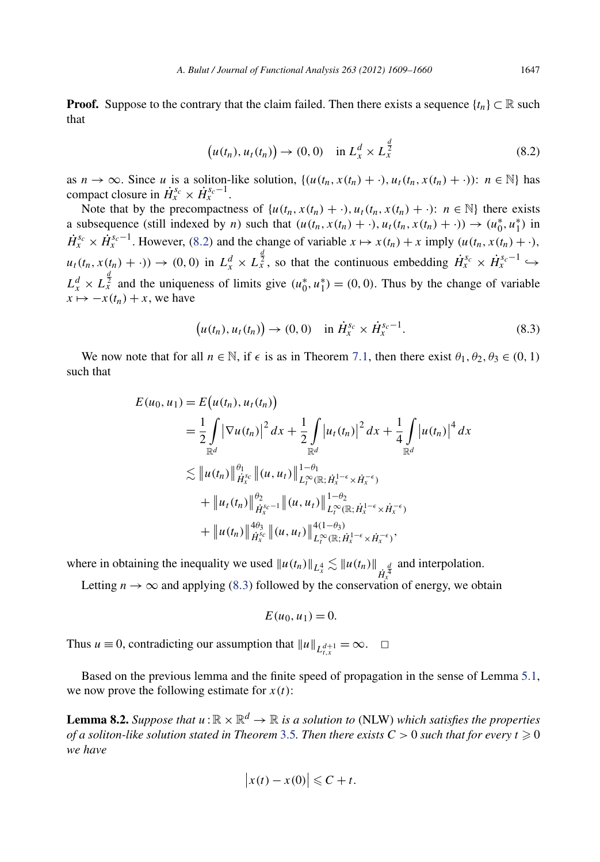<span id="page-39-0"></span>**Proof.** Suppose to the contrary that the claim failed. Then there exists a sequence  $\{t_n\} \subset \mathbb{R}$  such that

$$
\big(u(t_n), u_t(t_n)\big) \to (0,0) \quad \text{in } L^d_x \times L^{\frac{d}{2}}_x \tag{8.2}
$$

as  $n \to \infty$ . Since *u* is a soliton-like solution,  $\{(u(t_n, x(t_n) + \cdot), u_t(t_n, x(t_n) + \cdot))\colon n \in \mathbb{N}\}\)$  has compact closure in  $\dot{H}_x^{s_c} \times \dot{H}_x^{s_c-1}$ .

Note that by the precompactness of  $\{u(t_n, x(t_n) + \cdot), u_t(t_n, x(t_n) + \cdot): n \in \mathbb{N}\}\)$  there exists a subsequence (still indexed by *n*) such that  $(u(t_n, x(t_n) + \cdot), u_t(t_n, x(t_n) + \cdot)) \rightarrow (u_0^*, u_1^*)$  in  $\dot{H}_x^{s_c} \times \dot{H}_x^{s_c-1}$ . However, (8.2) and the change of variable  $x \mapsto x(t_n) + x$  imply  $(u(t_n, x(t_n) + \cdot)$ ,  $u_t(t_n, x(t_n) + \cdot)$   $\to$   $(0,0)$  in  $L_x^d \times L_x^{\frac{d}{2}}$ , so that the continuous embedding  $\dot{H}_x^{s_c} \times \dot{H}_x^{s_c-1} \hookrightarrow$  $L_x^d \times L_x^{\frac{d}{2}}$  and the uniqueness of limits give  $(u_0^*, u_1^*) = (0, 0)$ . Thus by the change of variable  $x \mapsto -x(t_n) + x$ , we have

$$
(u(t_n), u_t(t_n)) \to (0, 0) \quad \text{in } \dot{H}_x^{s_c} \times \dot{H}_x^{s_c-1}.
$$
 (8.3)

We now note that for all  $n \in \mathbb{N}$ , if  $\epsilon$  is as in Theorem 7.[1,](#page-28-0) then there exist  $\theta_1, \theta_2, \theta_3 \in (0, 1)$ such that

$$
E(u_0, u_1) = E(u(t_n), u_t(t_n))
$$
  
\n
$$
= \frac{1}{2} \int |\nabla u(t_n)|^2 dx + \frac{1}{2} \int |u_t(t_n)|^2 dx + \frac{1}{4} \int |u(t_n)|^4 dx
$$
  
\n
$$
\lesssim ||u(t_n)||_{\dot{H}_x^{sc}}^{\theta_1} ||(u, u_t)||_{L_t^{\infty}(\mathbb{R}; \dot{H}_x^{1-\epsilon} \times \dot{H}_x^{-\epsilon})}^{1-\theta_1}
$$
  
\n
$$
+ ||u_t(t_n)||_{\dot{H}_x^{sc}}^{\theta_2} ||(u, u_t)||_{L_t^{\infty}(\mathbb{R}; \dot{H}_x^{1-\epsilon} \times \dot{H}_x^{-\epsilon})}^{1-\theta_2}
$$
  
\n
$$
+ ||u(t_n)||_{\dot{H}_x^{sc}}^{\theta_2} ||(u, u_t)||_{L_t^{\infty}(\mathbb{R}; \dot{H}_x^{1-\epsilon} \times \dot{H}_x^{-\epsilon})}^{4(1-\theta_3)},
$$

where in obtaining the inequality we used  $||u(t_n)||_{L^4_x} \lesssim ||u(t_n)||_{\dot{H}^{\frac{d}{4}}}$  and interpolation.

Letting *n*  $\rightarrow \infty$  and applying (8.3) followed by the conservation of energy, we obtain

$$
E(u_0, u_1) = 0.
$$

Thus *u*  $\equiv$  0, contradicting our assumption that  $||u||_{L_1^{d+1}} = \infty$ .  $\Box$ 

Based on the previous lemma and the finite speed of propagation in the sense of Lemma [5.1,](#page-22-0) we now prove the following estimate for  $x(t)$ :

**Lemma 8.2.** *Suppose that*  $u : \mathbb{R} \times \mathbb{R}^d \to \mathbb{R}$  *is a solution to* (NLW) *which satisfies the properties of a soliton-like solution stated in Theorem [3.5](#page-11-0). Then there exists*  $C>0$  *such that for every t*  $\geqslant 0$ *we have*

$$
\big|x(t)-x(0)\big|\leqslant C+t.
$$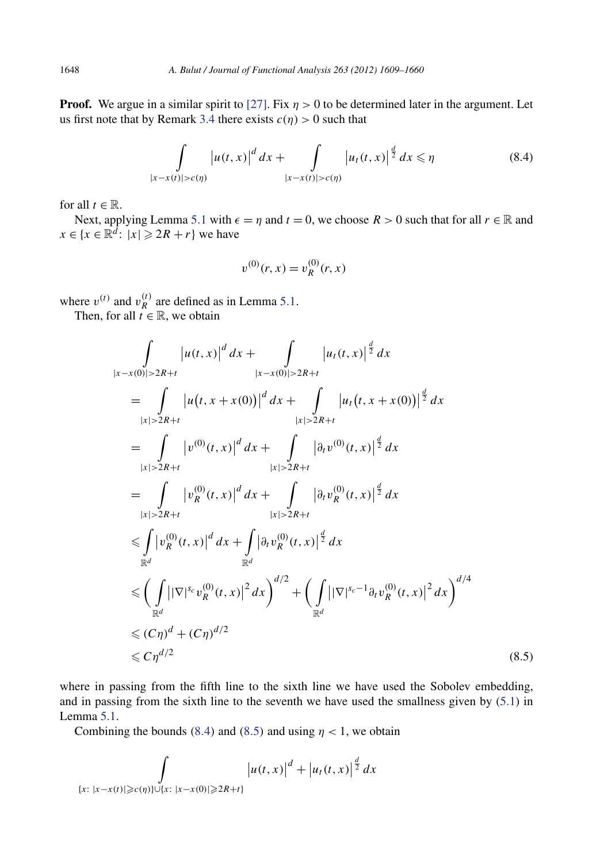**Proof.** We argue in a similar spirit to [\[27\].](#page-52-0) Fix  $\eta > 0$  to be determined later in the argument. Let us first note that by Remark [3.4](#page-11-0) there exists  $c(\eta) > 0$  such that

$$
\int_{|x-x(t)|>c(\eta)} |u(t,x)|^d \, dx + \int_{|x-x(t)|>c(\eta)} |u_t(t,x)|^{\frac{d}{2}} \, dx \leq \eta \tag{8.4}
$$

for all  $t \in \mathbb{R}$ .

Next, applying Lemma [5](#page-22-0).1 with  $\epsilon = \eta$  and  $t = 0$ , we choose  $R > 0$  such that for all  $r \in \mathbb{R}$  and  $x \in \{x \in \mathbb{R}^d : |x| \geqslant 2R + r\}$  we have

$$
v^{(0)}(r,x) = v_R^{(0)}(r,x)
$$

where  $v^{(t)}$  and  $v_R^{(t)}$  are defined as in Lemma 5.[1.](#page-22-0)

Then, for all  $t \in \mathbb{R}$ , we obtain

$$
\int_{|x-x(0)|>2R+t} |u(t,x)|^d dx + \int_{|x-x(0)|>2R+t} |u_t(t,x)|^{\frac{d}{2}} dx
$$
\n
$$
= \int_{|x|>2R+t} |u(t,x+x(0))|^d dx + \int_{|x|>2R+t} |u_t(t,x+x(0))|^{\frac{d}{2}} dx
$$
\n
$$
= \int_{|x|>2R+t} |v^{(0)}(t,x)|^d dx + \int_{|x|>2R+t} |\partial_t v^{(0)}(t,x)|^{\frac{d}{2}} dx
$$
\n
$$
= \int_{|x|>2R+t} |v_R^{(0)}(t,x)|^d dx + \int_{|x|>2R+t} |\partial_t v_R^{(0)}(t,x)|^{\frac{d}{2}} dx
$$
\n
$$
\leq \int_{\mathbb{R}^d} |v_R^{(0)}(t,x)|^d dx + \int_{\mathbb{R}^d} |\partial_t v_R^{(0)}(t,x)|^{\frac{d}{2}} dx
$$
\n
$$
\leq \left( \int_{\mathbb{R}^d} ||\nabla|^{s_c} v_R^{(0)}(t,x)|^2 dx \right)^{d/2} + \left( \int_{\mathbb{R}^d} |\nabla|^{s_c-1} \partial_t v_R^{(0)}(t,x)|^2 dx \right)^{d/4}
$$
\n
$$
\leq C\eta^{d/2} + (C\eta)^{d/2}
$$
\n(8.5)

where in passing from the fifth line to the sixth line we have used the Sobolev embedding, and in passing from the sixth line to the seventh we have used the smallness given by  $(5.1)$  in Lemma [5.1.](#page-22-0)

Combining the bounds (8.4) and (8.5) and using  $\eta$  < 1, we obtain

$$
\int_{\{x:\ |x-x(t)|\geqslant c(\eta)\}\cup\{x:\ |x-x(0)|\geqslant 2R+t\}} |u(t,x)|^d + |u_t(t,x)|^{\frac{d}{2}} dx
$$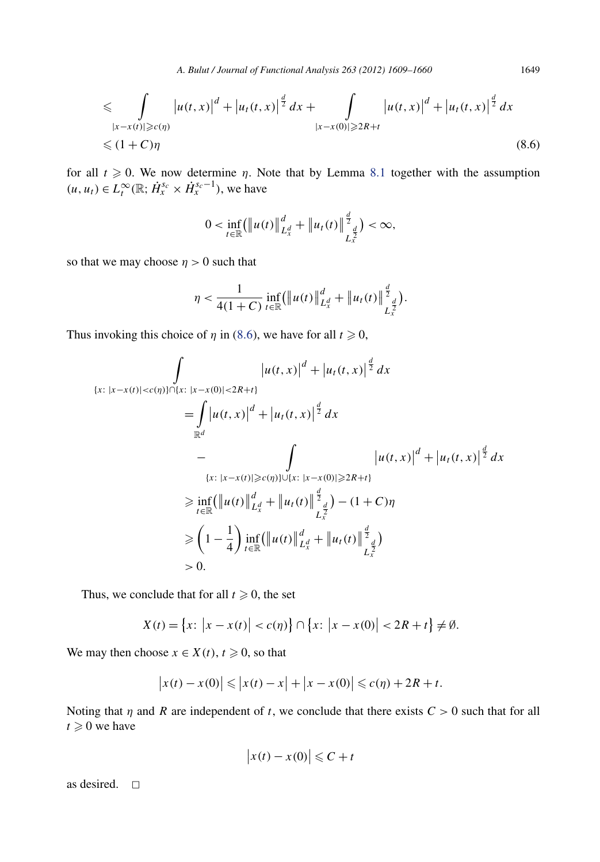*A. Bulut / Journal of Functional Analysis 263 (2012) 1609–1660* 1649

$$
\leq \int_{\substack{|x-x(t)|\geqslant c(\eta) \\ \leqslant (1+C)\eta}} |u(t,x)|^d + |u_t(t,x)|^{\frac{d}{2}} dx + \int_{\substack{|x-x(0)|\geqslant 2R+t}} |u(t,x)|^d + |u_t(t,x)|^{\frac{d}{2}} dx
$$
\n
$$
\leqslant (1+C)\eta
$$
\n(8.6)

for all  $t \geq 0$ . We now determine *η*. Note that by Lemma [8](#page-38-0).1 together with the assumption  $(u, u_t) \in L_t^{\infty}(\mathbb{R}; \dot{H}_x^{s_c} \times \dot{H}_x^{s_c-1})$ , we have

$$
0 < \inf_{t \in \mathbb{R}} (\|u(t)\|_{L_x^d}^d + \|u_t(t)\|_{L_x^{\frac{d}{2}}}^{\frac{d}{2}}) < \infty,
$$

so that we may choose  $\eta > 0$  such that

$$
\eta < \frac{1}{4(1+C)} \inf_{t \in \mathbb{R}} (\|u(t)\|_{L_x^d}^d + \|u_t(t)\|_{L_x^{\frac{d}{2}}}^{\frac{d}{2}}).
$$

Thus invoking this choice of  $\eta$  in (8.6), we have for all  $t \geq 0$ ,

$$
\int_{\{x:\ |x-x(t)| < c(\eta)\} \cap \{x:\ |x-x(0)| < 2R+t\}} |u(t,x)|^d + |u_t(t,x)|^{\frac{d}{2}} dx
$$
\n
$$
= \int_{\mathbb{R}^d} |u(t,x)|^d + |u_t(t,x)|^{\frac{d}{2}} dx
$$
\n
$$
- \int_{\{x:\ |x-x(t)| \ge c(\eta)\} \cup \{x:\ |x-x(0)| \ge 2R+t\}} |u(t,x)|^d + |u_t(t,x)|^{\frac{d}{2}} dx
$$
\n
$$
\ge \inf_{t \in \mathbb{R}} (\|u(t)\|_{L_x^d}^d + \|u_t(t)\|_{L_x^{\frac{d}{2}}}^{\frac{d}{2}}) - (1+C)\eta
$$
\n
$$
\ge \left(1 - \frac{1}{4}\right) \inf_{t \in \mathbb{R}} (\|u(t)\|_{L_x^d}^d + \|u_t(t)\|_{L_x^{\frac{d}{2}}}^{\frac{d}{2}}) - 0.
$$

Thus, we conclude that for all  $t \geq 0$ , the set

$$
X(t) = \{x: |x - x(t)| < c(\eta) \} \cap \{x: |x - x(0)| < 2R + t \} \neq \emptyset.
$$

We may then choose  $x \in X(t)$ ,  $t \ge 0$ , so that

$$
|x(t) - x(0)| \le |x(t) - x| + |x - x(0)| \le c(\eta) + 2R + t.
$$

Noting that  $\eta$  and  $R$  are independent of  $t$ , we conclude that there exists  $C > 0$  such that for all  $t \geqslant 0$  we have

$$
\left|x(t) - x(0)\right| \leqslant C + t
$$

as desired.  $\square$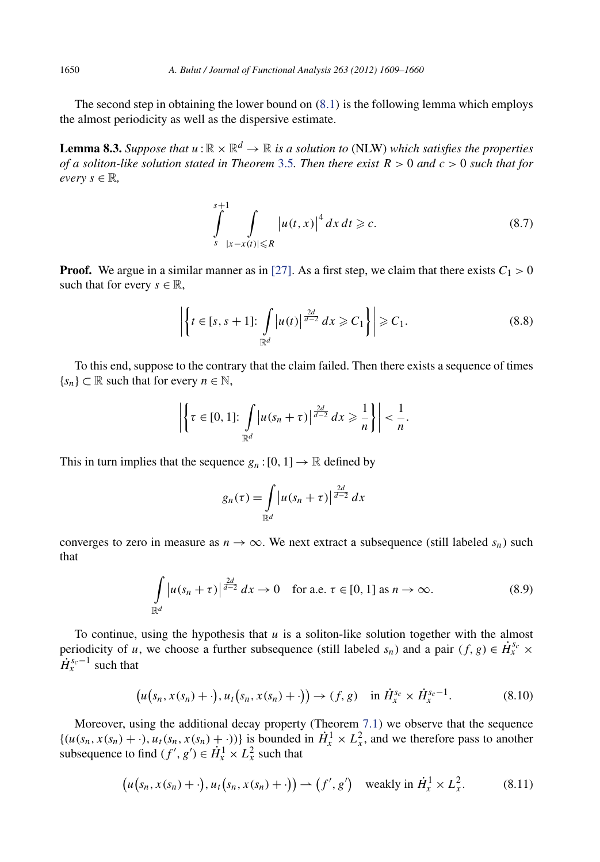The second step in obtaining the lower bound on *(*[8](#page-38-0)*.*1*)* is the following lemma which employs the almost periodicity as well as the dispersive estimate.

**Lemma 8.3.** *Suppose that*  $u : \mathbb{R} \times \mathbb{R}^d \to \mathbb{R}$  *is a solution to* (NLW) *which satisfies the properties of a soliton-like solution stated in Theorem* [3.5](#page-11-0)*. Then there exist R >* 0 *and c >* 0 *such that for*  $every \in \mathbb{R},$ 

$$
\int_{s}^{s+1} \int_{|x-x(t)| \le R} |u(t,x)|^4 dx dt \ge c.
$$
 (8.7)

**Proof.** We argue in a similar manner as in [\[27\].](#page-52-0) As a first step, we claim that there exists  $C_1 > 0$ such that for every  $s \in \mathbb{R}$ ,

$$
\left| \left\{ t \in [s, s+1] \colon \int_{\mathbb{R}^d} |u(t)|^{\frac{2d}{d-2}} dx \geqslant C_1 \right\} \right| \geqslant C_1. \tag{8.8}
$$

To this end, suppose to the contrary that the claim failed. Then there exists a sequence of times  ${s_n} \subset \mathbb{R}$  such that for every  $n \in \mathbb{N}$ ,

$$
\left|\left\{\tau \in [0,1]: \int_{\mathbb{R}^d} |u(s_n+\tau)|^{\frac{2d}{d-2}} dx \geqslant \frac{1}{n}\right\}\right| < \frac{1}{n}.
$$

This in turn implies that the sequence  $g_n:[0,1] \to \mathbb{R}$  defined by

$$
g_n(\tau) = \int_{\mathbb{R}^d} |u(s_n + \tau)|^{\frac{2d}{d-2}} dx
$$

converges to zero in measure as  $n \to \infty$ . We next extract a subsequence (still labeled  $s_n$ ) such that

$$
\int_{\mathbb{R}^d} |u(s_n + \tau)|^{\frac{2d}{d-2}} dx \to 0 \quad \text{for a.e. } \tau \in [0, 1] \text{ as } n \to \infty.
$$
 (8.9)

To continue, using the hypothesis that *u* is a soliton-like solution together with the almost periodicity of *u*, we choose a further subsequence (still labeled  $s_n$ ) and a pair  $(f, g) \in \dot{H}^{s_c}_x$  ×  $H_r^{s_c-1}$  such that

$$
\big(u\big(s_n,x(s_n)+\cdot\big),u_t\big(s_n,x(s_n)+\cdot\big)\big)\to(f,g)\quad\text{in }\dot{H}_x^{s_c}\times\dot{H}_x^{s_c-1}.\tag{8.10}
$$

Moreover, using the additional decay property (Theorem 7*.*[1\)](#page-28-0) we observe that the sequence  $\{(u(s_n, x(s_n) + \cdot), u_t(s_n, x(s_n) + \cdot))\}$  is bounded in  $\dot{H}^1_x \times L^2_x$ , and we therefore pass to another subsequence to find  $(f', g') \in \dot{H}^1_x \times L^2_x$  such that

$$
\big(u\big(s_n, x(s_n) + \cdot\big), u_t\big(s_n, x(s_n) + \cdot\big)\big) \to \big(f', g'\big) \quad \text{weakly in } \dot{H}^1_x \times L^2_x. \tag{8.11}
$$

<span id="page-42-0"></span>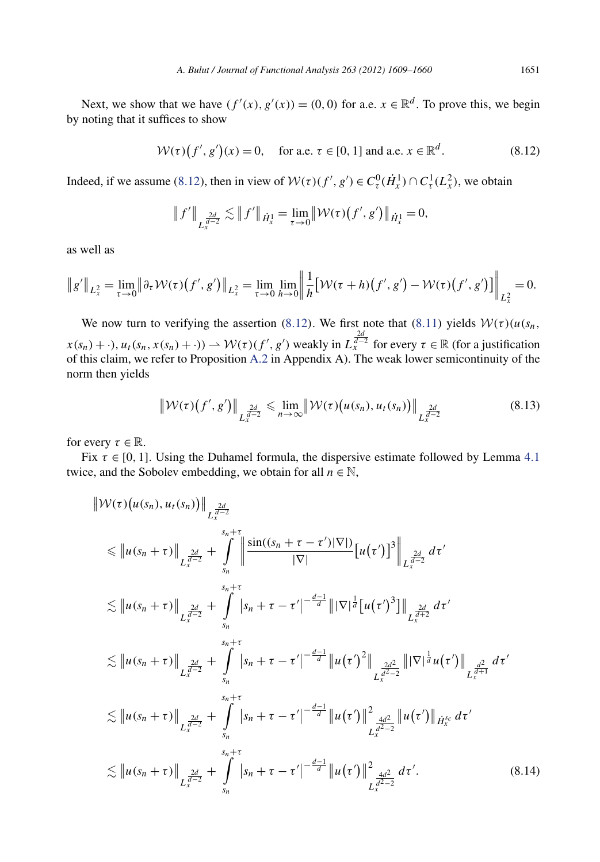<span id="page-43-0"></span>Next, we show that we have  $(f'(x), g'(x)) = (0, 0)$  for a.e.  $x \in \mathbb{R}^d$ . To prove this, we begin by noting that it suffices to show

$$
W(\tau)(f', g')(x) = 0, \text{ for a.e. } \tau \in [0, 1] \text{ and a.e. } x \in \mathbb{R}^d. \tag{8.12}
$$

Indeed, if we assume (8.12), then in view of  $W(\tau)(f', g') \in C_{\tau}^0(\dot{H}_x^1) \cap C_{\tau}^1(L_x^2)$ , we obtain

$$
\|f'\|_{L_x^{\frac{2d}{d-2}}} \lesssim \|f'\|_{\dot{H}^1_x} = \lim_{\tau \to 0} \|\mathcal{W}(\tau)(f',g')\|_{\dot{H}^1_x} = 0,
$$

as well as

$$
\|g'\|_{L_x^2} = \lim_{\tau \to 0} \|\partial_\tau \mathcal{W}(\tau)(f', g')\|_{L_x^2} = \lim_{\tau \to 0} \lim_{h \to 0} \left\| \frac{1}{h} \left[ \mathcal{W}(\tau + h)(f', g') - \mathcal{W}(\tau)(f', g') \right] \right\|_{L_x^2} = 0.
$$

We now turn to verifying the assertion (8.12). We first note that  $(8.11)$  $(8.11)$  $(8.11)$  yields  $W(\tau)$   $(u(s_n, \tau))$  $f(x(s_n) + \cdot)$ ,  $u_t(s_n, x(s_n) + \cdot)$ )  $\to W(\tau)(f', g')$  weakly in  $L_x^{\frac{2d}{d-2}}$  for every  $\tau \in \mathbb{R}$  (for a justification of this claim, we refer to Proposition [A.2](#page-50-0) in Appendix A). The weak lower semicontinuity of the norm then yields

$$
\|\mathcal{W}(\tau)\big(f',g'\big)\|_{L_x^{\frac{2d}{d-2}}} \leqslant \lim_{n\to\infty} \|\mathcal{W}(\tau)\big(u(s_n),u_t(s_n)\big)\|_{L_x^{\frac{2d}{d-2}}} \tag{8.13}
$$

for every  $\tau \in \mathbb{R}$ .

 $\parallel$ 

Fix  $\tau \in [0, 1]$ . Using the Duhamel formula, the dispersive estimate followed by Lemma [4](#page-13-0).1 twice, and the Sobolev embedding, we obtain for all  $n \in \mathbb{N}$ ,

$$
\|W(\tau)(u(s_n), u_t(s_n))\|_{L_x^{\frac{2d}{d-2}}} \n\leq \|u(s_n + \tau)\|_{L_x^{\frac{2d}{d-2}}} + \int_{s_n}^{s_n + \tau} \|\frac{\sin((s_n + \tau - \tau')|\nabla|)}{|\nabla|} [u(\tau')]^3\|_{L_x^{\frac{2d}{d-2}}} d\tau' \n\lesssim \|u(s_n + \tau)\|_{L_x^{\frac{2d}{d-2}}} + \int_{s_n}^{s_n + \tau} |s_n + \tau - \tau'|^{-\frac{d-1}{d}} \| |\nabla|^{\frac{1}{d}} [u(\tau')^3] \|_{L_x^{\frac{2d}{d+2}}} d\tau' \n\lesssim \|u(s_n + \tau)\|_{L_x^{\frac{2d}{d-2}}} + \int_{s_n}^{s_n + \tau} |s_n + \tau - \tau'|^{-\frac{d-1}{d}} \|u(\tau')^2\|_{L_x^{\frac{2d}{d-2}}} \| |\nabla|^{\frac{1}{d}} u(\tau') \|_{L_x^{\frac{d^2}{d+1}}} d\tau' \n\lesssim \|u(s_n + \tau)\|_{L_x^{\frac{2d}{d-2}}} + \int_{s_n}^{s_n + \tau} |s_n + \tau - \tau'|^{-\frac{d-1}{d}} \|u(\tau')\|^2_{L_x^{\frac{4d^2}{d-2}}} \|u(\tau')\|_{\dot{H}_x^{sc}} d\tau' \n\lesssim \|u(s_n + \tau)\|_{L_x^{\frac{2d}{d-2}}} + \int_{s_n}^{s_n + \tau} |s_n + \tau - \tau'|^{-\frac{d-1}{d}} \|u(\tau')\|^2_{L_x^{\frac{4d^2}{d-2}}} d\tau'. \tag{8.14}
$$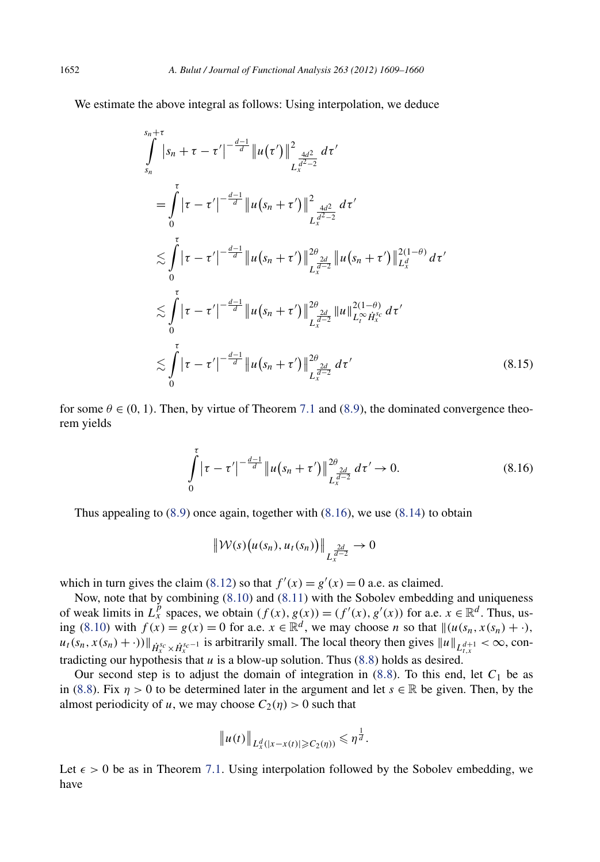We estimate the above integral as follows: Using interpolation, we deduce

$$
\int_{s_n}^{s_n+\tau} |s_n + \tau - \tau'|^{-\frac{d-1}{d}} \|u(\tau')\|^2_{L_x^{\frac{4d^2}{d^2-2}}} d\tau'
$$
\n
$$
= \int_0^{\tau} |\tau - \tau'|^{-\frac{d-1}{d}} \|u(s_n + \tau')\|^2_{L_x^{\frac{4d^2}{d^2-2}}} d\tau'
$$
\n
$$
\lesssim \int_0^{\tau} |\tau - \tau'|^{-\frac{d-1}{d}} \|u(s_n + \tau')\|^2_{L_x^{\frac{2d}{d^2-2}}} \|u(s_n + \tau')\|^2_{L_x^{\frac{d}{d}}}^{2(1-\theta)} d\tau'
$$
\n
$$
\lesssim \int_0^{\tau} |\tau - \tau'|^{-\frac{d-1}{d}} \|u(s_n + \tau')\|^2_{L_x^{\frac{2d}{d^2-2}}} \|u\|^2_{L_t^{\infty} \dot{H}_x^{\frac{s_c}{d}}} d\tau'
$$
\n
$$
\lesssim \int_0^{\tau} |\tau - \tau'|^{-\frac{d-1}{d}} \|u(s_n + \tau')\|^2_{L_x^{\frac{2d}{d^2}}} d\tau'
$$
\n
$$
(8.15)
$$

for some  $\theta \in (0, 1)$ . Then, by virtue of Theorem [7](#page-28-0).1 and [\(8](#page-42-0).9), the dominated convergence theorem yields

$$
\int_{0}^{\tau} |\tau - \tau'|^{-\frac{d-1}{d}} \|u(s_n + \tau')\|_{L_{x}^{\frac{2d}{d-2}}}^{2\theta} d\tau' \to 0.
$$
\n(8.16)

Thus appealing to (8*.*[9\)](#page-42-0) once again, together with (8*.*16), we use *(*8*.*[14](#page-43-0)*)* to obtain

$$
\left\|\mathcal{W}(s)\big(u(s_n),u_t(s_n)\big)\right\|_{L_x^{\frac{2d}{d-2}}}\to 0
$$

which in turn gives the claim (8.[12\)](#page-43-0) so that  $f'(x) = g'(x) = 0$  a.e. as claimed.

Now, note that by combining (8*.*[10\)](#page-42-0) and (8*.*[11\)](#page-42-0) with the Sobolev embedding and uniqueness of weak limits in  $L_x^p$  spaces, we obtain  $(f(x), g(x)) = (f'(x), g'(x))$  for a.e.  $x \in \mathbb{R}^d$ . Thus, us-ing (8.[10](#page-42-0)) with  $f(x) = g(x) = 0$  for a.e.  $x \in \mathbb{R}^d$ , we may choose *n* so that  $\|(u(s_n, x(s_n) + \cdot),\)$  $u_t(s_n, x(s_n) + \cdot)$ )  $\|_{\dot{H}^{s_c}_x \times \dot{H}^{s_c-1}_x}$  is arbitrarily small. The local theory then gives  $\|u\|_{L^{d+1}_{t,x}} < \infty$ , contradicting our hypothesis that *u* is a blow-up solution. Thus [\(8](#page-42-0)*.*8) holds as desired.

Our second step is to adjust the domain of integration in  $(8.8)$  $(8.8)$ . To this end, let  $C_1$  be as in [\(8.8\)](#page-42-0). Fix  $\eta > 0$  to be determined later in the argument and let  $s \in \mathbb{R}$  be given. Then, by the almost periodicity of *u*, we may choose  $C_2(\eta) > 0$  such that

$$
\|u(t)\|_{L_x^d(|x-x(t)|\geqslant C_2(\eta))}\leqslant \eta^{\frac{1}{d}}.
$$

Let  $\epsilon > 0$  be as in Theorem 7.[1.](#page-28-0) Using interpolation followed by the Sobolev embedding, we have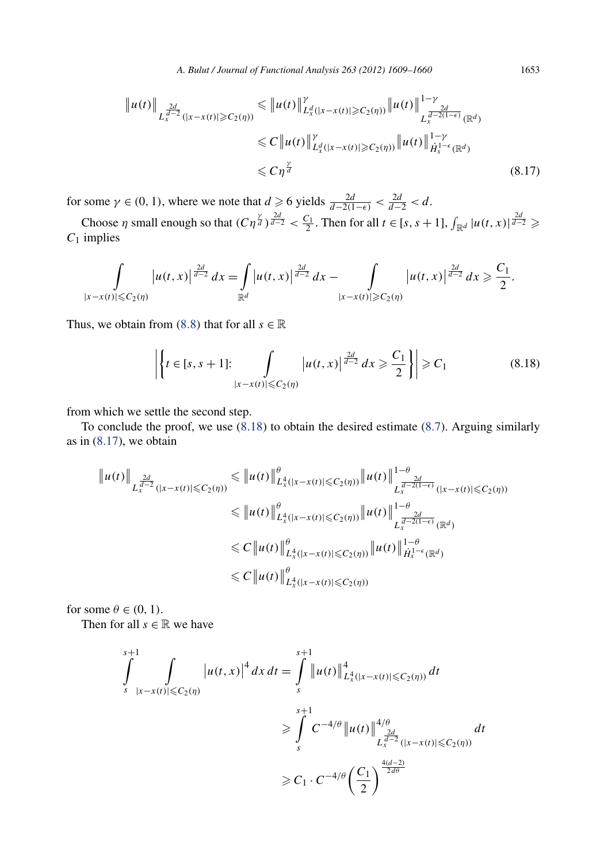<span id="page-45-0"></span>
$$
\|u(t)\|_{L_x^{\frac{2d}{d-2}}(|x-x(t)|\geq C_2(\eta))} \leq \|u(t)\|_{L_x^d(|x-x(t)|\geq C_2(\eta))}^{\gamma} \|u(t)\|_{L_x^{\frac{2d}{d-2(1-\epsilon)}}(\mathbb{R}^d)}^{1-\gamma} \n\leq C \|u(t)\|_{L_x^d(|x-x(t)|\geq C_2(\eta))}^{\gamma} \|u(t)\|_{\dot{H}_x^{1-\epsilon}(\mathbb{R}^d)}^{1-\gamma}
$$
\n
$$
\leq C\eta^{\frac{\gamma}{d}} \tag{8.17}
$$

for some  $\gamma \in (0, 1)$ , where we note that  $d \ge 6$  yields  $\frac{2d}{d-2(1-\epsilon)} < \frac{2d}{d-2} < d$ .

Choose *η* small enough so that  $(C\eta^{\frac{y}{d}})^{\frac{2d}{d-2}} < \frac{C_1}{2}$ . Then for all  $t \in [s, s + 1]$ ,  $\int_{\mathbb{R}^d} |u(t, x)|^{\frac{2d}{d-2}} \geq$ *C*<sup>1</sup> implies

$$
\int_{|x-x(t)|\leq C_2(\eta)} |u(t,x)|^{\frac{2d}{d-2}} dx = \int_{\mathbb{R}^d} |u(t,x)|^{\frac{2d}{d-2}} dx - \int_{|x-x(t)|\geq C_2(\eta)} |u(t,x)|^{\frac{2d}{d-2}} dx \geq \frac{C_1}{2}.
$$

Thus, we obtain from ([8](#page-42-0).8) that for all  $s \in \mathbb{R}$ 

$$
\left| \left\{ t \in [s, s+1] : \int\limits_{|x-x(t)| \leq C_2(\eta)} |u(t, x)|^{\frac{2d}{d-2}} dx \geq \frac{C_1}{2} \right\} \right| \geq C_1
$$
\n(8.18)

from which we settle the second step.

To conclude the proof, we use (8*.*18) to obtain the desired estimate [\(8.7\)](#page-42-0). Arguing similarly as in  $(8.17)$ , we obtain

$$
\|u(t)\|_{L_x^{\frac{2d}{d-2}}(|x-x(t)| \leq C_2(\eta))} \leq \|u(t)\|_{L_x^4(|x-x(t)| \leq C_2(\eta))}^{\theta} \|u(t)\|_{L_x^{\frac{2d}{d-2(1-\epsilon)}}(|x-x(t)| \leq C_2(\eta))}^{1-\theta}
$$
  

$$
\leq \|u(t)\|_{L_x^4(|x-x(t)| \leq C_2(\eta))}^{\theta} \|u(t)\|_{L_x^{\frac{2d}{d-2(1-\epsilon)}}(\mathbb{R}^d)}^{1-\theta}
$$
  

$$
\leq C \|u(t)\|_{L_x^4(|x-x(t)| \leq C_2(\eta))}^{\theta} \|u(t)\|_{H_x^{1-\epsilon}(\mathbb{R}^d)}^{1-\theta}
$$
  

$$
\leq C \|u(t)\|_{L_x^4(|x-x(t)| \leq C_2(\eta))}^{\theta}
$$

for some  $\theta \in (0, 1)$ .

Then for all  $s \in \mathbb{R}$  we have

$$
\int_{s}^{s+1} \int_{|x-x(t)| \leq C_2(\eta)} |u(t,x)|^4 dx dt = \int_{s}^{s+1} ||u(t)||_{L_x^4(|x-x(t)| \leq C_2(\eta))}^{4} dt
$$
  
\n
$$
\geq \int_{s}^{s+1} C^{-4/\theta} ||u(t)||_{L_x^{\frac{2d}{d-2}}(|x-x(t)| \leq C_2(\eta))}^{4/\theta} dt
$$
  
\n
$$
\geq C_1 \cdot C^{-4/\theta} \left(\frac{C_1}{2}\right)^{\frac{4(d-2)}{2d\theta}}.
$$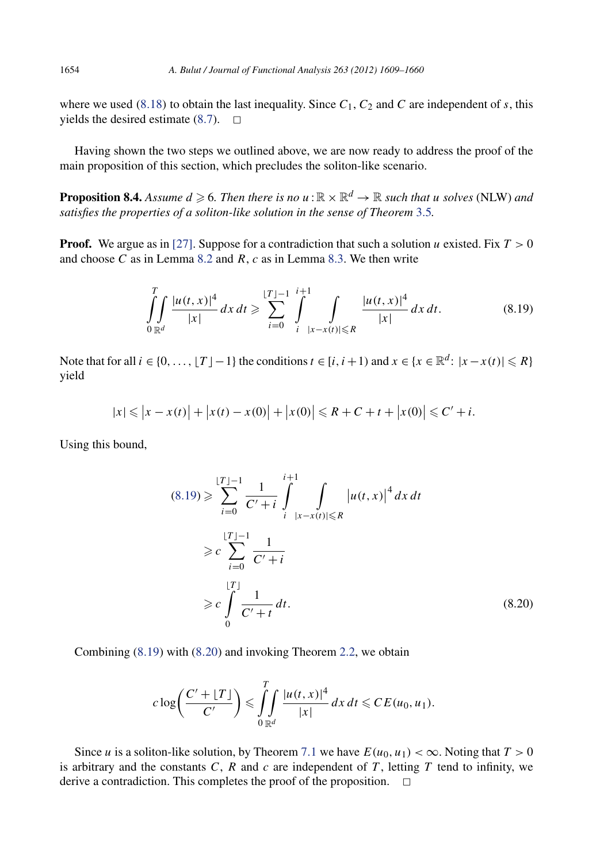where we used  $(8.18)$  $(8.18)$  $(8.18)$  to obtain the last inequality. Since  $C_1$ ,  $C_2$  and  $C$  are independent of  $s$ , this yields the desired estimate  $(8.7)$ .  $\Box$ 

Having shown the two steps we outlined above, we are now ready to address the proof of the main proposition of this section, which precludes the soliton-like scenario.

**Proposition 8.4.** Assume  $d \geqslant 6$ . Then there is no  $u:\mathbb{R}\times \mathbb{R}^d \to \mathbb{R}$  such that  $u$  solves (NLW) and *satisfies the properties of a soliton-like solution in the sense of Theorem* [3.5](#page-11-0)*.*

**Proof.** We argue as in [\[27\].](#page-52-0) Suppose for a contradiction that such a solution *u* existed. Fix  $T > 0$ and choose *C* as in Lemma [8.2](#page-39-0) and *R*, *c* as in Lemma [8.3.](#page-42-0) We then write

$$
\int_{0\mathbb{R}^d} \frac{|u(t,x)|^4}{|x|} dx dt \ge \sum_{i=0}^{\lfloor T \rfloor - 1} \int_{i}^{i+1} \int_{|x - x(t)| \le R} \frac{|u(t,x)|^4}{|x|} dx dt.
$$
 (8.19)

Note that for all  $i \in \{0, ..., \lfloor T \rfloor -1\}$  the conditions  $t \in [i, i + 1)$  and  $x \in \{x \in \mathbb{R}^d : |x - x(t)| \le R\}$ yield

$$
|x| \le |x - x(t)| + |x(t) - x(0)| + |x(0)| \le R + C + t + |x(0)| \le C' + i.
$$

Using this bound,

$$
(8.19) \geqslant \sum_{i=0}^{\lfloor T \rfloor - 1} \frac{1}{C' + i} \int_{i}^{i+1} \int_{|x - x(t)| \leqslant R} |u(t, x)|^4 dx dt
$$
  
\n
$$
\geqslant c \sum_{i=0}^{\lfloor T \rfloor - 1} \frac{1}{C' + i}
$$
  
\n
$$
\geqslant c \int_{0}^{\lfloor T \rfloor} \frac{1}{C' + t} dt.
$$
 (8.20)

Combining (8*.*19) with (8*.*20) and invoking Theorem [2.2,](#page-8-0) we obtain

$$
c\log\bigg(\frac{C'+\lfloor T\rfloor}{C'}\bigg)\leqslant \iint\limits_{0\leqslant x} \frac{|u(t,x)|^4}{|x|}dx\,dt\leqslant CE(u_0,u_1).
$$

Since *u* is a soliton-like solution, by Theorem [7](#page-28-0).1 we have  $E(u_0, u_1) < \infty$ . Noting that  $T > 0$ is arbitrary and the constants  $C$ ,  $R$  and  $c$  are independent of  $T$ , letting  $T$  tend to infinity, we derive a contradiction. This completes the proof of the proposition.  $\Box$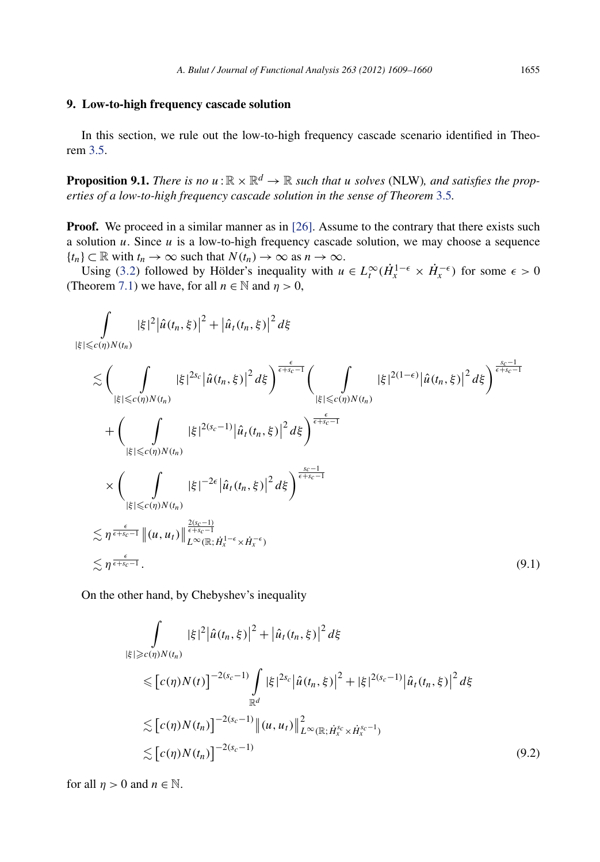#### <span id="page-47-0"></span>**9. Low-to-high frequency cascade solution**

In this section, we rule out the low-to-high frequency cascade scenario identified in Theorem [3.5.](#page-11-0)

**Proposition 9.1.** *There is no*  $u : \mathbb{R} \times \mathbb{R}^d \to \mathbb{R}$  *such that u solves* (NLW)*, and satisfies the properties of a low-to-high frequency cascade solution in the sense of Theorem* [3.5](#page-11-0)*.*

**Proof.** We proceed in a similar manner as in [\[26\].](#page-52-0) Assume to the contrary that there exists such a solution *u*. Since *u* is a low-to-high frequency cascade solution, we may choose a sequence  ${t_n} \subset \mathbb{R}$  with  $t_n \to \infty$  such that  $N(t_n) \to \infty$  as  $n \to \infty$ .

Using [\(3](#page-11-0).2) followed by Hölder's inequality with  $u \in L_t^{\infty}(\dot{H}_x^{1-\epsilon} \times \dot{H}_x^{-\epsilon})$  for some  $\epsilon > 0$ (Theorem [7.1\)](#page-28-0) we have, for all  $n \in \mathbb{N}$  and  $\eta > 0$ ,

$$
\int_{|\xi| \leq c(\eta)N(t_n)} |\xi|^2 |\hat{u}(t_n, \xi)|^2 + |\hat{u}_t(t_n, \xi)|^2 d\xi
$$
\n
$$
\lesssim \left( \int_{|\xi| \leq c(\eta)N(t_n)} |\xi|^{2s_c} |\hat{u}(t_n, \xi)|^2 d\xi \right)^{\frac{\epsilon}{\epsilon+s_c-1}} \left( \int_{|\xi| \leq c(\eta)N(t_n)} |\xi|^{2(1-\epsilon)} |\hat{u}(t_n, \xi)|^2 d\xi \right)^{\frac{s_c-1}{\epsilon+s_c-1}}
$$
\n
$$
+ \left( \int_{|\xi| \leq c(\eta)N(t_n)} |\xi|^{2(s_c-1)} |\hat{u}_t(t_n, \xi)|^2 d\xi \right)^{\frac{\epsilon}{\epsilon+s_c-1}}
$$
\n
$$
\times \left( \int_{|\xi| \leq c(\eta)N(t_n)} |\xi|^{-2\epsilon} |\hat{u}_t(t_n, \xi)|^2 d\xi \right)^{\frac{s_c-1}{\epsilon+s_c-1}}
$$
\n
$$
\lesssim \eta^{\frac{\epsilon}{\epsilon+s_c-1}} \| (u, u_t) \|_{L^{\infty}(\mathbb{R}; \dot{H}_x^{1-\epsilon} \times \dot{H}_x^{-\epsilon})}^{\frac{2(s_c-1)}{\epsilon+s_c-1}}
$$
\n
$$
\lesssim \eta^{\frac{\epsilon}{\epsilon+s_c-1}}.
$$
\n(9.1)

On the other hand, by Chebyshev's inequality

$$
\int_{|\xi| \ge c(\eta)N(t_n)} |\xi|^2 |\hat{u}(t_n, \xi)|^2 + |\hat{u}_t(t_n, \xi)|^2 d\xi
$$
\n
$$
\le [c(\eta)N(t)]^{-2(s_c-1)} \int_{\mathbb{R}^d} |\xi|^{2s_c} |\hat{u}(t_n, \xi)|^2 + |\xi|^{2(s_c-1)} |\hat{u}_t(t_n, \xi)|^2 d\xi
$$
\n
$$
\lesssim [c(\eta)N(t_n)]^{-2(s_c-1)} \|(u, u_t)\|_{L^\infty(\mathbb{R}; \dot{H}_x^{s_c} \times \dot{H}_x^{s_c-1})}^2
$$
\n
$$
\lesssim [c(\eta)N(t_n)]^{-2(s_c-1)} \tag{9.2}
$$

for all  $\eta > 0$  and  $n \in \mathbb{N}$ .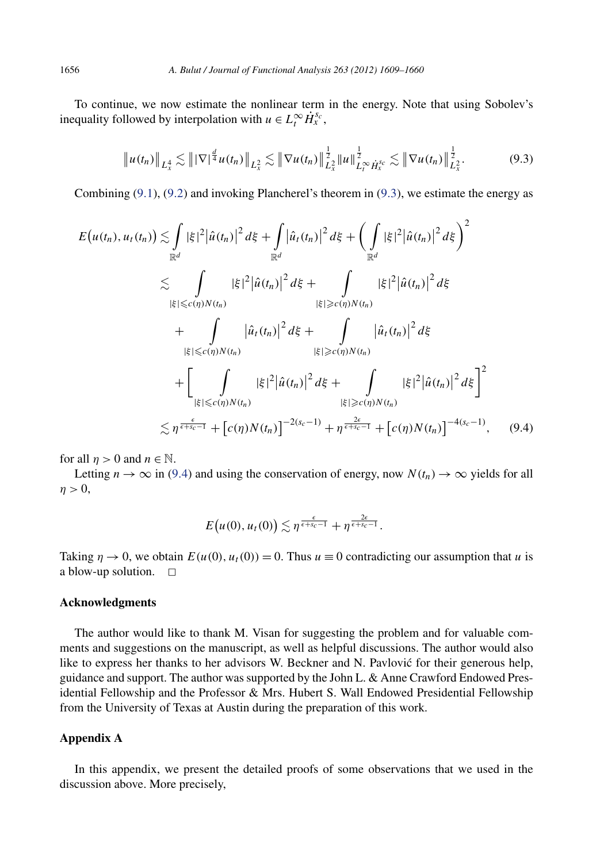To continue, we now estimate the nonlinear term in the energy. Note that using Sobolev's inequality followed by interpolation with  $u \in L_t^{\infty} \dot{H}_x^{s_c}$ ,

$$
\|u(t_n)\|_{L^4_x} \lesssim \||\nabla|^{\frac{d}{4}}u(t_n)\|_{L^2_x} \lesssim \|\nabla u(t_n)\|_{L^2_x}^{\frac{1}{2}}\|u\|_{L^\infty_t \dot{H}^{s_c}_x}^{\frac{1}{2}} \lesssim \|\nabla u(t_n)\|_{L^2_x}^{\frac{1}{2}}.
$$
 (9.3)

Combining [\(9](#page-47-0)*.*1), (9*.*[2\)](#page-47-0) and invoking Plancherel's theorem in (9*.*3), we estimate the energy as

$$
E(u(t_n), u_t(t_n)) \lesssim \int_{\mathbb{R}^d} |\xi|^2 |\hat{u}(t_n)|^2 d\xi + \int_{\mathbb{R}^d} |\hat{u}_t(t_n)|^2 d\xi + \left(\int_{\mathbb{R}^d} |\xi|^2 |\hat{u}(t_n)|^2 d\xi\right)^2
$$
  

$$
\lesssim \int_{|\xi| \leq c(\eta)N(t_n)} |\xi|^2 |\hat{u}(t_n)|^2 d\xi + \int_{|\xi| \geq c(\eta)N(t_n)} |\xi|^2 |\hat{u}(t_n)|^2 d\xi
$$
  
+ 
$$
\int_{|\xi| \leq c(\eta)N(t_n)} |\hat{u}_t(t_n)|^2 d\xi + \int_{|\xi| \geq c(\eta)N(t_n)} |\hat{u}_t(t_n)|^2 d\xi
$$
  
+ 
$$
\left[\int_{|\xi| \leq c(\eta)N(t_n)} |\xi|^2 |\hat{u}(t_n)|^2 d\xi + \int_{|\xi| \geq c(\eta)N(t_n)} |\xi|^2 |\hat{u}(t_n)|^2 d\xi\right]^2
$$
  

$$
\lesssim \eta^{\frac{\epsilon}{\epsilon+s_c-1}} + [c(\eta)N(t_n)]^{-2(s_c-1)} + \eta^{\frac{2\epsilon}{\epsilon+s_c-1}} + [c(\eta)N(t_n)]^{-4(s_c-1)}, \quad (9.4)
$$

for all  $n > 0$  and  $n \in \mathbb{N}$ .

Letting  $n \to \infty$  in (9.4) and using the conservation of energy, now  $N(t_n) \to \infty$  yields for all  $\eta > 0$ ,

$$
E(u(0),u_t(0))\lesssim \eta^{\frac{\epsilon}{\epsilon+s_c-1}}+\eta^{\frac{2\epsilon}{\epsilon+s_c-1}}.
$$

Taking  $\eta \to 0$ , we obtain  $E(u(0), u_t(0)) = 0$ . Thus  $u \equiv 0$  contradicting our assumption that *u* is a blow-up solution.  $\square$ 

#### **Acknowledgments**

The author would like to thank M. Visan for suggesting the problem and for valuable comments and suggestions on the manuscript, as well as helpful discussions. The author would also like to express her thanks to her advisors W. Beckner and N. Pavlovic for their generous help, ´ guidance and support. The author was supported by the John L. & Anne Crawford Endowed Presidential Fellowship and the Professor & Mrs. Hubert S. Wall Endowed Presidential Fellowship from the University of Texas at Austin during the preparation of this work.

#### **Appendix A**

In this appendix, we present the detailed proofs of some observations that we used in the discussion above. More precisely,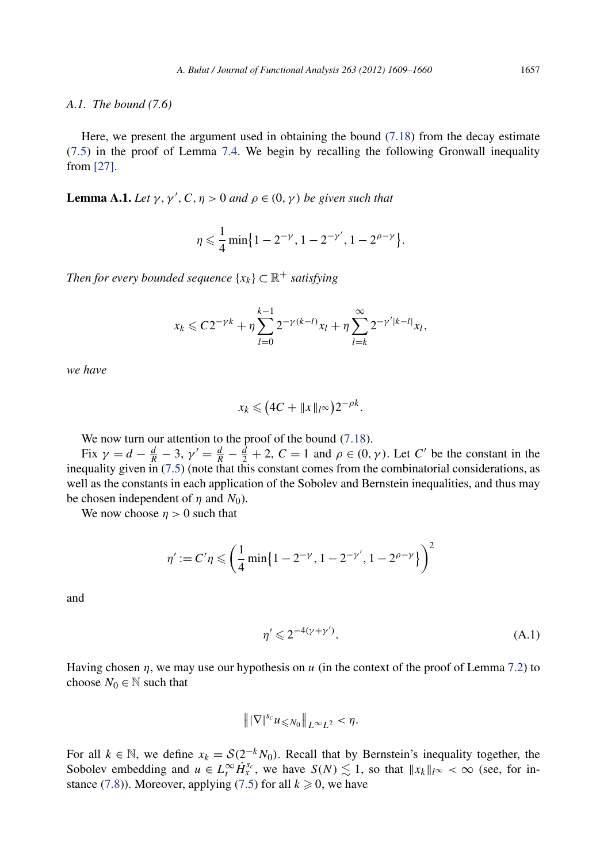#### <span id="page-49-0"></span>*A.1. The bound (7.6)*

Here, we present the argument used in obtaining the bound [\(7.18\)](#page-35-0) from the decay estimate (7*.*[5\)](#page-30-0) in the proof of Lemma [7.4.](#page-30-0) We begin by recalling the following Gronwall inequality from [\[27\].](#page-52-0)

**Lemma A.1.** *Let*  $\gamma$ ,  $\gamma'$ ,  $C$ ,  $\eta > 0$  *and*  $\rho \in (0, \gamma)$  *be given such that* 

$$
\eta \leqslant \frac{1}{4} \min \bigl\{ 1 - 2^{-\gamma}, 1 - 2^{-\gamma'}, 1 - 2^{\rho - \gamma} \bigr\}.
$$

*Then for every bounded sequence*  $\{x_k\} \subset \mathbb{R}^+$  *satisfying* 

$$
x_k \leq C2^{-\gamma k} + \eta \sum_{l=0}^{k-1} 2^{-\gamma (k-l)} x_l + \eta \sum_{l=k}^{\infty} 2^{-\gamma' |k-l|} x_l,
$$

*we have*

$$
x_k \leq (4C + \|x\|_{l^\infty})2^{-\rho k}.
$$

We now turn our attention to the proof of the bound *(*7*.*[18\)](#page-35-0).

Fix  $\gamma = d - \frac{d}{R} - 3$ ,  $\gamma' = \frac{d}{R} - \frac{d}{2} + 2$ ,  $C = 1$  and  $\rho \in (0, \gamma)$ . Let *C'* be the constant in the inequality given in [\(7.5\)](#page-30-0) (note that this constant comes from the combinatorial considerations, as well as the constants in each application of the Sobolev and Bernstein inequalities, and thus may be chosen independent of  $\eta$  and  $N_0$ ).

We now choose  $\eta > 0$  such that

$$
\eta' := C'\eta \leqslant \left(\frac{1}{4}\min\{1 - 2^{-\gamma}, 1 - 2^{-\gamma'}, 1 - 2^{\rho - \gamma}\}\right)^2
$$

and

$$
\eta' \leqslant 2^{-4(\gamma + \gamma')}.\tag{A.1}
$$

Having chosen *η*, we may use our hypothesis on *u* (in the context of the proof of Lemma [7.2\)](#page-29-0) to choose  $N_0 \in \mathbb{N}$  such that

$$
\|\nabla|^{s_c} u_{\leq N_0}\|_{L^\infty L^2} < \eta.
$$

For all  $k \in \mathbb{N}$ , we define  $x_k = \mathcal{S}(2^{-k}N_0)$ . Recall that by Bernstein's inequality together, the Sobolev embedding and  $u \in L_t^\infty \dot{H}_x^{s_c}$ , we have  $S(N) \lesssim 1$ , so that  $||x_k||_{l^\infty} < \infty$  (see, for in-stance [\(7.8\)](#page-31-0)). Moreover, applying [\(7.5\)](#page-30-0) for all  $k \geq 0$ , we have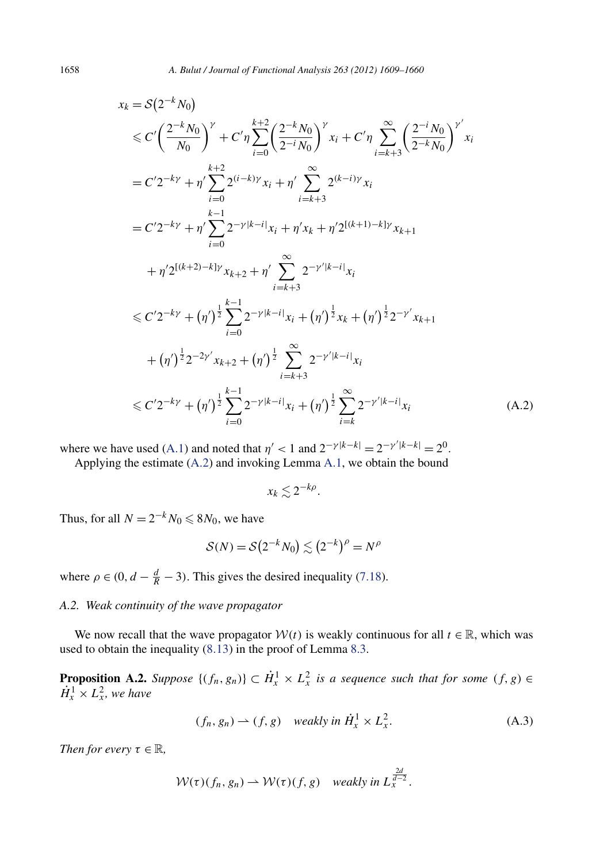$$
x_{k} = S(2^{-k}N_{0})
$$
  
\n
$$
\leq C'\left(\frac{2^{-k}N_{0}}{N_{0}}\right)^{\gamma} + C'\eta \sum_{i=0}^{k+2} \left(\frac{2^{-k}N_{0}}{2^{-i}N_{0}}\right)^{\gamma} x_{i} + C'\eta \sum_{i=k+3}^{\infty} \left(\frac{2^{-i}N_{0}}{2^{-k}N_{0}}\right)^{\gamma'} x_{i}
$$
  
\n
$$
= C'2^{-k\gamma} + \eta' \sum_{i=0}^{k+2} 2^{(i-k)\gamma} x_{i} + \eta' \sum_{i=k+3}^{\infty} 2^{(k-i)\gamma} x_{i}
$$
  
\n
$$
= C'2^{-k\gamma} + \eta' \sum_{i=0}^{k-1} 2^{-\gamma|k-i|} x_{i} + \eta' x_{k} + \eta' 2^{[(k+1)-k]\gamma} x_{k+1}
$$
  
\n
$$
+ \eta' 2^{[(k+2)-k]\gamma} x_{k+2} + \eta' \sum_{i=k+3}^{\infty} 2^{-\gamma'|k-i|} x_{i}
$$
  
\n
$$
\leq C'2^{-k\gamma} + (\eta')^{\frac{1}{2}} \sum_{i=0}^{k-1} 2^{-\gamma|k-i|} x_{i} + (\eta')^{\frac{1}{2}} x_{k} + (\eta')^{\frac{1}{2}} 2^{-\gamma'} x_{k+1}
$$
  
\n
$$
+ (\eta')^{\frac{1}{2}} 2^{-2\gamma'} x_{k+2} + (\eta')^{\frac{1}{2}} \sum_{i=k+3}^{\infty} 2^{-\gamma'|k-i|} x_{i}
$$
  
\n
$$
\leq C'2^{-k\gamma} + (\eta')^{\frac{1}{2}} \sum_{i=0}^{k-1} 2^{-\gamma|k-i|} x_{i} + (\eta')^{\frac{1}{2}} \sum_{i=k}^{\infty} 2^{-\gamma'|k-i|} x_{i}
$$
  
\n
$$
(A.2)
$$

where we have used [\(A.1\)](#page-49-0) and noted that  $\eta' < 1$  and  $2^{-\gamma |k-k|} = 2^{-\gamma' |k-k|} = 2^0$ .

Applying the estimate (A.2) and invoking Lemma [A.1,](#page-49-0) we obtain the bound

$$
x_k \lesssim 2^{-k\rho}.
$$

Thus, for all  $N = 2^{-k}N_0 \le 8N_0$ , we have

$$
\mathcal{S}(N) = \mathcal{S}(2^{-k}N_0) \lesssim (2^{-k})^{\rho} = N^{\rho}
$$

where  $\rho \in (0, d - \frac{d}{R} - 3)$ . This gives the desired inequality [\(7.18\)](#page-35-0).

#### *A.2. Weak continuity of the wave propagator*

We now recall that the wave propagator  $W(t)$  is weakly continuous for all  $t \in \mathbb{R}$ , which was used to obtain the inequality (8*.*[13\)](#page-43-0) in the proof of Lemma [8.3.](#page-42-0)

**Proposition A.2.** *Suppose*  $\{(f_n, g_n)\}\subset \dot{H}^1_x \times L^2_x$  *is a sequence such that for some*  $(f, g) \in$  $\dot{H}_x^1 \times L_x^2$ , we have

$$
(f_n, g_n) \to (f, g) \quad weakly in \ \dot{H}^1_x \times L^2_x. \tag{A.3}
$$

*Then for every*  $\tau \in \mathbb{R}$ *,* 

$$
W(\tau)(f_n, g_n) \rightharpoonup W(\tau)(f, g) \quad weakly in \ L_x^{\frac{2d}{d-2}}.
$$

<span id="page-50-0"></span>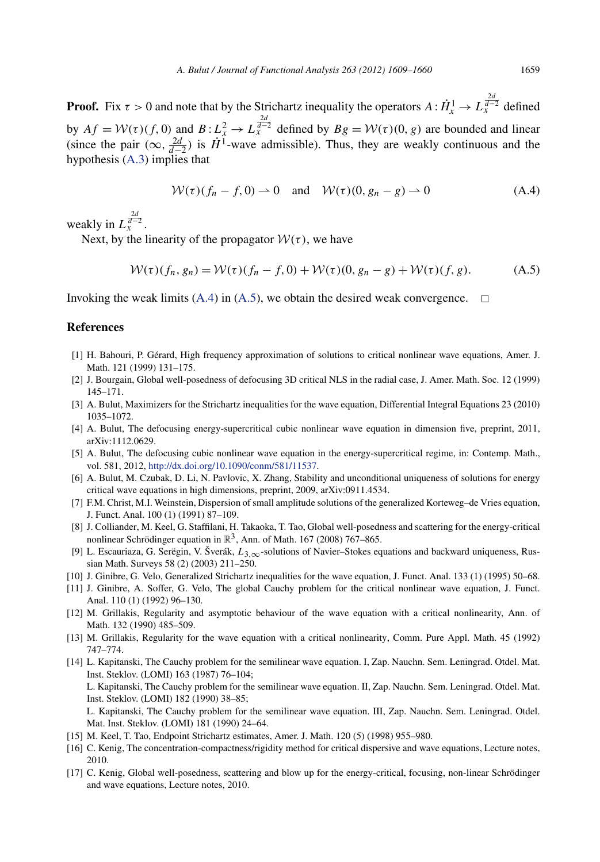<span id="page-51-0"></span>**Proof.** Fix  $\tau > 0$  and note that by the Strichartz inequality the operators  $A: \dot{H}_x^1 \to L_x^{\frac{2d}{d-2}}$  defined by  $Af = \mathcal{W}(\tau)(f, 0)$  and  $B: L^2_{\tau} \to L^{\frac{2d}{d-2}}_{\tau}$  defined by  $Bg = \mathcal{W}(\tau)(0, g)$  are bounded and linear (since the pair  $(\infty, \frac{2d}{d-2})$  is  $\dot{H}^1$ -wave admissible). Thus, they are weakly continuous and the hypothesis [\(A.3\)](#page-50-0) implies that

$$
W(\tau)(f_n - f, 0) \to 0 \quad \text{and} \quad W(\tau)(0, g_n - g) \to 0 \tag{A.4}
$$

weakly in  $L_x^{\frac{2d}{d-2}}$ .

Next, by the linearity of the propagator  $W(\tau)$ , we have

$$
W(\tau)(f_n, g_n) = W(\tau)(f_n - f, 0) + W(\tau)(0, g_n - g) + W(\tau)(f, g). \tag{A.5}
$$

Invoking the weak limits (A.4) in (A.5), we obtain the desired weak convergence.  $\Box$ 

#### **References**

- [1] H. Bahouri, P. Gérard, High frequency approximation of solutions to critical nonlinear wave equations, Amer. J. Math. 121 (1999) 131–175.
- [2] J. Bourgain, Global well-posedness of defocusing 3D critical NLS in the radial case, J. Amer. Math. Soc. 12 (1999) 145–171.
- [3] A. Bulut, Maximizers for the Strichartz inequalities for the wave equation, Differential Integral Equations 23 (2010) 1035–1072.
- [4] A. Bulut, The defocusing energy-supercritical cubic nonlinear wave equation in dimension five, preprint, 2011, arXiv:1112.0629.
- [5] A. Bulut, The defocusing cubic nonlinear wave equation in the energy-supercritical regime, in: Contemp. Math., vol. 581, 2012, <http://dx.doi.org/10.1090/conm/581/11537>.
- [6] A. Bulut, M. Czubak, D. Li, N. Pavlovic, X. Zhang, Stability and unconditional uniqueness of solutions for energy critical wave equations in high dimensions, preprint, 2009, arXiv:0911.4534.
- [7] F.M. Christ, M.I. Weinstein, Dispersion of small amplitude solutions of the generalized Korteweg–de Vries equation, J. Funct. Anal. 100 (1) (1991) 87–109.
- [8] J. Colliander, M. Keel, G. Staffilani, H. Takaoka, T. Tao, Global well-posedness and scattering for the energy-critical nonlinear Schrödinger equation in  $\mathbb{R}^3$ , Ann. of Math. 167 (2008) 767–865.
- [9] L. Escauriaza, G. Serëgin, V. Šverák, *L*3*,*∞-solutions of Navier–Stokes equations and backward uniqueness, Russian Math. Surveys 58 (2) (2003) 211–250.
- [10] J. Ginibre, G. Velo, Generalized Strichartz inequalities for the wave equation, J. Funct. Anal. 133 (1) (1995) 50–68.
- [11] J. Ginibre, A. Soffer, G. Velo, The global Cauchy problem for the critical nonlinear wave equation, J. Funct. Anal. 110 (1) (1992) 96–130.
- [12] M. Grillakis, Regularity and asymptotic behaviour of the wave equation with a critical nonlinearity, Ann. of Math. 132 (1990) 485–509.
- [13] M. Grillakis, Regularity for the wave equation with a critical nonlinearity, Comm. Pure Appl. Math. 45 (1992) 747–774.
- [14] L. Kapitanski, The Cauchy problem for the semilinear wave equation. I, Zap. Nauchn. Sem. Leningrad. Otdel. Mat. Inst. Steklov. (LOMI) 163 (1987) 76–104; L. Kapitanski, The Cauchy problem for the semilinear wave equation. II, Zap. Nauchn. Sem. Leningrad. Otdel. Mat.

Inst. Steklov. (LOMI) 182 (1990) 38–85; L. Kapitanski, The Cauchy problem for the semilinear wave equation. III, Zap. Nauchn. Sem. Leningrad. Otdel.

Mat. Inst. Steklov. (LOMI) 181 (1990) 24–64.

- [15] M. Keel, T. Tao, Endpoint Strichartz estimates, Amer. J. Math. 120 (5) (1998) 955–980.
- [16] C. Kenig, The concentration-compactness/rigidity method for critical dispersive and wave equations, Lecture notes, 2010.
- [17] C. Kenig, Global well-posedness, scattering and blow up for the energy-critical, focusing, non-linear Schrödinger and wave equations, Lecture notes, 2010.